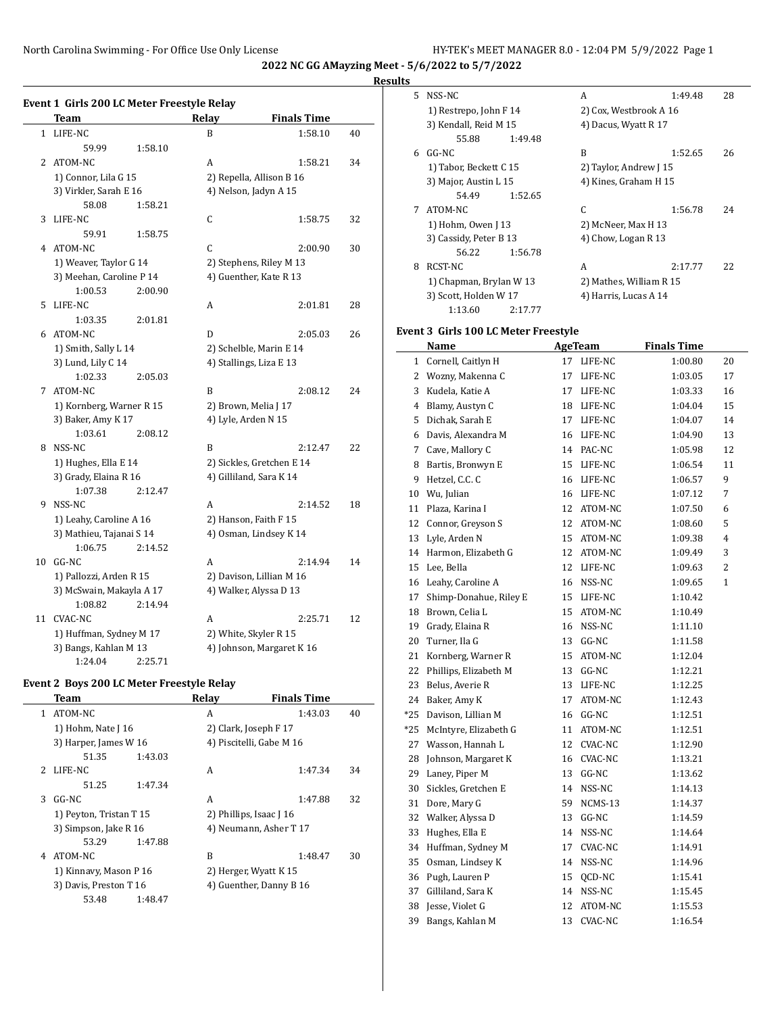North Carolina Swimming - For Office Use Only License HY-TEK's MEET MANAGER 8.0 - 12:04 PM 5/9/2022 Page 1

**2022 NC GG AMayzing Meet - 5/6/2022 to 5/7/2022**

## **Results**

 $\overline{\phantom{a}}$ 

|              | Event 1 Girls 200 LC Meter Freestyle Relay<br><b>Team</b> |         | Relay                 | <b>Finals Time</b>        |    |
|--------------|-----------------------------------------------------------|---------|-----------------------|---------------------------|----|
| $\mathbf{1}$ | LIFE-NC                                                   |         | B                     | 1:58.10                   |    |
|              |                                                           |         |                       |                           | 40 |
|              | 59.99                                                     | 1:58.10 |                       |                           |    |
| 2            | ATOM-NC                                                   |         | A                     | 1:58.21                   | 34 |
|              | 1) Connor, Lila G 15                                      |         |                       | 2) Repella, Allison B 16  |    |
|              | 3) Virkler, Sarah E 16                                    |         |                       | 4) Nelson, Jadyn A 15     |    |
|              | 58.08                                                     | 1:58.21 |                       |                           |    |
| 3            | LIFE-NC                                                   |         | C                     | 1:58.75                   | 32 |
|              | 59.91                                                     | 1:58.75 |                       |                           |    |
| 4            | ATOM-NC                                                   |         | C                     | 2:00.90                   | 30 |
|              | 1) Weaver, Taylor G 14                                    |         |                       | 2) Stephens, Riley M 13   |    |
|              | 3) Meehan, Caroline P 14                                  |         |                       | 4) Guenther, Kate R 13    |    |
|              | 1:00.53                                                   | 2:00.90 |                       |                           |    |
| 5            | LIFE-NC                                                   |         | A                     | 2:01.81                   | 28 |
|              | 1:03.35                                                   | 2:01.81 |                       |                           |    |
| 6            | ATOM-NC                                                   |         | D                     | 2:05.03                   | 26 |
|              | 1) Smith, Sally L 14                                      |         |                       | 2) Schelble, Marin E 14   |    |
|              | 3) Lund, Lily C 14                                        |         |                       | 4) Stallings, Liza E 13   |    |
|              | 1:02.33                                                   | 2:05.03 |                       |                           |    |
| 7            | ATOM-NC                                                   |         | B                     | 2:08.12                   | 24 |
|              | 1) Kornberg, Warner R 15                                  |         | 2) Brown, Melia J 17  |                           |    |
|              | 3) Baker, Amy K 17                                        |         | 4) Lyle, Arden N 15   |                           |    |
|              | 1:03.61                                                   | 2:08.12 |                       |                           |    |
| 8            | NSS-NC                                                    |         | B                     | 2:12.47                   | 22 |
|              | 1) Hughes, Ella E 14                                      |         |                       | 2) Sickles, Gretchen E 14 |    |
|              | 3) Grady, Elaina R 16                                     |         |                       | 4) Gilliland, Sara K 14   |    |
|              | 1:07.38                                                   | 2:12.47 |                       |                           |    |
| 9            | NSS-NC                                                    |         | A                     | 2:14.52                   | 18 |
|              | 1) Leahy, Caroline A 16                                   |         | 2) Hanson, Faith F 15 |                           |    |
|              | 3) Mathieu, Tajanai S 14                                  |         |                       | 4) Osman, Lindsey K 14    |    |
|              | 1:06.75                                                   | 2:14.52 |                       |                           |    |
| 10           | $GG-NC$                                                   |         | A                     | 2:14.94                   | 14 |
|              | 1) Pallozzi, Arden R 15                                   |         |                       | 2) Davison, Lillian M 16  |    |
|              | 3) McSwain, Makayla A 17                                  |         |                       | 4) Walker, Alyssa D 13    |    |
|              | 1:08.82                                                   | 2:14.94 |                       |                           |    |
| 11           | <b>CVAC-NC</b>                                            |         | A                     | 2:25.71                   | 12 |
|              | 1) Huffman, Sydney M 17                                   |         |                       | 2) White, Skyler R 15     |    |
|              | 3) Bangs, Kahlan M 13                                     |         |                       | 4) Johnson, Margaret K 16 |    |
|              | 1:24.04                                                   | 2:25.71 |                       |                           |    |

## **Event 2 Boys 200 LC Meter Freestyle Relay**

|    | Team                    |         | Relay | <b>Finals Time</b>       |    |
|----|-------------------------|---------|-------|--------------------------|----|
| 1. | ATOM-NC                 |         | A     | 1:43.03                  | 40 |
|    | 1) Hohm, Nate J 16      |         |       | 2) Clark, Joseph F 17    |    |
|    | 3) Harper, James W 16   |         |       | 4) Piscitelli, Gabe M 16 |    |
|    | 51.35                   | 1:43.03 |       |                          |    |
|    | 2 LIFE-NC               |         | A     | 1:47.34                  | 34 |
|    | 51.25                   | 1:47.34 |       |                          |    |
| 3  | $GG-NC$                 |         | A     | 1:47.88                  | 32 |
|    | 1) Peyton, Tristan T 15 |         |       | 2) Phillips, Isaac [16]  |    |
|    | 3) Simpson, Jake R 16   |         |       | 4) Neumann, Asher T 17   |    |
|    | 53.29                   | 1:47.88 |       |                          |    |
| 4  | ATOM-NC                 |         | B     | 1:48.47                  | 30 |
|    | 1) Kinnavy, Mason P 16  |         |       | 2) Herger, Wyatt K 15    |    |
|    | 3) Davis, Preston T 16  |         |       | 4) Guenther, Danny B 16  |    |
|    | 53.48                   | 1:48.47 |       |                          |    |
|    |                         |         |       |                          |    |

| 5. | NSS-NC                  |         | A                       | 1:49.48 | 28 |
|----|-------------------------|---------|-------------------------|---------|----|
|    | 1) Restrepo, John F 14  |         | 2) Cox, Westbrook A 16  |         |    |
|    | 3) Kendall, Reid M 15   |         | 4) Dacus, Wyatt R 17    |         |    |
|    | 55.88                   | 1:49.48 |                         |         |    |
| 6  | GG-NC                   |         | R                       | 1:52.65 | 26 |
|    | 1) Tabor, Beckett C 15  |         | 2) Taylor, Andrew J 15  |         |    |
|    | 3) Major, Austin L 15   |         | 4) Kines, Graham H 15   |         |    |
|    | 54.49                   | 1:52.65 |                         |         |    |
| 7  | ATOM-NC                 |         | C                       | 1:56.78 | 24 |
|    | 1) Hohm, Owen [13       |         | 2) McNeer, Max H 13     |         |    |
|    | 3) Cassidy, Peter B 13  |         | 4) Chow, Logan R 13     |         |    |
|    | 56.22                   | 1:56.78 |                         |         |    |
| 8  | RCST-NC                 |         | A                       | 2:17.77 | 22 |
|    | 1) Chapman, Brylan W 13 |         | 2) Mathes, William R 15 |         |    |
|    | 3) Scott, Holden W 17   |         | 4) Harris, Lucas A 14   |         |    |
|    | 1:13.60                 | 2:17.77 |                         |         |    |

## **Event 3 Girls 100 LC Meter Freestyle**

|                | <b>Name</b>            |    | <b>AgeTeam</b> | <b>Finals Time</b> |              |
|----------------|------------------------|----|----------------|--------------------|--------------|
| $\mathbf{1}$   | Cornell, Caitlyn H     | 17 | LIFE-NC        | 1:00.80            | 20           |
| $\overline{2}$ | Wozny, Makenna C       | 17 | LIFE-NC        | 1:03.05            | 17           |
| 3              | Kudela, Katie A        | 17 | LIFE-NC        | 1:03.33            | 16           |
| 4              | Blamy, Austyn C        | 18 | LIFE-NC        | 1:04.04            | 15           |
| 5              | Dichak, Sarah E        | 17 | LIFE-NC        | 1:04.07            | 14           |
| 6              | Davis, Alexandra M     | 16 | LIFE-NC        | 1:04.90            | 13           |
| 7              | Cave, Mallory C        | 14 | PAC-NC         | 1:05.98            | 12           |
| 8              | Bartis, Bronwyn E      | 15 | LIFE-NC        | 1:06.54            | 11           |
| 9              | Hetzel, C.C. C         | 16 | LIFE-NC        | 1:06.57            | 9            |
| 10             | Wu, Julian             | 16 | LIFE-NC        | 1:07.12            | 7            |
| 11             | Plaza, Karina I        | 12 | ATOM-NC        | 1:07.50            | 6            |
| 12             | Connor, Greyson S      | 12 | ATOM-NC        | 1:08.60            | 5            |
| 13             | Lyle, Arden N          | 15 | ATOM-NC        | 1:09.38            | 4            |
| 14             | Harmon, Elizabeth G    | 12 | ATOM-NC        | 1:09.49            | 3            |
| 15             | Lee, Bella             | 12 | LIFE-NC        | 1:09.63            | 2            |
| 16             | Leahy, Caroline A      | 16 | NSS-NC         | 1:09.65            | $\mathbf{1}$ |
| 17             | Shimp-Donahue, Riley E | 15 | LIFE-NC        | 1:10.42            |              |
| 18             | Brown, Celia L         | 15 | ATOM-NC        | 1:10.49            |              |
| 19             | Grady, Elaina R        | 16 | NSS-NC         | 1:11.10            |              |
| 20             | Turner, Ila G          | 13 | GG-NC          | 1:11.58            |              |
| 21             | Kornberg, Warner R     | 15 | ATOM-NC        | 1:12.04            |              |
| 22             | Phillips, Elizabeth M  | 13 | GG-NC          | 1:12.21            |              |
| 23             | Belus, Averie R        | 13 | LIFE-NC        | 1:12.25            |              |
| 24             | Baker, Amy K           | 17 | ATOM-NC        | 1:12.43            |              |
| *25            | Davison, Lillian M     | 16 | GG-NC          | 1:12.51            |              |
| $*25$          | McIntyre, Elizabeth G  | 11 | ATOM-NC        | 1:12.51            |              |
| 27             | Wasson, Hannah L       | 12 | CVAC-NC        | 1:12.90            |              |
| 28             | Johnson, Margaret K    | 16 | <b>CVAC-NC</b> | 1:13.21            |              |
| 29             | Laney, Piper M         | 13 | GG-NC          | 1:13.62            |              |
| 30             | Sickles, Gretchen E    | 14 | NSS-NC         | 1:14.13            |              |
| 31             | Dore, Mary G           | 59 | NCMS-13        | 1:14.37            |              |
| 32             | Walker, Alyssa D       | 13 | GG-NC          | 1:14.59            |              |
| 33             | Hughes, Ella E         | 14 | NSS-NC         | 1:14.64            |              |
| 34             | Huffman, Sydney M      | 17 | CVAC-NC        | 1:14.91            |              |
| 35             | Osman, Lindsey K       | 14 | NSS-NC         | 1:14.96            |              |
| 36             | Pugh, Lauren P         | 15 | QCD-NC         | 1:15.41            |              |
| 37             | Gilliland, Sara K      | 14 | NSS-NC         | 1:15.45            |              |
| 38             | Jesse, Violet G        | 12 | ATOM-NC        | 1:15.53            |              |
| 39             | Bangs, Kahlan M        | 13 | <b>CVAC-NC</b> | 1:16.54            |              |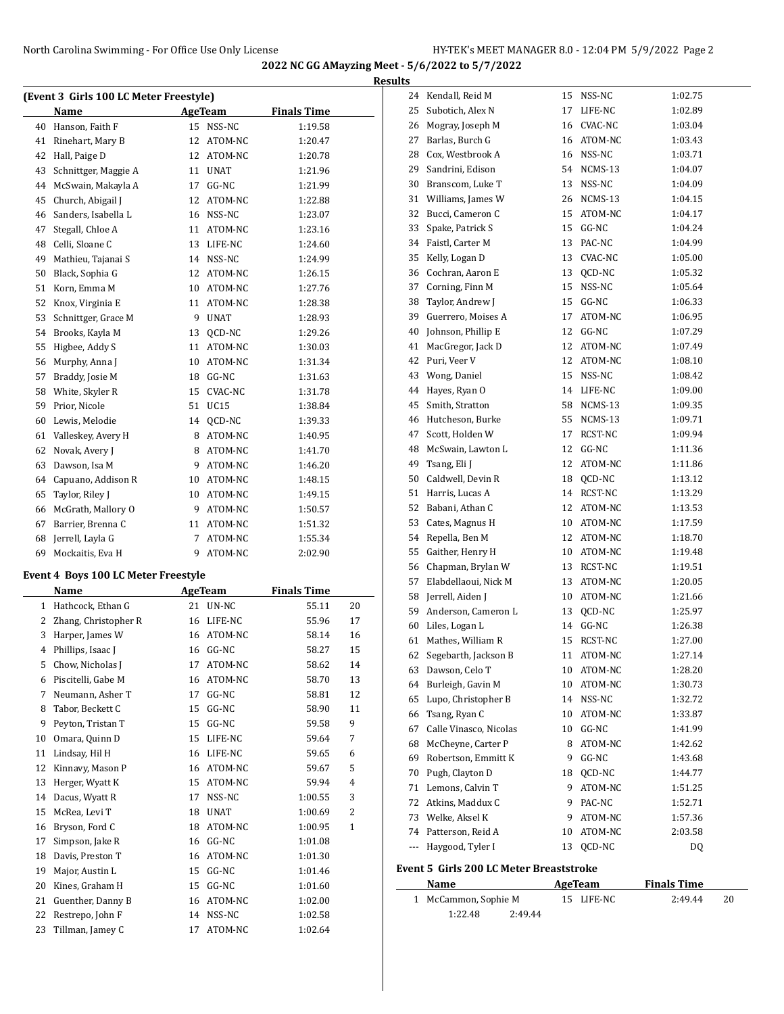| (Event 3 Girls 100 LC Meter Freestyle) |                      |    |             |                    |  |  |  |
|----------------------------------------|----------------------|----|-------------|--------------------|--|--|--|
|                                        | Name                 |    | AgeTeam     | <b>Finals Time</b> |  |  |  |
| 40                                     | Hanson, Faith F      | 15 | NSS-NC      | 1:19.58            |  |  |  |
| 41                                     | Rinehart, Mary B     | 12 | ATOM-NC     | 1:20.47            |  |  |  |
| 42                                     | Hall, Paige D        | 12 | ATOM-NC     | 1:20.78            |  |  |  |
| 43                                     | Schnittger, Maggie A | 11 | <b>UNAT</b> | 1:21.96            |  |  |  |
| 44                                     | McSwain, Makayla A   | 17 | $GG-NC$     | 1:21.99            |  |  |  |
| 45                                     | Church, Abigail J    | 12 | ATOM-NC     | 1:22.88            |  |  |  |
| 46                                     | Sanders, Isabella L  | 16 | NSS-NC      | 1:23.07            |  |  |  |
| 47                                     | Stegall, Chloe A     | 11 | ATOM-NC     | 1:23.16            |  |  |  |
| 48                                     | Celli, Sloane C      | 13 | LIFE-NC     | 1:24.60            |  |  |  |
| 49                                     | Mathieu, Tajanai S   | 14 | NSS-NC      | 1:24.99            |  |  |  |
| 50                                     | Black, Sophia G      | 12 | ATOM-NC     | 1:26.15            |  |  |  |
| 51                                     | Korn, Emma M         | 10 | ATOM-NC     | 1:27.76            |  |  |  |
| 52                                     | Knox, Virginia E     | 11 | ATOM-NC     | 1:28.38            |  |  |  |
| 53                                     | Schnittger, Grace M  | 9  | <b>UNAT</b> | 1:28.93            |  |  |  |
| 54                                     | Brooks, Kayla M      | 13 | QCD-NC      | 1:29.26            |  |  |  |
| 55                                     | Higbee, Addy S       | 11 | ATOM-NC     | 1:30.03            |  |  |  |
| 56                                     | Murphy, Anna J       | 10 | ATOM-NC     | 1:31.34            |  |  |  |
| 57                                     | Braddy, Josie M      | 18 | $GG-NC$     | 1:31.63            |  |  |  |
| 58                                     | White, Skyler R      | 15 | CVAC-NC     | 1:31.78            |  |  |  |
| 59                                     | Prior, Nicole        | 51 | <b>UC15</b> | 1:38.84            |  |  |  |
| 60                                     | Lewis, Melodie       | 14 | QCD-NC      | 1:39.33            |  |  |  |
| 61                                     | Valleskey, Avery H   | 8  | ATOM-NC     | 1:40.95            |  |  |  |
| 62                                     | Novak, Avery J       | 8  | ATOM-NC     | 1:41.70            |  |  |  |
| 63                                     | Dawson, Isa M        | 9  | ATOM-NC     | 1:46.20            |  |  |  |
| 64                                     | Capuano, Addison R   | 10 | ATOM-NC     | 1:48.15            |  |  |  |
| 65                                     | Taylor, Riley J      |    | 10 ATOM-NC  | 1:49.15            |  |  |  |
| 66                                     | McGrath, Mallory O   | 9  | ATOM-NC     | 1:50.57            |  |  |  |
| 67                                     | Barrier, Brenna C    | 11 | ATOM-NC     | 1:51.32            |  |  |  |
| 68                                     | Jerrell, Layla G     | 7  | ATOM-NC     | 1:55.34            |  |  |  |
| 69                                     | Mockaitis, Eva H     | 9  | ATOM-NC     | 2:02.90            |  |  |  |

|              | Name                 |    | AgeTeam     | <b>Finals Time</b> |                |
|--------------|----------------------|----|-------------|--------------------|----------------|
| $\mathbf{1}$ | Hathcock, Ethan G    | 21 | UN-NC       | 55.11              | 20             |
| 2            | Zhang, Christopher R | 16 | LIFE-NC     | 55.96              | 17             |
| 3            | Harper, James W      | 16 | ATOM-NC     | 58.14              | 16             |
| 4            | Phillips, Isaac J    | 16 | $GG-NC$     | 58.27              | 15             |
| 5            | Chow, Nicholas J     | 17 | ATOM-NC     | 58.62              | 14             |
| 6            | Piscitelli, Gabe M   | 16 | ATOM-NC     | 58.70              | 13             |
| 7            | Neumann, Asher T     | 17 | $GG-NC$     | 58.81              | 12             |
| 8            | Tabor, Beckett C     | 15 | GG-NC       | 58.90              | 11             |
| 9            | Peyton, Tristan T    | 15 | $GG-NC$     | 59.58              | 9              |
| 10           | Omara, Quinn D       | 15 | LIFE-NC     | 59.64              | 7              |
| 11           | Lindsay, Hil H       | 16 | LIFE-NC     | 59.65              | 6              |
| 12           | Kinnavy, Mason P     | 16 | ATOM-NC     | 59.67              | 5              |
| 13           | Herger, Wyatt K      | 15 | ATOM-NC     | 59.94              | 4              |
| 14           | Dacus, Wyatt R       | 17 | NSS-NC      | 1:00.55            | 3              |
| 15           | McRea, Levi T        | 18 | <b>UNAT</b> | 1:00.69            | $\overline{2}$ |
| 16           | Bryson, Ford C       | 18 | ATOM-NC     | 1:00.95            | $\mathbf{1}$   |
| 17           | Simpson, Jake R      | 16 | $GG-NC$     | 1:01.08            |                |
| 18           | Davis, Preston T     | 16 | ATOM-NC     | 1:01.30            |                |
| 19           | Major, Austin L      | 15 | $GG-NC$     | 1:01.46            |                |
| 20           | Kines, Graham H      | 15 | $GG-NC$     | 1:01.60            |                |
| 21           | Guenther, Danny B    | 16 | ATOM-NC     | 1:02.00            |                |
| 22           | Restrepo, John F     | 14 | NSS-NC      | 1:02.58            |                |
| 23           | Tillman, Jamey C     | 17 | ATOM-NC     | 1:02.64            |                |
|              |                      |    |             |                    |                |

| <b>Results</b> |                                           |          |                           |         |
|----------------|-------------------------------------------|----------|---------------------------|---------|
|                | 24 Kendall, Reid M                        | 15       | NSS-NC                    | 1:02.75 |
| 25             | Subotich, Alex N                          | 17       | LIFE-NC                   | 1:02.89 |
| 26             | Mogray, Joseph M                          |          | 16 CVAC-NC                | 1:03.04 |
| 27             | Barlas, Burch G                           |          | 16 ATOM-NC                | 1:03.43 |
| 28             | Cox, Westbrook A                          |          | 16 NSS-NC                 | 1:03.71 |
| 29             | Sandrini, Edison                          |          | 54 NCMS-13                | 1:04.07 |
| 30             | Branscom, Luke T                          |          | 13 NSS-NC                 | 1:04.09 |
|                | 31 Williams, James W                      |          | 26 NCMS-13                | 1:04.15 |
| 32             | Bucci, Cameron C                          |          | 15 ATOM-NC                | 1:04.17 |
| 33             | Spake, Patrick S                          |          | 15 GG-NC                  | 1:04.24 |
|                | 34 Faistl, Carter M                       |          | 13 PAC-NC                 | 1:04.99 |
| 35             | Kelly, Logan D                            |          | 13 CVAC-NC                | 1:05.00 |
|                | 36 Cochran, Aaron E                       |          | 13 QCD-NC                 | 1:05.32 |
|                | 37 Corning, Finn M                        |          | 15 NSS-NC                 | 1:05.64 |
| 38             | Taylor, Andrew J                          |          | 15 GG-NC                  | 1:06.33 |
| 39             | Guerrero, Moises A                        |          | 17 ATOM-NC                | 1:06.95 |
| 40             | Johnson, Phillip E                        |          | 12 GG-NC                  | 1:07.29 |
| 41             | MacGregor, Jack D                         |          | 12 ATOM-NC                | 1:07.49 |
| 42             | Puri, Veer V                              |          | 12 ATOM-NC                | 1:08.10 |
|                | 43 Wong, Daniel                           |          | 15 NSS-NC                 | 1:08.42 |
| 44             | Hayes, Ryan O                             |          | 14 LIFE-NC                | 1:09.00 |
| 45             | Smith, Stratton                           |          | 58 NCMS-13                | 1:09.35 |
|                | 46 Hutcheson, Burke                       |          | 55 NCMS-13                | 1:09.71 |
| 47             | Scott. Holden W                           | 17       | RCST-NC                   | 1:09.94 |
|                |                                           |          | 12 GG-NC                  | 1:11.36 |
| 48<br>49       | McSwain, Lawton L                         |          | 12 ATOM-NC                |         |
|                | Tsang, Eli J                              |          |                           | 1:11.86 |
| 50             | Caldwell, Devin R                         |          | 18 QCD-NC                 | 1:13.12 |
|                | 51 Harris, Lucas A                        |          | 14 RCST-NC                | 1:13.29 |
| 52             | Babani, Athan C                           |          | 12 ATOM-NC                | 1:13.53 |
| 53             | Cates, Magnus H                           |          | 10 ATOM-NC                | 1:17.59 |
| 54             | Repella, Ben M                            |          | 12 ATOM-NC                | 1:18.70 |
| 55             | Gaither, Henry H                          |          | 10 ATOM-NC                | 1:19.48 |
| 56             | Chapman, Brylan W                         |          | 13 RCST-NC                | 1:19.51 |
| 57             | Elabdellaoui, Nick M                      |          | 13 ATOM-NC                | 1:20.05 |
|                | 58 Jerrell, Aiden J                       |          | 10 ATOM-NC                | 1:21.66 |
| 59             | Anderson, Cameron L                       |          | 13 QCD-NC                 | 1:25.97 |
|                | 60 Liles, Logan L                         | 14<br>15 | $GG-NC$<br><b>RCST-NC</b> | 1:26.38 |
| 61             | Mathes, William R                         |          |                           | 1:27.00 |
|                | 62 Segebarth, Jackson B<br>Dawson, Celo T | 11       | ATOM-NC                   | 1:27.14 |
| 63             | Burleigh, Gavin M                         | 10       | ATOM-NC                   | 1:28.20 |
| 64             |                                           | 10       | ATOM-NC                   | 1:30.73 |
| 65             | Lupo, Christopher B                       |          | 14 NSS-NC                 | 1:32.72 |
| 66             | Tsang, Ryan C                             | 10       | ATOM-NC                   | 1:33.87 |
| 67             | Calle Vinasco, Nicolas                    |          | 10 GG-NC                  | 1:41.99 |
| 68             | McCheyne, Carter P                        | 8        | ATOM-NC                   | 1:42.62 |
| 69             | Robertson, Emmitt K                       | 9        | GG-NC                     | 1:43.68 |
| 70             | Pugh, Clayton D                           | 18       | QCD-NC                    | 1:44.77 |
| 71             | Lemons, Calvin T                          |          | 9 ATOM-NC                 | 1:51.25 |
| 72             | Atkins, Maddux C                          |          | 9 PAC-NC                  | 1:52.71 |
|                | 73 Welke, Aksel K                         | 9        | ATOM-NC                   | 1:57.36 |
|                | 74 Patterson, Reid A                      | 10       | ATOM-NC                   | 2:03.58 |
| ---            | Haygood, Tyler I                          | 13       | QCD-NC                    | DQ      |
|                | Civic 200 LC Motor Dreastet               |          |                           |         |

#### **Event 5 Girls 200 LC Meter Breaststroke**

| Name                 |         | AgeTeam    | <b>Finals Time</b> |    |
|----------------------|---------|------------|--------------------|----|
| 1 McCammon, Sophie M |         | 15 LIFE-NC | 2:49.44            | 20 |
| 1:22.48              | 2:49.44 |            |                    |    |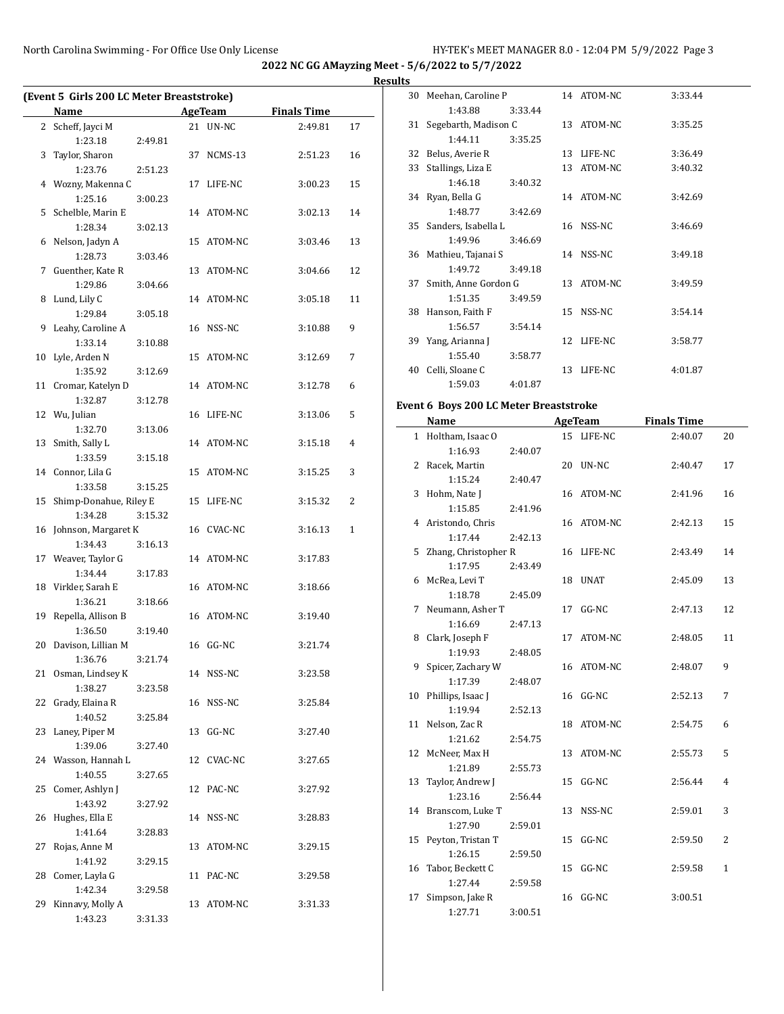**Results**

| (Event 5 Girls 200 LC Meter Breaststroke) |                             |         |    |            |                    |    |  |
|-------------------------------------------|-----------------------------|---------|----|------------|--------------------|----|--|
|                                           | Name                        |         |    | AgeTeam    | <b>Finals Time</b> |    |  |
|                                           | 2 Scheff, Jayci M           |         |    | 21 UN-NC   | 2:49.81            | 17 |  |
|                                           | 1:23.18                     | 2:49.81 |    |            |                    |    |  |
| 3                                         | Taylor, Sharon              |         | 37 | NCMS-13    | 2:51.23            | 16 |  |
|                                           | 1:23.76                     | 2:51.23 |    |            |                    |    |  |
| 4                                         | Wozny, Makenna C            |         | 17 | LIFE-NC    | 3:00.23            | 15 |  |
|                                           | 1:25.16                     | 3:00.23 |    |            |                    |    |  |
| 5                                         | Schelble, Marin E           |         |    | 14 ATOM-NC | 3:02.13            | 14 |  |
|                                           | 1:28.34                     | 3:02.13 |    |            |                    |    |  |
| 6                                         | Nelson, Jadyn A             |         |    | 15 ATOM-NC | 3:03.46            | 13 |  |
|                                           | 1:28.73                     | 3:03.46 |    |            |                    |    |  |
| 7                                         | Guenther, Kate R            |         | 13 | ATOM-NC    | 3:04.66            | 12 |  |
|                                           | 1:29.86                     | 3:04.66 |    |            |                    |    |  |
| 8                                         | Lund, Lily C                |         |    | 14 ATOM-NC | 3:05.18            | 11 |  |
|                                           | 1:29.84                     | 3:05.18 |    |            |                    |    |  |
| 9                                         | Leahy, Caroline A           |         |    | 16 NSS-NC  | 3:10.88            | 9  |  |
|                                           | 1:33.14                     | 3:10.88 |    |            |                    |    |  |
| 10                                        | Lyle, Arden N               |         |    | 15 ATOM-NC | 3:12.69            | 7  |  |
|                                           | 1:35.92                     | 3:12.69 |    |            |                    |    |  |
| 11                                        | Cromar, Katelyn D           |         |    | 14 ATOM-NC | 3:12.78            | 6  |  |
|                                           | 1:32.87                     | 3:12.78 |    |            |                    |    |  |
|                                           | 12 Wu, Julian               |         |    | 16 LIFE-NC | 3:13.06            | 5  |  |
|                                           | 1:32.70                     | 3:13.06 |    |            |                    |    |  |
| 13                                        | Smith, Sally L<br>1:33.59   | 3:15.18 |    | 14 ATOM-NC | 3:15.18            | 4  |  |
|                                           | 14 Connor, Lila G           |         |    | 15 ATOM-NC | 3:15.25            | 3  |  |
|                                           | 1:33.58                     | 3:15.25 |    |            |                    |    |  |
| 15                                        | Shimp-Donahue, Riley E      |         | 15 | LIFE-NC    | 3:15.32            | 2  |  |
|                                           | 1:34.28                     | 3:15.32 |    |            |                    |    |  |
| 16                                        | Johnson, Margaret K         |         |    | 16 CVAC-NC | 3:16.13            | 1  |  |
|                                           | 1:34.43                     | 3:16.13 |    |            |                    |    |  |
| 17                                        | Weaver, Taylor G            |         |    | 14 ATOM-NC | 3:17.83            |    |  |
|                                           | 1:34.44                     | 3:17.83 |    |            |                    |    |  |
| 18                                        | Virkler, Sarah E            |         |    | 16 ATOM-NC | 3:18.66            |    |  |
|                                           | 1:36.21                     | 3:18.66 |    |            |                    |    |  |
| 19                                        | Repella, Allison B          |         |    | 16 ATOM-NC | 3:19.40            |    |  |
|                                           | 1:36.50                     | 3:19.40 |    |            |                    |    |  |
| 20                                        | Davison, Lillian M          |         |    | 16 GG-NC   | 3:21.74            |    |  |
|                                           | 1:36.76                     | 3:21.74 |    |            |                    |    |  |
|                                           | 21 Osman, Lindsey K         |         |    | 14 NSS-NC  | 3:23.58            |    |  |
|                                           | 1:38.27                     | 3:23.58 |    |            |                    |    |  |
| 22                                        | Grady, Elaina R             |         | 16 | NSS-NC     | 3:25.84            |    |  |
|                                           | 1:40.52                     | 3:25.84 |    |            |                    |    |  |
| 23                                        | Laney, Piper M              |         | 13 | GG-NC      | 3:27.40            |    |  |
|                                           | 1:39.06                     | 3:27.40 |    |            |                    |    |  |
| 24                                        | Wasson, Hannah L            |         |    | 12 CVAC-NC | 3:27.65            |    |  |
|                                           | 1:40.55                     | 3:27.65 |    |            |                    |    |  |
| 25                                        | Comer, Ashlyn J             |         | 12 | PAC-NC     | 3:27.92            |    |  |
|                                           | 1:43.92                     | 3:27.92 |    |            |                    |    |  |
| 26                                        | Hughes, Ella E              |         | 14 | NSS-NC     | 3:28.83            |    |  |
|                                           | 1:41.64                     | 3:28.83 |    |            |                    |    |  |
| 27                                        | Rojas, Anne M               |         | 13 | ATOM-NC    | 3:29.15            |    |  |
|                                           | 1:41.92                     | 3:29.15 |    |            |                    |    |  |
| 28                                        | Comer, Layla G              |         | 11 | PAC-NC     | 3:29.58            |    |  |
| 29                                        | 1:42.34<br>Kinnavy, Molly A | 3:29.58 |    | 13 ATOM-NC | 3:31.33            |    |  |
|                                           | 1:43.23                     | 3:31.33 |    |            |                    |    |  |
|                                           |                             |         |    |            |                    |    |  |

| ◡  |                       |         |    |            |         |
|----|-----------------------|---------|----|------------|---------|
| 30 | Meehan, Caroline P    |         |    | 14 ATOM-NC | 3:33.44 |
|    | 1:43.88               | 3:33.44 |    |            |         |
| 31 | Segebarth, Madison C  |         |    | 13 ATOM-NC | 3:35.25 |
|    | 1:44.11               | 3:35.25 |    |            |         |
| 32 | Belus, Averie R       |         | 13 | LIFE-NC    | 3:36.49 |
| 33 | Stallings, Liza E     |         | 13 | ATOM-NC    | 3:40.32 |
|    | 1:46.18               | 3:40.32 |    |            |         |
|    | 34 Ryan, Bella G      |         |    | 14 ATOM-NC | 3:42.69 |
|    | 1:48.77               | 3:42.69 |    |            |         |
| 35 | Sanders, Isabella L   |         |    | 16 NSS-NC  | 3:46.69 |
|    | 1:49.96               | 3:46.69 |    |            |         |
|    | 36 Mathieu, Tajanai S |         |    | 14 NSS-NC  | 3:49.18 |
|    | 1:49.72               | 3:49.18 |    |            |         |
| 37 | Smith, Anne Gordon G  |         |    | 13 ATOM-NC | 3:49.59 |
|    | 1:51.35               | 3:49.59 |    |            |         |
| 38 | Hanson, Faith F       |         |    | 15 NSS-NC  | 3:54.14 |
|    | 1:56.57               | 3:54.14 |    |            |         |
| 39 | Yang, Arianna J       |         |    | 12 LIFE-NC | 3:58.77 |
|    | 1:55.40               | 3:58.77 |    |            |         |
| 40 | Celli, Sloane C       |         | 13 | LIFE-NC    | 4:01.87 |
|    | 1:59.03               | 4:01.87 |    |            |         |
|    |                       |         |    |            |         |

## **Event 6 Boys 200 LC Meter Breaststroke**

|    | Name                 |         |    | <b>AgeTeam</b> | <b>Finals Time</b> |              |
|----|----------------------|---------|----|----------------|--------------------|--------------|
|    | 1 Holtham, Isaac O   |         |    | 15 LIFE-NC     | 2:40.07            | 20           |
|    | 1:16.93              | 2:40.07 |    |                |                    |              |
| 2  | Racek, Martin        |         |    | 20 UN-NC       | 2:40.47            | 17           |
|    | 1:15.24              | 2:40.47 |    |                |                    |              |
| 3  | Hohm, Nate J         |         |    | 16 ATOM-NC     | 2:41.96            | 16           |
|    | 1:15.85              | 2:41.96 |    |                |                    |              |
|    | 4 Aristondo, Chris   |         |    | 16 ATOM-NC     | 2:42.13            | 15           |
|    | 1:17.44              | 2:42.13 |    |                |                    |              |
| 5. | Zhang, Christopher R |         |    | 16 LIFE-NC     | 2:43.49            | 14           |
|    | 1:17.95              | 2:43.49 |    |                |                    |              |
| 6  | McRea, Levi T        |         |    | 18 UNAT        | 2:45.09            | 13           |
|    | 1:18.78              | 2:45.09 |    |                |                    |              |
| 7  | Neumann, Asher T     |         | 17 | GG-NC          | 2:47.13            | 12           |
|    | 1:16.69              | 2:47.13 |    |                |                    |              |
|    | 8 Clark, Joseph F    |         | 17 | ATOM-NC        | 2:48.05            | 11           |
|    | 1:19.93              | 2:48.05 |    |                |                    |              |
| 9  | Spicer, Zachary W    |         |    | 16 ATOM-NC     | 2:48.07            | 9            |
|    | 1:17.39              | 2:48.07 |    |                |                    |              |
| 10 | Phillips, Isaac J    |         |    | 16 GG-NC       | 2:52.13            | 7            |
|    | 1:19.94              | 2:52.13 |    |                |                    |              |
| 11 | Nelson, Zac R        |         | 18 | ATOM-NC        | 2:54.75            | 6            |
|    | 1:21.62              | 2:54.75 |    |                |                    |              |
| 12 | McNeer, Max H        |         | 13 | ATOM-NC        | 2:55.73            | 5            |
|    | 1:21.89              | 2:55.73 |    |                |                    |              |
| 13 | Taylor, Andrew J     |         |    | 15 GG-NC       | 2:56.44            | 4            |
|    | 1:23.16              | 2:56.44 |    |                |                    |              |
|    | 14 Branscom, Luke T  |         | 13 | NSS-NC         | 2:59.01            | 3            |
|    | 1:27.90              | 2:59.01 |    |                |                    |              |
| 15 | Peyton, Tristan T    |         |    | 15 GG-NC       | 2:59.50            | 2            |
|    | 1:26.15              | 2:59.50 |    |                |                    |              |
| 16 | Tabor, Beckett C     |         |    | 15 GG-NC       | 2:59.58            | $\mathbf{1}$ |
|    | 1:27.44              | 2:59.58 |    |                |                    |              |
| 17 | Simpson, Jake R      |         | 16 | GG-NC          | 3:00.51            |              |
|    | 1:27.71              | 3:00.51 |    |                |                    |              |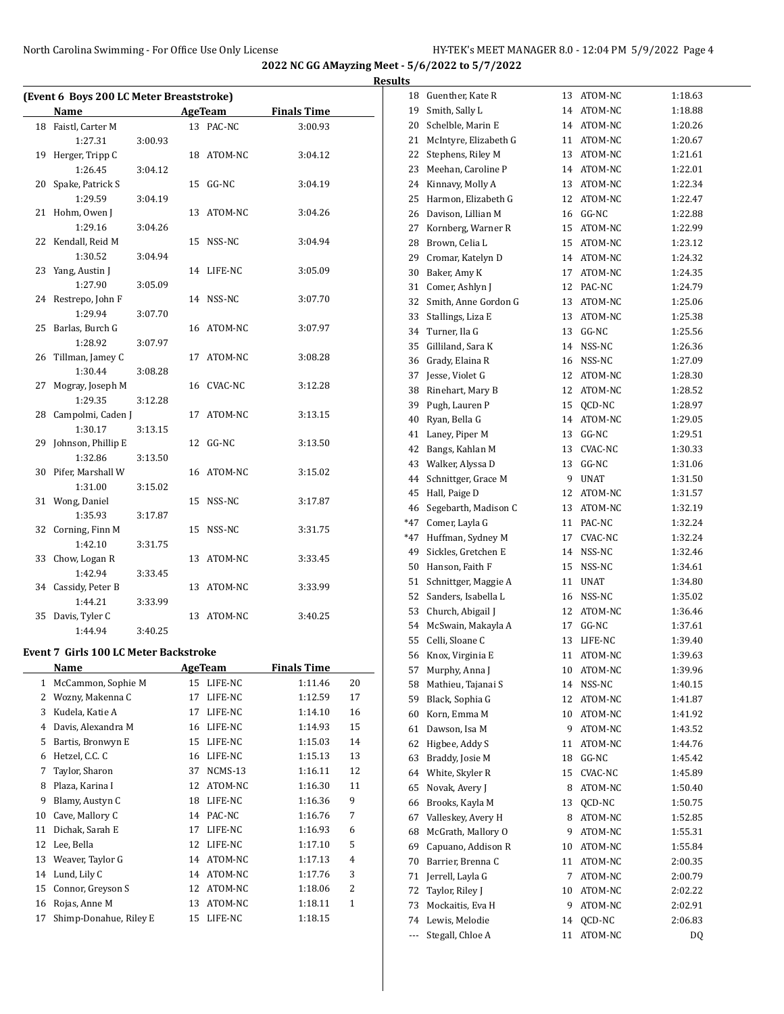**Results**

|    | (Event 6 Boys 200 LC Meter Breaststroke)<br><b>Name</b> |         |    | AgeTeam        | <b>Finals Time</b> |    |
|----|---------------------------------------------------------|---------|----|----------------|--------------------|----|
|    | 18 Faistl, Carter M                                     |         |    | 13 PAC-NC      | 3:00.93            |    |
|    | 1:27.31                                                 | 3:00.93 |    |                |                    |    |
| 19 | Herger, Tripp C                                         |         |    | 18 ATOM-NC     | 3:04.12            |    |
|    | 1:26.45                                                 | 3:04.12 |    |                |                    |    |
| 20 | Spake, Patrick S                                        |         |    | 15 GG-NC       | 3:04.19            |    |
|    | 1:29.59                                                 | 3:04.19 |    |                |                    |    |
| 21 | Hohm, Owen J                                            |         |    | 13 ATOM-NC     | 3:04.26            |    |
|    | 1:29.16                                                 | 3:04.26 |    |                |                    |    |
| 22 | Kendall, Reid M                                         |         |    | 15 NSS-NC      | 3:04.94            |    |
|    | 1:30.52                                                 | 3:04.94 |    |                |                    |    |
| 23 | Yang, Austin J                                          |         |    | 14 LIFE-NC     | 3:05.09            |    |
|    | 1:27.90                                                 | 3:05.09 |    |                |                    |    |
| 24 | Restrepo, John F                                        |         |    | 14 NSS-NC      | 3:07.70            |    |
|    | 1:29.94                                                 | 3:07.70 |    |                |                    |    |
| 25 | Barlas, Burch G                                         |         |    | 16 ATOM-NC     | 3:07.97            |    |
|    | 1:28.92                                                 | 3:07.97 |    |                |                    |    |
| 26 | Tillman, Jamey C                                        |         |    | 17 ATOM-NC     | 3:08.28            |    |
|    | 1:30.44                                                 | 3:08.28 |    |                |                    |    |
| 27 | Mogray, Joseph M                                        |         |    | 16 CVAC-NC     | 3:12.28            |    |
|    | 1:29.35                                                 | 3:12.28 |    |                |                    |    |
| 28 | Campolmi, Caden J                                       |         | 17 | ATOM-NC        | 3:13.15            |    |
|    | 1:30.17                                                 | 3:13.15 |    |                |                    |    |
|    | 29 Johnson, Phillip E                                   |         |    | 12 GG-NC       | 3:13.50            |    |
|    | 1:32.86                                                 | 3:13.50 |    |                |                    |    |
|    | 30 Pifer, Marshall W                                    |         |    | 16 ATOM-NC     | 3:15.02            |    |
|    | 1:31.00                                                 | 3:15.02 |    |                |                    |    |
| 31 | Wong, Daniel                                            |         |    | 15 NSS-NC      | 3:17.87            |    |
|    | 1:35.93                                                 | 3:17.87 |    |                |                    |    |
| 32 | Corning, Finn M                                         |         |    | 15 NSS-NC      | 3:31.75            |    |
|    | 1:42.10                                                 | 3:31.75 |    |                |                    |    |
| 33 | Chow, Logan R                                           |         |    | 13 ATOM-NC     | 3:33.45            |    |
|    | 1:42.94                                                 | 3:33.45 |    |                |                    |    |
|    | 34 Cassidy, Peter B                                     |         |    | 13 ATOM-NC     | 3:33.99            |    |
|    | 1:44.21                                                 | 3:33.99 |    |                |                    |    |
| 35 | Davis, Tyler C<br>1:44.94                               |         |    | 13 ATOM-NC     | 3:40.25            |    |
|    |                                                         | 3:40.25 |    |                |                    |    |
|    | Event 7 Girls 100 LC Meter Backstroke                   |         |    |                |                    |    |
|    | <u>Name</u>                                             |         |    | <b>AgeTeam</b> | <b>Finals Time</b> |    |
| 1  | McCammon, Sophie M                                      |         | 15 | LIFE-NC        | 1:11.46            | 20 |
| 2  | Wozny, Makenna C                                        |         | 17 | LIFE-NC        | 1:12.59            | 17 |
| 3  | Kudela, Katie A                                         |         | 17 | LIFE-NC        | 1:14.10            | 16 |
| 4  | Davis, Alexandra M                                      |         | 16 | LIFE-NC        | 1:14.93            | 15 |
| 5  | Bartis, Bronwyn E                                       |         | 15 | LIFE-NC        | 1:15.03            | 14 |
| 6  | Hetzel, C.C. C                                          |         | 16 | LIFE-NC        | 1:15.13            | 13 |
| 7  | Taylor, Sharon                                          |         | 37 | NCMS-13        | 1:16.11            | 12 |
| 8  | Plaza, Karina I                                         |         | 12 | ATOM-NC        | 1:16.30            | 11 |
| 9  | Blamy, Austyn C                                         |         | 18 | LIFE-NC        | 1:16.36            | 9  |
| 10 | Cave, Mallory C                                         |         | 14 | PAC-NC         | 1:16.76            | 7  |
| 11 | Dichak, Sarah E                                         |         | 17 | LIFE-NC        | 1:16.93            | 6  |
| 12 | Lee, Bella                                              |         | 12 | LIFE-NC        | 1:17.10            | 5  |
| 13 | Weaver, Taylor G                                        |         | 14 | ATOM-NC        | 1:17.13            | 4  |
| 14 | Lund, Lily C                                            |         | 14 | ATOM-NC        | 1:17.76            | 3  |
| 15 | Connor, Greyson S                                       |         | 12 | ATOM-NC        | 1:18.06            | 2  |
| 16 | Rojas, Anne M                                           |         | 13 | ATOM-NC        | 1:18.11            | 1  |
| 17 | Shimp-Donahue, Riley E                                  |         | 15 | LIFE-NC        | 1:18.15            |    |

| 18                       | Guenther, Kate R      | 13 | ATOM-NC        | 1:18.63 |
|--------------------------|-----------------------|----|----------------|---------|
| 19                       | Smith, Sally L        | 14 | ATOM-NC        | 1:18.88 |
|                          | Schelble, Marin E     | 14 |                |         |
| 20                       |                       |    | ATOM-NC        | 1:20.26 |
| 21                       | McIntyre, Elizabeth G | 11 | ATOM-NC        | 1:20.67 |
| 22                       | Stephens, Riley M     | 13 | ATOM-NC        | 1:21.61 |
| 23                       | Meehan, Caroline P    | 14 | ATOM-NC        | 1:22.01 |
| 24                       | Kinnavy, Molly A      | 13 | ATOM-NC        | 1:22.34 |
| 25                       | Harmon, Elizabeth G   | 12 | ATOM-NC        | 1:22.47 |
| 26                       | Davison, Lillian M    | 16 | GG-NC          | 1:22.88 |
| 27                       | Kornberg, Warner R    | 15 | ATOM-NC        | 1:22.99 |
| 28                       | Brown, Celia L        | 15 | ATOM-NC        | 1:23.12 |
| 29                       | Cromar, Katelyn D     | 14 | ATOM-NC        | 1:24.32 |
| 30                       | Baker, Amy K          | 17 | ATOM-NC        | 1:24.35 |
| 31                       | Comer, Ashlyn J       | 12 | PAC-NC         | 1:24.79 |
| 32                       | Smith, Anne Gordon G  | 13 | ATOM-NC        | 1:25.06 |
| 33                       | Stallings, Liza E     | 13 | ATOM-NC        | 1:25.38 |
| 34                       | Turner, Ila G         | 13 | GG-NC          | 1:25.56 |
| 35                       | Gilliland, Sara K     | 14 | NSS-NC         | 1:26.36 |
| 36                       | Grady, Elaina R       | 16 | NSS-NC         | 1:27.09 |
| 37                       | Jesse, Violet G       | 12 | ATOM-NC        | 1:28.30 |
| 38                       | Rinehart, Mary B      | 12 | ATOM-NC        | 1:28.52 |
| 39                       | Pugh, Lauren P        | 15 | OCD-NC         | 1:28.97 |
| 40                       | Ryan, Bella G         | 14 | ATOM-NC        | 1:29.05 |
| 41                       | Laney, Piper M        | 13 | GG-NC          | 1:29.51 |
| 42                       | Bangs, Kahlan M       | 13 | <b>CVAC-NC</b> | 1:30.33 |
| 43                       | Walker, Alyssa D      | 13 | GG-NC          | 1:31.06 |
| 44                       | Schnittger, Grace M   | 9  | UNAT           | 1:31.50 |
| 45                       | Hall, Paige D         | 12 | ATOM-NC        | 1:31.57 |
| 46                       | Segebarth, Madison C  | 13 | ATOM-NC        | 1:32.19 |
| *47                      | Comer, Layla G        | 11 | PAC-NC         | 1:32.24 |
| *47                      | Huffman, Sydney M     | 17 | CVAC-NC        | 1:32.24 |
| 49                       | Sickles, Gretchen E   | 14 | NSS-NC         | 1:32.46 |
| 50                       | Hanson, Faith F       | 15 | NSS-NC         | 1:34.61 |
| 51                       | Schnittger, Maggie A  | 11 | <b>UNAT</b>    | 1:34.80 |
| 52                       | Sanders, Isabella L   | 16 | NSS-NC         | 1:35.02 |
| 53                       | Church, Abigail J     | 12 | ATOM-NC        | 1:36.46 |
| 54                       | McSwain, Makayla A    | 17 | GG-NC          | 1:37.61 |
| 55                       | Celli, Sloane C       | 13 | LIFE-NC        | 1:39.40 |
| 56                       | Knox, Virginia E      | 11 | ATOM-NC        | 1:39.63 |
| 57                       | Murphy, Anna J        | 10 | ATOM-NC        | 1:39.96 |
| 58                       | Mathieu, Tajanai S    | 14 | NSS-NC         | 1:40.15 |
| 59                       | Black, Sophia G       | 12 | ATOM-NC        | 1:41.87 |
| 60                       | Korn. Emma M          | 10 | ATOM-NC        | 1:41.92 |
| 61                       | Dawson, Isa M         | 9  | ATOM-NC        | 1:43.52 |
| 62                       | Higbee, Addy S        | 11 | ATOM-NC        | 1:44.76 |
| 63                       | Braddy, Josie M       | 18 | GG-NC          | 1:45.42 |
| 64                       | White, Skyler R       | 15 | CVAC-NC        | 1:45.89 |
| 65                       | Novak, Avery J        | 8  | ATOM-NC        | 1:50.40 |
| 66                       | Brooks, Kayla M       | 13 | QCD-NC         | 1:50.75 |
| 67                       | Valleskey, Avery H    | 8  | ATOM-NC        | 1:52.85 |
| 68                       | McGrath, Mallory O    | 9  | ATOM-NC        | 1:55.31 |
| 69                       | Capuano, Addison R    | 10 | ATOM-NC        | 1:55.84 |
| 70                       | Barrier, Brenna C     | 11 | ATOM-NC        | 2:00.35 |
| 71                       | Jerrell, Layla G      | 7  | ATOM-NC        | 2:00.79 |
| 72                       | Taylor, Riley J       | 10 | ATOM-NC        | 2:02.22 |
| 73                       | Mockaitis, Eva H      | 9  | ATOM-NC        | 2:02.91 |
| 74                       | Lewis, Melodie        | 14 | QCD-NC         | 2:06.83 |
| $\overline{\phantom{a}}$ | Stegall, Chloe A      | 11 | ATOM-NC        | DQ      |
|                          |                       |    |                |         |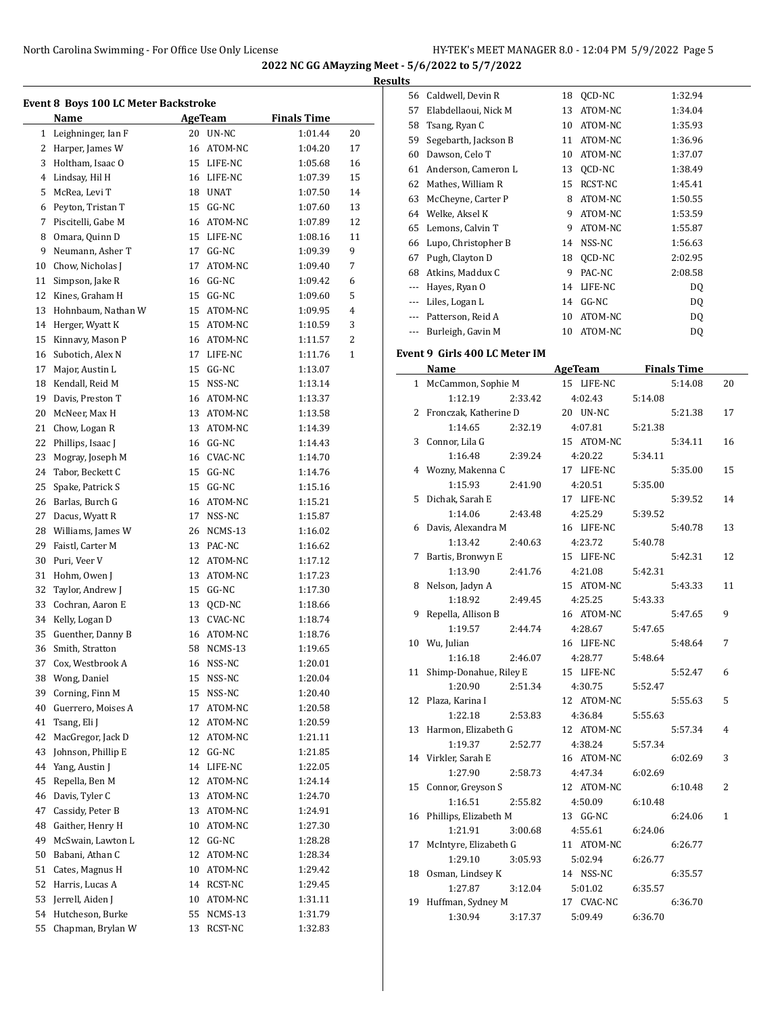**Results**

|              | Name               |    | <b>AgeTeam</b> | <b>Finals Time</b> |    |
|--------------|--------------------|----|----------------|--------------------|----|
| $\mathbf{1}$ | Leighninger, Ian F |    | 20 UN-NC       | 1:01.44            | 20 |
| 2            | Harper, James W    |    | 16 ATOM-NC     | 1:04.20            | 17 |
| 3            | Holtham, Isaac O   |    | 15 LIFE-NC     | 1:05.68            | 16 |
| 4            | Lindsay, Hil H     |    | 16 LIFE-NC     | 1:07.39            | 15 |
| 5            | McRea, Levi T      |    | 18 UNAT        | 1:07.50            | 14 |
| 6            | Peyton, Tristan T  | 15 | $GG-NC$        | 1:07.60            | 13 |
| 7            | Piscitelli, Gabe M |    | 16 ATOM-NC     | 1:07.89            | 12 |
| 8            | Omara, Quinn D     |    | 15 LIFE-NC     | 1:08.16            | 11 |
| 9            | Neumann, Asher T   | 17 | $GG-NC$        | 1:09.39            | 9  |
| 10           | Chow, Nicholas J   | 17 | ATOM-NC        | 1:09.40            | 7  |
| 11           | Simpson, Jake R    |    | 16 GG-NC       | 1:09.42            | 6  |
| 12           | Kines, Graham H    |    | 15 GG-NC       | 1:09.60            | 5  |
| 13           | Hohnbaum, Nathan W |    | 15 ATOM-NC     | 1:09.95            | 4  |
| 14           | Herger, Wyatt K    |    | 15 ATOM-NC     | 1:10.59            | 3  |
| 15           | Kinnavy, Mason P   |    | 16 ATOM-NC     | 1:11.57            | 2  |
| 16           | Subotich, Alex N   | 17 | LIFE-NC        | 1:11.76            | 1  |
| 17           | Major, Austin L    | 15 | $GG-NC$        | 1:13.07            |    |
| 18           | Kendall, Reid M    |    | 15 NSS-NC      | 1:13.14            |    |
| 19           | Davis, Preston T   |    | 16 ATOM-NC     | 1:13.37            |    |
| 20           |                    |    | 13 ATOM-NC     | 1:13.58            |    |
|              | McNeer, Max H      | 13 |                |                    |    |
| 21           | Chow, Logan R      |    | ATOM-NC        | 1:14.39            |    |
| 22           | Phillips, Isaac J  |    | 16 GG-NC       | 1:14.43            |    |
| 23           | Mogray, Joseph M   |    | 16 CVAC-NC     | 1:14.70            |    |
| 24           | Tabor, Beckett C   |    | 15 GG-NC       | 1:14.76            |    |
| 25           | Spake, Patrick S   | 15 | $GG-NC$        | 1:15.16            |    |
| 26           | Barlas, Burch G    |    | 16 ATOM-NC     | 1:15.21            |    |
| 27           | Dacus, Wyatt R     | 17 | NSS-NC         | 1:15.87            |    |
| 28           | Williams, James W  |    | 26 NCMS-13     | 1:16.02            |    |
| 29           | Faistl, Carter M   |    | 13 PAC-NC      | 1:16.62            |    |
| 30           | Puri, Veer V       |    | 12 ATOM-NC     | 1:17.12            |    |
| 31           | Hohm, Owen J       |    | 13 ATOM-NC     | 1:17.23            |    |
| 32           | Taylor, Andrew J   |    | 15 GG-NC       | 1:17.30            |    |
| 33           | Cochran, Aaron E   | 13 | QCD-NC         | 1:18.66            |    |
| 34           | Kelly, Logan D     | 13 | CVAC-NC        | 1:18.74            |    |
| 35           | Guenther, Danny B  | 16 | ATOM-NC        | 1:18.76            |    |
| 36           | Smith, Stratton    | 58 | NCMS-13        | 1:19.65            |    |
| 37           | Cox, Westbrook A   | 16 | NSS-NC         | 1:20.01            |    |
| 38           | Wong, Daniel       | 15 | NSS-NC         | 1:20.04            |    |
| 39           | Corning, Finn M    | 15 | NSS-NC         | 1:20.40            |    |
| 40           | Guerrero, Moises A | 17 | ATOM-NC        | 1:20.58            |    |
| 41           | Tsang, Eli J       | 12 | ATOM-NC        | 1:20.59            |    |
| 42           | MacGregor, Jack D  | 12 | ATOM-NC        | 1:21.11            |    |
| 43           | Johnson, Phillip E | 12 | GG-NC          | 1:21.85            |    |
| 44           | Yang, Austin J     | 14 | LIFE-NC        | 1:22.05            |    |
| 45           | Repella, Ben M     | 12 | ATOM-NC        | 1:24.14            |    |
| 46           | Davis, Tyler C     | 13 | ATOM-NC        | 1:24.70            |    |
| 47           | Cassidy, Peter B   | 13 | ATOM-NC        | 1:24.91            |    |
| 48           | Gaither, Henry H   | 10 | ATOM-NC        | 1:27.30            |    |
| 49           | McSwain, Lawton L  | 12 | GG-NC          | 1:28.28            |    |
| 50           | Babani, Athan C    | 12 | ATOM-NC        | 1:28.34            |    |
| 51           | Cates, Magnus H    | 10 | ATOM-NC        | 1:29.42            |    |
| 52           | Harris, Lucas A    | 14 | RCST-NC        | 1:29.45            |    |
| 53           | Jerrell, Aiden J   | 10 | ATOM-NC        | 1:31.11            |    |
| 54           | Hutcheson, Burke   | 55 | NCMS-13        | 1:31.79            |    |
| 55           | Chapman, Brylan W  | 13 | RCST-NC        | 1:32.83            |    |

| s        |                      |    |         |         |
|----------|----------------------|----|---------|---------|
| 56       | Caldwell, Devin R    | 18 | OCD-NC  | 1:32.94 |
| 57       | Elabdellaoui, Nick M | 13 | ATOM-NC | 1:34.04 |
| 58       | Tsang, Ryan C        | 10 | ATOM-NC | 1:35.93 |
| 59       | Segebarth, Jackson B | 11 | ATOM-NC | 1:36.96 |
| 60       | Dawson, Celo T       | 10 | ATOM-NC | 1:37.07 |
| 61       | Anderson, Cameron L  | 13 | QCD-NC  | 1:38.49 |
| 62       | Mathes, William R    | 15 | RCST-NC | 1:45.41 |
| 63       | McCheyne, Carter P   | 8  | ATOM-NC | 1:50.55 |
| 64       | Welke, Aksel K       | 9  | ATOM-NC | 1:53.59 |
| 65       | Lemons, Calvin T     | 9  | ATOM-NC | 1:55.87 |
| 66       | Lupo, Christopher B  | 14 | NSS-NC  | 1:56.63 |
| 67       | Pugh, Clayton D      | 18 | OCD-NC  | 2:02.95 |
| 68       | Atkins, Maddux C     | 9  | PAC-NC  | 2:08.58 |
| ---      | Hayes, Ryan O        | 14 | LIFE-NC | DQ      |
| ---      | Liles, Logan L       | 14 | $GG-NC$ | DQ      |
| $\cdots$ | Patterson, Reid A    | 10 | ATOM-NC | DQ      |
| $\cdots$ | Burleigh, Gavin M    | 10 | ATOM-NC | DQ      |

# **Event 9 Girls 400 LC Meter IM**

|              | Name                   | <b>AgeTeam</b> | <b>Finals Time</b> |    |
|--------------|------------------------|----------------|--------------------|----|
| $\mathbf{1}$ | McCammon, Sophie M     | 15 LIFE-NC     | 5:14.08            | 20 |
|              | 1:12.19<br>2:33.42     | 4:02.43        | 5:14.08            |    |
| 2            | Fronczak, Katherine D  | 20 UN-NC       | 5:21.38            | 17 |
|              | 1:14.65<br>2:32.19     | 4:07.81        | 5:21.38            |    |
| 3            | Connor, Lila G         | 15 ATOM-NC     | 5:34.11            | 16 |
|              | 1:16.48<br>2:39.24     | 4:20.22        | 5:34.11            |    |
| 4            | Wozny, Makenna C       | 17 LIFE-NC     | 5:35.00            | 15 |
|              | 1:15.93<br>2:41.90     | 4:20.51        | 5:35.00            |    |
| 5            | Dichak, Sarah E        | 17 LIFE-NC     | 5:39.52            | 14 |
|              | 1:14.06<br>2:43.48     | 4:25.29        | 5:39.52            |    |
| 6            | Davis, Alexandra M     | 16 LIFE-NC     | 5:40.78            | 13 |
|              | 1:13.42<br>2:40.63     | 4:23.72        | 5:40.78            |    |
| 7            | Bartis, Bronwyn E      | 15 LIFE-NC     | 5:42.31            | 12 |
|              | 1:13.90<br>2:41.76     | 4:21.08        | 5:42.31            |    |
| 8            | Nelson, Jadyn A        | 15 ATOM-NC     | 5:43.33            | 11 |
|              | 1:18.92<br>2:49.45     | 4:25.25        | 5:43.33            |    |
| 9            | Repella, Allison B     | 16 ATOM-NC     | 5:47.65            | 9  |
|              | 1:19.57<br>2:44.74     | 4:28.67        | 5:47.65            |    |
| 10           | Wu, Julian             | 16 LIFE-NC     | 5:48.64            | 7  |
|              | 1:16.18<br>2:46.07     | 4:28.77        | 5:48.64            |    |
| 11           | Shimp-Donahue, Riley E | 15 LIFE-NC     | 5:52.47            | 6  |
|              | 1:20.90<br>2:51.34     | 4:30.75        | 5:52.47            |    |
| 12           | Plaza, Karina I        | 12 ATOM-NC     | 5:55.63            | 5  |
|              | 1:22.18<br>2:53.83     | 4:36.84        | 5:55.63            |    |
| 13           | Harmon, Elizabeth G    | 12 ATOM-NC     | 5:57.34            | 4  |
|              | 1:19.37<br>2:52.77     | 4:38.24        | 5:57.34            |    |
| 14           | Virkler, Sarah E       | 16 ATOM-NC     | 6:02.69            | 3  |
|              | 1:27.90<br>2:58.73     | 4:47.34        | 6:02.69            |    |
| 15           | Connor, Greyson S      | 12 ATOM-NC     | 6:10.48            | 2  |
|              | 1:16.51<br>2:55.82     | 4:50.09        | 6:10.48            |    |
| 16           | Phillips, Elizabeth M  | 13 GG-NC       | 6:24.06            | 1  |
|              | 1:21.91<br>3:00.68     | 4:55.61        | 6:24.06            |    |
| 17           | McIntyre, Elizabeth G  | 11 ATOM-NC     | 6:26.77            |    |
|              | 1:29.10<br>3:05.93     | 5:02.94        | 6:26.77            |    |
| 18           | Osman, Lindsey K       | 14 NSS-NC      | 6:35.57            |    |
|              | 1:27.87<br>3:12.04     | 5:01.02        | 6:35.57            |    |
| 19           | Huffman, Sydney M      | 17 CVAC-NC     | 6:36.70            |    |
|              | 1:30.94<br>3:17.37     | 5:09.49        | 6:36.70            |    |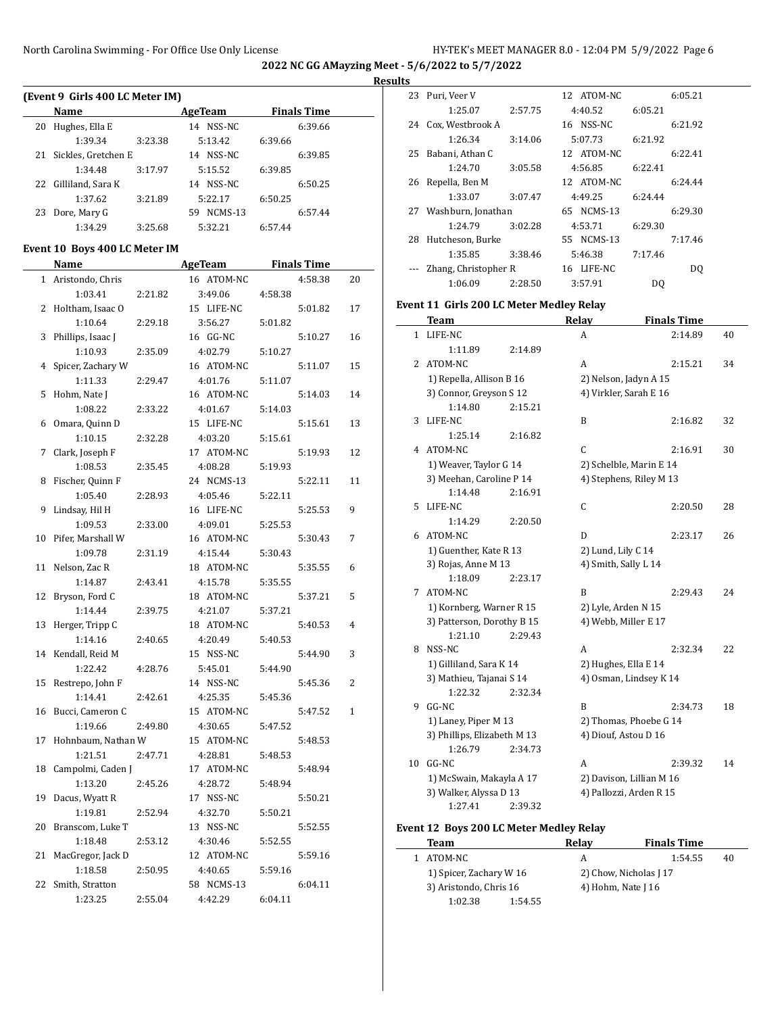#### **Results**

| (Event 9 Girls 400 LC Meter IM) |                      |         |                 |         |                    |  |  |  |  |
|---------------------------------|----------------------|---------|-----------------|---------|--------------------|--|--|--|--|
|                                 | Name                 |         | AgeTeam         |         | <b>Finals Time</b> |  |  |  |  |
| 20                              | Hughes, Ella E       |         | NSS-NC<br>14    |         | 6:39.66            |  |  |  |  |
|                                 | 1:39.34              | 3:23.38 | 5:13.42         | 6:39.66 |                    |  |  |  |  |
| 21                              | Sickles, Gretchen E  |         | 14 NSS-NC       |         | 6:39.85            |  |  |  |  |
|                                 | 1:34.48              | 3:17.97 | 5:15.52         | 6:39.85 |                    |  |  |  |  |
|                                 | 22 Gilliland, Sara K |         | 14 NSS-NC       |         | 6:50.25            |  |  |  |  |
|                                 | 1:37.62              | 3:21.89 | 5:22.17         | 6:50.25 |                    |  |  |  |  |
| 23                              | Dore, Mary G         |         | $NCMS-13$<br>59 |         | 6:57.44            |  |  |  |  |
|                                 | 1:34.29              | 3:25.68 | 5:32.21         | 6:57.44 |                    |  |  |  |  |
|                                 |                      |         |                 |         |                    |  |  |  |  |

#### **Event 10 Boys 400 LC Meter IM**

|    | Name                |         | <b>AgeTeam</b> | <b>Finals Time</b> |         |                |
|----|---------------------|---------|----------------|--------------------|---------|----------------|
| 1  | Aristondo, Chris    |         | 16 ATOM-NC     |                    | 4:58.38 | 20             |
|    | 1:03.41             | 2:21.82 | 3:49.06        | 4:58.38            |         |                |
| 2  | Holtham, Isaac O    |         | 15 LIFE-NC     |                    | 5:01.82 | 17             |
|    | 1:10.64             | 2:29.18 | 3:56.27        | 5:01.82            |         |                |
| 3  | Phillips, Isaac J   |         | 16 GG-NC       |                    | 5:10.27 | 16             |
|    | 1:10.93             | 2:35.09 | 4:02.79        | 5:10.27            |         |                |
|    | 4 Spicer, Zachary W |         | 16 ATOM-NC     |                    | 5:11.07 | 15             |
|    | 1:11.33             | 2:29.47 | 4:01.76        | 5:11.07            |         |                |
| 5  | Hohm, Nate J        |         | 16 ATOM-NC     |                    | 5:14.03 | 14             |
|    | 1:08.22             | 2:33.22 | 4:01.67        | 5:14.03            |         |                |
| 6  | Omara, Quinn D      |         | 15 LIFE-NC     |                    | 5:15.61 | 13             |
|    | 1:10.15             | 2:32.28 | 4:03.20        | 5:15.61            |         |                |
| 7  | Clark, Joseph F     |         | 17 ATOM-NC     |                    | 5:19.93 | 12             |
|    | 1:08.53             | 2:35.45 | 4:08.28        | 5:19.93            |         |                |
| 8  | Fischer, Quinn F    |         | 24 NCMS-13     |                    | 5:22.11 | 11             |
|    | 1:05.40             | 2:28.93 | 4:05.46        | 5:22.11            |         |                |
| 9  | Lindsay, Hil H      |         | 16 LIFE-NC     |                    | 5:25.53 | 9              |
|    | 1:09.53             | 2:33.00 | 4:09.01        | 5:25.53            |         |                |
| 10 | Pifer, Marshall W   |         | 16 ATOM-NC     |                    | 5:30.43 | 7              |
|    | 1:09.78             | 2:31.19 | 4:15.44        | 5:30.43            |         |                |
| 11 | Nelson, Zac R       |         | 18 ATOM-NC     |                    | 5:35.55 | 6              |
|    | 1:14.87             | 2:43.41 | 4:15.78        | 5:35.55            |         |                |
| 12 | Bryson, Ford C      |         | 18 ATOM-NC     |                    | 5:37.21 | 5              |
|    | 1:14.44             | 2:39.75 | 4:21.07        | 5:37.21            |         |                |
| 13 | Herger, Tripp C     |         | 18 ATOM-NC     |                    | 5:40.53 | 4              |
|    | 1:14.16             | 2:40.65 | 4:20.49        | 5:40.53            |         |                |
| 14 | Kendall, Reid M     |         | 15 NSS-NC      |                    | 5:44.90 | 3              |
|    | 1:22.42             | 4:28.76 | 5:45.01        | 5:44.90            |         |                |
| 15 | Restrepo, John F    |         | 14 NSS-NC      |                    | 5:45.36 | $\overline{2}$ |
|    | 1:14.41             | 2:42.61 | 4:25.35        | 5:45.36            |         |                |
| 16 | Bucci, Cameron C    |         | 15 ATOM-NC     |                    | 5:47.52 | 1              |
|    | 1:19.66             | 2:49.80 | 4:30.65        | 5:47.52            |         |                |
| 17 | Hohnbaum, Nathan W  |         | 15 ATOM-NC     |                    | 5:48.53 |                |
|    | 1:21.51             | 2:47.71 | 4:28.81        | 5:48.53            |         |                |
| 18 | Campolmi, Caden J   |         | 17 ATOM-NC     |                    | 5:48.94 |                |
|    | 1:13.20             | 2:45.26 | 4:28.72        | 5:48.94            |         |                |
| 19 | Dacus, Wyatt R      |         | 17 NSS-NC      |                    | 5:50.21 |                |
|    | 1:19.81             | 2:52.94 | 4:32.70        | 5:50.21            |         |                |
| 20 | Branscom, Luke T    |         | 13 NSS-NC      |                    | 5:52.55 |                |
|    | 1:18.48             | 2:53.12 | 4:30.46        | 5:52.55            |         |                |
| 21 | MacGregor, Jack D   |         | 12 ATOM-NC     |                    | 5:59.16 |                |
|    | 1:18.58             | 2:50.95 | 4:40.65        | 5:59.16            |         |                |
| 22 | Smith, Stratton     |         | 58 NCMS-13     |                    | 6:04.11 |                |
|    | 1:23.25             | 2:55.04 | 4:42.29        | 6:04.11            |         |                |

| 23 | Puri, Veer V         |         | 12 ATOM-NC |         | 6:05.21 |
|----|----------------------|---------|------------|---------|---------|
|    | 1:25.07              | 2:57.75 | 4:40.52    | 6:05.21 |         |
| 24 | Cox, Westbrook A     |         | 16 NSS-NC  |         | 6:21.92 |
|    | 1:26.34              | 3:14.06 | 5:07.73    | 6:21.92 |         |
| 25 | Babani, Athan C      |         | 12 ATOM-NC |         | 6:22.41 |
|    | 1:24.70              | 3:05.58 | 4:56.85    | 6:22.41 |         |
| 26 | Repella, Ben M       |         | 12 ATOM-NC |         | 6:24.44 |
|    | 1:33.07              | 3:07.47 | 4:49.25    | 6:24.44 |         |
| 27 | Washburn, Jonathan   |         | 65 NCMS-13 |         | 6:29.30 |
|    | 1:24.79              | 3:02.28 | 4:53.71    | 6:29.30 |         |
| 28 | Hutcheson, Burke     |         | 55 NCMS-13 |         | 7:17.46 |
|    | 1:35.85              | 3:38.46 | 5:46.38    | 7:17.46 |         |
|    | Zhang, Christopher R |         | 16 LIFE-NC |         | DO.     |
|    | 1:06.09              | 2:28.50 | 3:57.91    | DO      |         |

#### **Event 11 Girls 200 LC Meter Medley Relay**

|    | Team                        |         | Relay                | <b>Finals Time</b>       |    |  |  |
|----|-----------------------------|---------|----------------------|--------------------------|----|--|--|
| 1  | LIFE-NC                     |         | A                    | 2:14.89                  | 40 |  |  |
|    | 1:11.89                     | 2:14.89 |                      |                          |    |  |  |
| 2  | ATOM-NC                     |         | A                    | 2:15.21                  | 34 |  |  |
|    | 1) Repella, Allison B 16    |         |                      | 2) Nelson, Jadyn A 15    |    |  |  |
|    | 3) Connor, Greyson S 12     |         |                      | 4) Virkler, Sarah E 16   |    |  |  |
|    | 1:14.80                     | 2:15.21 |                      |                          |    |  |  |
| 3  | LIFE-NC                     |         | B                    | 2:16.82                  | 32 |  |  |
|    | 1:25.14                     | 2:16.82 |                      |                          |    |  |  |
| 4  | ATOM-NC                     |         | $\mathcal{C}$        | 2:16.91                  | 30 |  |  |
|    | 1) Weaver, Taylor G 14      |         |                      | 2) Schelble, Marin E 14  |    |  |  |
|    | 3) Meehan, Caroline P 14    |         |                      | 4) Stephens, Riley M 13  |    |  |  |
|    | 1:14.48                     | 2:16.91 |                      |                          |    |  |  |
| 5  | LIFE-NC                     |         | C                    | 2:20.50                  | 28 |  |  |
|    | 1:14.29                     | 2:20.50 |                      |                          |    |  |  |
| 6  | ATOM-NC                     |         | D                    | 2:23.17                  | 26 |  |  |
|    | 1) Guenther, Kate R 13      |         | 2) Lund, Lily C 14   |                          |    |  |  |
|    | 3) Rojas, Anne M 13         |         | 4) Smith, Sally L 14 |                          |    |  |  |
|    | 1:18.09                     | 2:23.17 |                      |                          |    |  |  |
| 7  | ATOM-NC                     |         | B                    | 2:29.43                  | 24 |  |  |
|    | 1) Kornberg, Warner R 15    |         |                      | 2) Lyle, Arden N 15      |    |  |  |
|    | 3) Patterson, Dorothy B 15  |         | 4) Webb, Miller E 17 |                          |    |  |  |
|    | 1:21.10                     | 2:29.43 |                      |                          |    |  |  |
| 8  | NSS-NC                      |         | A                    | 2:32.34                  | 22 |  |  |
|    | 1) Gilliland, Sara K 14     |         |                      | 2) Hughes, Ella E 14     |    |  |  |
|    | 3) Mathieu, Tajanai S 14    |         |                      | 4) Osman, Lindsey K 14   |    |  |  |
|    | 1:22.32                     | 2:32.34 |                      |                          |    |  |  |
| 9  | $GG-NC$                     |         | R                    | 2:34.73                  | 18 |  |  |
|    | 1) Laney, Piper M 13        |         |                      | 2) Thomas, Phoebe G 14   |    |  |  |
|    | 3) Phillips, Elizabeth M 13 |         | 4) Diouf, Astou D 16 |                          |    |  |  |
|    | 1:26.79                     | 2:34.73 |                      |                          |    |  |  |
| 10 | $GG-NC$                     |         | A                    | 2:39.32                  | 14 |  |  |
|    | 1) McSwain, Makayla A 17    |         |                      | 2) Davison, Lillian M 16 |    |  |  |
|    | 3) Walker, Alyssa D 13      |         |                      | 4) Pallozzi, Arden R 15  |    |  |  |
|    | 1:27.41                     | 2:39.32 |                      |                          |    |  |  |

# **Event 12 Boys 200 LC Meter Medley Relay**

| Team                    | Relav              | <b>Finals Time</b>     |    |
|-------------------------|--------------------|------------------------|----|
| 1 ATOM-NC               | A                  | 1:54.55                | 40 |
| 1) Spicer, Zachary W 16 |                    | 2) Chow, Nicholas J 17 |    |
| 3) Aristondo, Chris 16  | 4) Hohm, Nate J 16 |                        |    |
| 1:02.38<br>1:54.55      |                    |                        |    |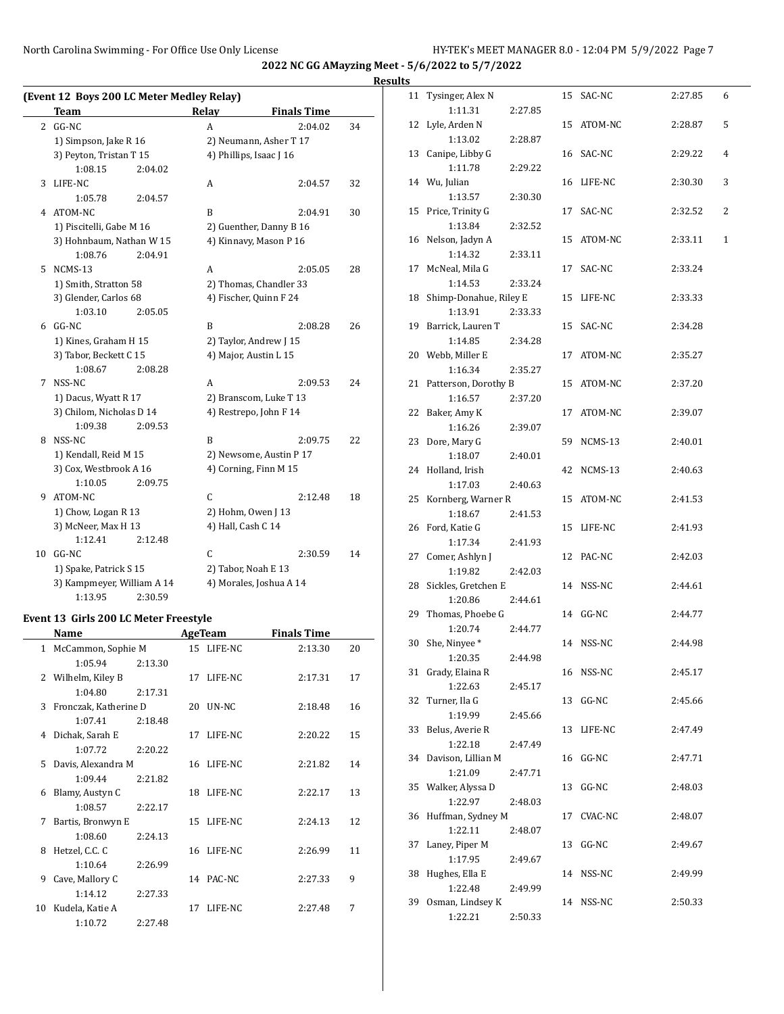North Carolina Swimming - For Office Use Only License HY-TEK's MEET MANAGER 8.0 - 12:04 PM 5/9/2022 Page 7

**2022 NC GG AMayzing Meet - 5/6/2022 to 5/7/2022**

**Results**

|    | (Event 12 Boys 200 LC Meter Medley Relay) |         |                         |                         |    |  |
|----|-------------------------------------------|---------|-------------------------|-------------------------|----|--|
|    | <b>Team</b>                               |         | Relay                   | <b>Finals Time</b>      |    |  |
| 2  | $GG-NC$                                   |         | A                       | 2:04.02                 | 34 |  |
|    | 1) Simpson, Jake R 16                     |         |                         | 2) Neumann, Asher T 17  |    |  |
|    | 3) Peyton, Tristan T 15                   |         |                         | 4) Phillips, Isaac J 16 |    |  |
|    | 1:08.15                                   | 2:04.02 |                         |                         |    |  |
| 3  | LIFE-NC                                   |         | A                       | 2:04.57                 | 32 |  |
|    | 1:05.78                                   | 2:04.57 |                         |                         |    |  |
| 4  | ATOM-NC                                   |         | B                       | 2:04.91                 | 30 |  |
|    | 1) Piscitelli, Gabe M 16                  |         |                         | 2) Guenther, Danny B 16 |    |  |
|    | 3) Hohnbaum, Nathan W 15                  |         |                         | 4) Kinnavy, Mason P 16  |    |  |
|    | 1:08.76                                   | 2:04.91 |                         |                         |    |  |
| 5  | $NCMS-13$                                 |         | A                       | 2:05.05                 | 28 |  |
|    | 1) Smith, Stratton 58                     |         |                         | 2) Thomas, Chandler 33  |    |  |
|    | 3) Glender, Carlos 68                     |         |                         | 4) Fischer, Quinn F 24  |    |  |
|    | 1:03.10                                   | 2:05.05 |                         |                         |    |  |
| 6  | $GG-NC$                                   |         | B                       | 2:08.28                 | 26 |  |
|    | 1) Kines, Graham H 15                     |         |                         | 2) Taylor, Andrew J 15  |    |  |
|    | 3) Tabor, Beckett C 15                    |         |                         | 4) Major, Austin L 15   |    |  |
|    | 1:08.67                                   | 2:08.28 |                         |                         |    |  |
| 7  | NSS-NC                                    |         | A                       | 2:09.53                 | 24 |  |
|    | 1) Dacus, Wyatt R 17                      |         |                         | 2) Branscom, Luke T 13  |    |  |
|    | 3) Chilom, Nicholas D 14                  |         |                         | 4) Restrepo, John F 14  |    |  |
|    | 1:09.38                                   | 2:09.53 |                         |                         |    |  |
| 8  | NSS-NC                                    |         | B                       | 2:09.75                 | 22 |  |
|    | 1) Kendall, Reid M 15                     |         | 2) Newsome, Austin P 17 |                         |    |  |
|    | 3) Cox, Westbrook A 16                    |         |                         | 4) Corning, Finn M 15   |    |  |
|    | 1:10.05                                   | 2:09.75 |                         |                         |    |  |
| 9  | ATOM-NC                                   |         | C                       | 2:12.48                 | 18 |  |
|    | 1) Chow, Logan R 13                       |         | 2) Hohm, Owen J 13      |                         |    |  |
|    | 3) McNeer, Max H 13                       |         | 4) Hall, Cash C 14      |                         |    |  |
|    | 1:12.41                                   | 2:12.48 |                         |                         |    |  |
| 10 | $GG-NC$                                   |         | C                       | 2:30.59                 | 14 |  |
|    | 1) Spake, Patrick S 15                    |         |                         | 2) Tabor, Noah E 13     |    |  |
|    | 3) Kampmeyer, William A 14                |         |                         | 4) Morales, Joshua A 14 |    |  |
|    | 1:13.95                                   | 2:30.59 |                         |                         |    |  |

## **Event 13 Girls 200 LC Meter Freestyle**

|              | Name                  |         | <b>AgeTeam</b> |            | <b>Finals Time</b> |    |
|--------------|-----------------------|---------|----------------|------------|--------------------|----|
| $\mathbf{1}$ | McCammon, Sophie M    |         |                | 15 LIFE-NC | 2:13.30            | 20 |
|              | 1:05.94               | 2:13.30 |                |            |                    |    |
| 2            | Wilhelm, Kiley B      |         |                | 17 LIFE-NC | 2:17.31            | 17 |
|              | 1:04.80               | 2:17.31 |                |            |                    |    |
| 3            | Fronczak, Katherine D |         | 20             | UN-NC      | 2:18.48            | 16 |
|              | 1:07.41               | 2:18.48 |                |            |                    |    |
| 4            | Dichak, Sarah E       |         | 17             | LIFE-NC    | 2:20.22            | 15 |
|              | 1:07.72               | 2:20.22 |                |            |                    |    |
| 5.           | Davis, Alexandra M    |         |                | 16 LIFE-NC | 2:21.82            | 14 |
|              | 1:09.44               | 2:21.82 |                |            |                    |    |
| 6            | Blamy, Austyn C       |         | 18             | LIFE-NC    | 2:22.17            | 13 |
|              | 1:08.57               | 2:22.17 |                |            |                    |    |
| 7            | Bartis, Bronwyn E     |         |                | 15 LIFE-NC | 2:24.13            | 12 |
|              | 1:08.60               | 2:24.13 |                |            |                    |    |
| 8            | Hetzel, C.C. C        |         |                | 16 LIFE-NC | 2:26.99            | 11 |
|              | 1:10.64               | 2:26.99 |                |            |                    |    |
| 9            | Cave, Mallory C       |         |                | 14 PAC-NC  | 2:27.33            | 9  |
|              | 1:14.12               | 2:27.33 |                |            |                    |    |
| 10           | Kudela, Katie A       |         | 17             | LIFE-NC    | 2:27.48            | 7  |
|              | 1:10.72               | 2:27.48 |                |            |                    |    |

| 11 | Tysinger, Alex N       |         | 15 | SAC-NC         | 2:27.85 | 6            |
|----|------------------------|---------|----|----------------|---------|--------------|
|    | 1:11.31                | 2:27.85 |    |                |         |              |
| 12 | Lyle, Arden N          |         | 15 | ATOM-NC        | 2:28.87 | 5            |
|    | 1:13.02                | 2:28.87 |    |                |         |              |
|    | 13 Canipe, Libby G     |         | 16 | SAC-NC         | 2:29.22 | 4            |
|    | 1:11.78                | 2:29.22 |    |                |         |              |
|    | 14 Wu, Julian          |         | 16 | LIFE-NC        | 2:30.30 | 3            |
|    | 1:13.57                | 2:30.30 |    |                |         |              |
|    | 15 Price, Trinity G    |         | 17 | SAC-NC         | 2:32.52 | 2            |
|    | 1:13.84                | 2:32.52 |    |                |         |              |
|    | 16 Nelson, Jadyn A     |         | 15 | ATOM-NC        | 2:33.11 | $\mathbf{1}$ |
|    | 1:14.32                | 2:33.11 |    |                |         |              |
| 17 | McNeal, Mila G         |         | 17 | SAC-NC         | 2:33.24 |              |
|    | 1:14.53                | 2:33.24 |    |                |         |              |
| 18 | Shimp-Donahue, Riley E |         | 15 | LIFE-NC        | 2:33.33 |              |
|    | 1:13.91                | 2:33.33 |    |                |         |              |
| 19 | Barrick, Lauren T      |         | 15 | SAC-NC         | 2:34.28 |              |
|    | 1:14.85                | 2:34.28 |    |                |         |              |
|    | 20 Webb, Miller E      |         | 17 | ATOM-NC        | 2:35.27 |              |
|    | 1:16.34                | 2:35.27 |    |                |         |              |
| 21 | Patterson, Dorothy B   |         | 15 | ATOM-NC        | 2:37.20 |              |
|    | 1:16.57                | 2:37.20 |    |                |         |              |
|    | 22 Baker, Amy K        |         | 17 | ATOM-NC        | 2:39.07 |              |
|    | 1:16.26                | 2:39.07 |    |                |         |              |
| 23 | Dore, Mary G           |         | 59 | NCMS-13        | 2:40.01 |              |
|    | 1:18.07                | 2:40.01 |    |                |         |              |
| 24 | Holland, Irish         |         | 42 | NCMS-13        | 2:40.63 |              |
|    | 1:17.03                | 2:40.63 |    |                |         |              |
| 25 | Kornberg, Warner R     |         | 15 | ATOM-NC        | 2:41.53 |              |
|    | 1:18.67                | 2:41.53 |    |                |         |              |
| 26 | Ford, Katie G          |         | 15 | LIFE-NC        | 2:41.93 |              |
|    | 1:17.34                | 2:41.93 |    |                |         |              |
| 27 | Comer, Ashlyn J        |         | 12 | PAC-NC         | 2:42.03 |              |
|    | 1:19.82                | 2:42.03 |    |                |         |              |
| 28 | Sickles, Gretchen E    |         |    | 14 NSS-NC      | 2:44.61 |              |
|    | 1:20.86                | 2:44.61 |    |                |         |              |
| 29 | Thomas, Phoebe G       |         |    | 14 GG-NC       | 2:44.77 |              |
|    | 1:20.74                | 2:44.77 |    |                |         |              |
| 30 | She, Ninyee*           |         |    | 14 NSS-NC      | 2:44.98 |              |
|    | 1:20.35                | 2:44.98 |    |                |         |              |
| 31 | Grady, Elaina R        |         | 16 | NSS-NC         | 2:45.17 |              |
|    | 1:22.63                | 2:45.17 |    |                |         |              |
| 32 | Turner, Ila G          |         | 13 | GG-NC          | 2:45.66 |              |
|    | 1:19.99                | 2:45.66 |    |                |         |              |
| 33 | Belus, Averie R        |         | 13 | LIFE-NC        | 2:47.49 |              |
|    | 1:22.18                | 2:47.49 |    |                |         |              |
|    | 34 Davison, Lillian M  |         | 16 | GG-NC          | 2:47.71 |              |
|    | 1:21.09                | 2:47.71 |    |                |         |              |
|    | 35 Walker, Alyssa D    |         | 13 | GG-NC          | 2:48.03 |              |
|    | 1:22.97                | 2:48.03 |    |                |         |              |
| 36 | Huffman, Sydney M      |         | 17 | <b>CVAC-NC</b> | 2:48.07 |              |
|    | 1:22.11                | 2:48.07 |    |                |         |              |
| 37 | Laney, Piper M         |         | 13 | GG-NC          | 2:49.67 |              |
|    | 1:17.95                | 2:49.67 |    |                |         |              |
| 38 | Hughes, Ella E         |         | 14 | NSS-NC         | 2:49.99 |              |
|    | 1:22.48                | 2:49.99 |    |                |         |              |
| 39 | Osman, Lindsey K       |         | 14 | NSS-NC         | 2:50.33 |              |
|    | 1:22.21                | 2:50.33 |    |                |         |              |
|    |                        |         |    |                |         |              |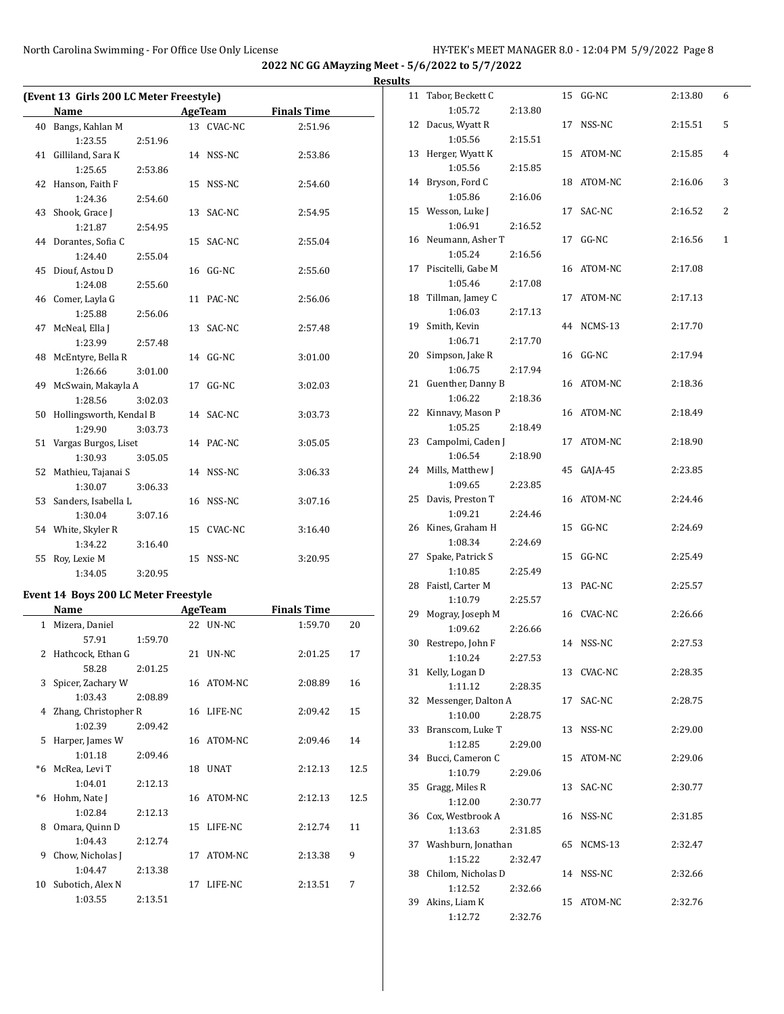|    | (Event 13 Girls 200 LC Meter Freestyle) |         |            |                    |
|----|-----------------------------------------|---------|------------|--------------------|
|    | Name                                    |         | AgeTeam    | <b>Finals Time</b> |
|    | 40 Bangs, Kahlan M                      |         | 13 CVAC-NC | 2:51.96            |
|    | 1:23.55                                 | 2:51.96 |            |                    |
| 41 | Gilliland, Sara K                       |         | 14 NSS-NC  | 2:53.86            |
|    | 1:25.65                                 | 2:53.86 |            |                    |
| 42 | Hanson, Faith F                         |         | 15 NSS-NC  | 2:54.60            |
|    | 1:24.36                                 | 2:54.60 |            |                    |
| 43 | Shook, Grace J                          |         | 13 SAC-NC  | 2:54.95            |
|    | 1:21.87                                 | 2:54.95 |            |                    |
|    | 44 Dorantes, Sofia C                    |         | 15 SAC-NC  | 2:55.04            |
|    | 1:24.40                                 | 2:55.04 |            |                    |
|    | 45 Diouf, Astou D                       |         | 16 GG-NC   | 2:55.60            |
|    | 1:24.08                                 | 2:55.60 |            |                    |
|    | 46 Comer, Layla G                       |         | 11 PAC-NC  | 2:56.06            |
|    | 1:25.88                                 | 2:56.06 |            |                    |
| 47 | McNeal, Ella J                          |         | 13 SAC-NC  | 2:57.48            |
|    | 1:23.99                                 | 2:57.48 |            |                    |
| 48 | McEntyre, Bella R                       |         | 14 GG-NC   | 3:01.00            |
|    | 1:26.66                                 | 3:01.00 |            |                    |
|    | 49 McSwain, Makayla A                   |         | 17 GG-NC   | 3:02.03            |
|    | 1:28.56                                 | 3:02.03 |            |                    |
| 50 | Hollingsworth, Kendal B                 |         | 14 SAC-NC  | 3:03.73            |
|    | 1:29.90                                 | 3:03.73 |            |                    |
|    | 51 Vargas Burgos, Liset                 |         | 14 PAC-NC  | 3:05.05            |
|    | 1:30.93                                 | 3:05.05 |            |                    |
| 52 | Mathieu, Tajanai S                      |         | 14 NSS-NC  | 3:06.33            |
|    | 1:30.07                                 | 3:06.33 |            |                    |
|    | 53 Sanders, Isabella L                  |         | 16 NSS-NC  | 3:07.16            |
|    | 1:30.04                                 | 3:07.16 |            |                    |
|    | 54 White, Skyler R                      |         | 15 CVAC-NC | 3:16.40            |
|    | 1:34.22                                 | 3:16.40 |            |                    |
| 55 | Roy, Lexie M                            |         | 15 NSS-NC  | 3:20.95            |
|    | 1:34.05                                 | 3:20.95 |            |                    |

# **Event 14 Boys 200 LC Meter Freestyle**

|              | Name                   |         |    | <b>AgeTeam</b>  | <b>Finals Time</b> |      |
|--------------|------------------------|---------|----|-----------------|--------------------|------|
| $\mathbf{1}$ | Mizera, Daniel         |         | 22 | UN-NC           | 1:59.70            | 20   |
|              | 57.91                  | 1:59.70 |    |                 |                    |      |
| 2            | Hathcock, Ethan G      |         |    | 21 <b>UN-NC</b> | 2:01.25            | 17   |
|              | 58.28                  | 2:01.25 |    |                 |                    |      |
|              | 3 Spicer, Zachary W    |         |    | 16 ATOM-NC      | 2:08.89            | 16   |
|              | 1:03.43                | 2:08.89 |    |                 |                    |      |
|              | 4 Zhang, Christopher R |         | 16 | LIFE-NC         | 2:09.42            | 15   |
|              | 1:02.39                | 2:09.42 |    |                 |                    |      |
| 5            | Harper, James W        |         | 16 | ATOM-NC         | 2:09.46            | 14   |
|              | 1:01.18                | 2:09.46 |    |                 |                    |      |
| *6           | McRea, Levi T          |         | 18 | <b>UNAT</b>     | 2:12.13            | 12.5 |
|              | 1:04.01                | 2:12.13 |    |                 |                    |      |
| *6           | Hohm, Nate J           |         | 16 | ATOM-NC         | 2:12.13            | 12.5 |
|              | 1:02.84                | 2:12.13 |    |                 |                    |      |
| 8            | Omara, Quinn D         |         |    | 15 LIFE-NC      | 2:12.74            | 11   |
|              | 1:04.43                | 2:12.74 |    |                 |                    |      |
| 9            | Chow, Nicholas J       |         | 17 | ATOM-NC         | 2:13.38            | 9    |
|              | 1:04.47                | 2:13.38 |    |                 |                    |      |
| 10           | Subotich, Alex N       |         | 17 | LIFE-NC         | 2:13.51            | 7    |
|              | 1:03.55                | 2:13.51 |    |                 |                    |      |

| <b>Results</b> |                                  |         |            |         |                |
|----------------|----------------------------------|---------|------------|---------|----------------|
|                | 11 Tabor, Beckett C<br>1:05.72   | 2:13.80 | 15 GG-NC   | 2:13.80 | 6              |
|                | 12 Dacus, Wyatt R                |         | 17 NSS-NC  | 2:15.51 | 5              |
|                | 1:05.56<br>13 Herger, Wyatt K    | 2:15.51 | 15 ATOM-NC | 2:15.85 | $\overline{4}$ |
|                | 1:05.56<br>14 Bryson, Ford C     | 2:15.85 | 18 ATOM-NC | 2:16.06 | 3              |
|                | 1:05.86<br>15 Wesson, Luke J     | 2:16.06 | 17 SAC-NC  | 2:16.52 | 2              |
|                | 1:06.91<br>16 Neumann, Asher T   | 2:16.52 | 17 GG-NC   | 2:16.56 | $\mathbf{1}$   |
|                | 1:05.24<br>17 Piscitelli, Gabe M | 2:16.56 | 16 ATOM-NC | 2:17.08 |                |
|                | 1:05.46<br>18 Tillman, Jamey C   | 2:17.08 | 17 ATOM-NC | 2:17.13 |                |
|                | 1:06.03<br>19 Smith, Kevin       | 2:17.13 | 44 NCMS-13 | 2:17.70 |                |
|                | 1:06.71<br>20 Simpson, Jake R    | 2:17.70 | 16 GG-NC   | 2:17.94 |                |
|                | 1:06.75<br>21 Guenther, Danny B  | 2:17.94 | 16 ATOM-NC | 2:18.36 |                |
|                | 1:06.22<br>22 Kinnavy, Mason P   | 2:18.36 | 16 ATOM-NC | 2:18.49 |                |
|                | 1:05.25<br>23 Campolmi, Caden J  | 2:18.49 | 17 ATOM-NC | 2:18.90 |                |
|                | 1:06.54<br>24 Mills, Matthew J   | 2:18.90 | 45 GAJA-45 | 2:23.85 |                |
|                | 1:09.65                          | 2:23.85 | 16 ATOM-NC | 2:24.46 |                |
|                | 25 Davis, Preston T<br>1:09.21   | 2:24.46 |            |         |                |
|                | 26 Kines, Graham H<br>1:08.34    | 2:24.69 | 15 GG-NC   | 2:24.69 |                |
|                | 27 Spake, Patrick S<br>1:10.85   | 2:25.49 | 15 GG-NC   | 2:25.49 |                |
|                | 28 Faistl, Carter M<br>1:10.79   | 2:25.57 | 13 PAC-NC  | 2:25.57 |                |
|                | 29 Mogray, Joseph M<br>1:09.62   | 2:26.66 | 16 CVAC-NC | 2:26.66 |                |
|                | 30 Restrepo, John F<br>1:10.24   | 2:27.53 | 14 NSS-NC  | 2:27.53 |                |
|                | 31 Kelly, Logan D<br>1:11.12     | 2:28.35 | 13 CVAC-NC | 2:28.35 |                |
| 32             | Messenger, Dalton A<br>1:10.00   | 2:28.75 | 17 SAC-NC  | 2:28.75 |                |
|                | 33 Branscom, Luke T<br>1:12.85   | 2:29.00 | 13 NSS-NC  | 2:29.00 |                |
|                | 34 Bucci, Cameron C<br>1:10.79   | 2:29.06 | 15 ATOM-NC | 2:29.06 |                |
|                | 35 Gragg, Miles R<br>1:12.00     | 2:30.77 | 13 SAC-NC  | 2:30.77 |                |
|                | 36 Cox, Westbrook A<br>1:13.63   | 2:31.85 | 16 NSS-NC  | 2:31.85 |                |
|                | 37 Washburn, Jonathan<br>1:15.22 | 2:32.47 | 65 NCMS-13 | 2:32.47 |                |
|                | 38 Chilom, Nicholas D<br>1:12.52 | 2:32.66 | 14 NSS-NC  | 2:32.66 |                |
|                | 39 Akins, Liam K<br>1:12.72      | 2:32.76 | 15 ATOM-NC | 2:32.76 |                |
|                |                                  |         |            |         |                |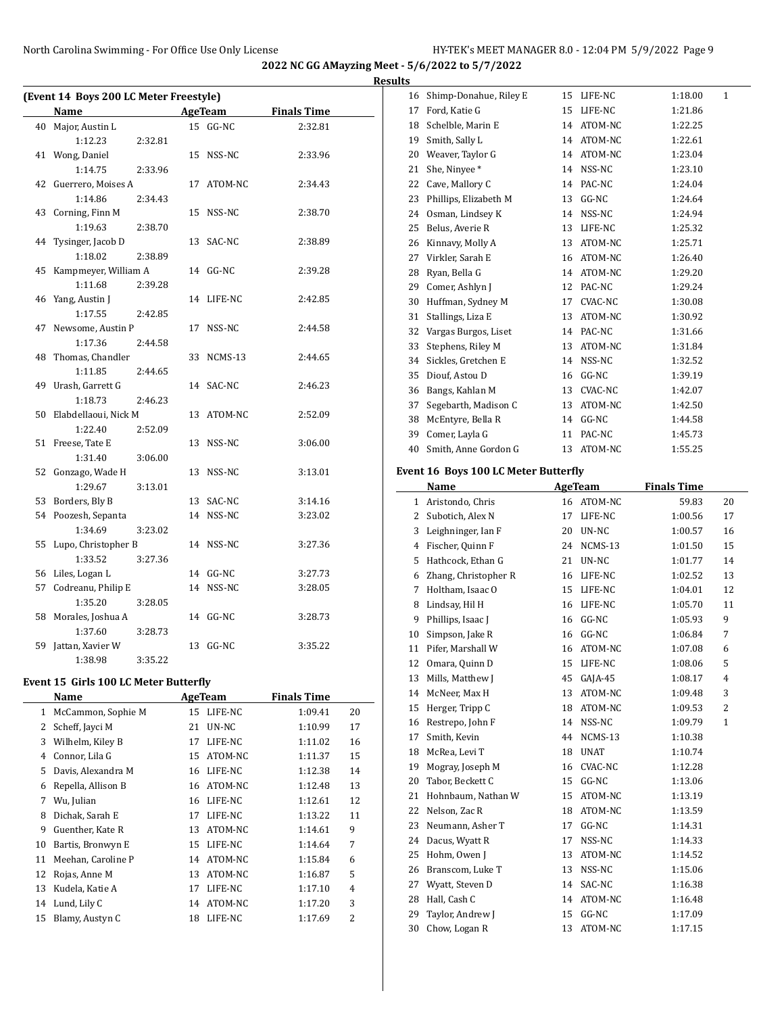L

**2022 NC GG AMayzing Meet - 5/6/2022 to 5/7/2022**

**Results**

|    | (Event 14 Boys 200 LC Meter Freestyle) |         |    |           |                    |
|----|----------------------------------------|---------|----|-----------|--------------------|
|    | Name                                   |         |    | AgeTeam   | <b>Finals Time</b> |
| 40 | Major, Austin L                        |         |    | 15 GG-NC  | 2:32.81            |
|    | 1:12.23                                | 2:32.81 |    |           |                    |
| 41 | Wong, Daniel                           |         | 15 | NSS-NC    | 2:33.96            |
|    | 1:14.75                                | 2:33.96 |    |           |                    |
| 42 | Guerrero, Moises A                     |         | 17 | ATOM-NC   | 2:34.43            |
|    | 1:14.86                                | 2:34.43 |    |           |                    |
| 43 | Corning, Finn M                        |         | 15 | NSS-NC    | 2:38.70            |
|    | 1:19.63                                | 2:38.70 |    |           |                    |
| 44 | Tysinger, Jacob D                      |         | 13 | SAC-NC    | 2:38.89            |
|    | 1:18.02                                | 2:38.89 |    |           |                    |
| 45 | Kampmeyer, William A                   |         | 14 | $GG-NC$   | 2:39.28            |
|    | 1:11.68                                | 2:39.28 |    |           |                    |
| 46 | Yang, Austin J                         |         | 14 | LIFE-NC   | 2:42.85            |
|    | 1:17.55                                | 2:42.85 |    |           |                    |
| 47 | Newsome, Austin P                      |         | 17 | NSS-NC    | 2:44.58            |
|    | 1:17.36                                | 2:44.58 |    |           |                    |
| 48 | Thomas, Chandler                       |         | 33 | NCMS-13   | 2:44.65            |
|    | 1:11.85                                | 2:44.65 |    |           |                    |
| 49 | Urash, Garrett G                       |         |    | 14 SAC-NC | 2:46.23            |
|    | 1:18.73                                | 2:46.23 |    |           |                    |
| 50 | Elabdellaoui, Nick M                   |         | 13 | ATOM-NC   | 2:52.09            |
|    | 1:22.40                                | 2:52.09 |    |           |                    |
| 51 | Freese, Tate E                         |         | 13 | NSS-NC    | 3:06.00            |
|    | 1:31.40                                | 3:06.00 |    |           |                    |
| 52 | Gonzago, Wade H                        |         | 13 | NSS-NC    | 3:13.01            |
|    | 1:29.67                                | 3:13.01 |    |           |                    |
| 53 | Borders, Bly B                         |         | 13 | SAC-NC    | 3:14.16            |
| 54 | Poozesh, Sepanta                       |         |    | 14 NSS-NC | 3:23.02            |
|    | 1:34.69                                | 3:23.02 |    |           |                    |
| 55 | Lupo, Christopher B                    |         |    | 14 NSS-NC | 3:27.36            |
|    | 1:33.52                                | 3:27.36 |    |           |                    |
| 56 | Liles, Logan L                         |         |    | 14 GG-NC  | 3:27.73            |
| 57 | Codreanu, Philip E                     |         |    | 14 NSS-NC | 3:28.05            |
|    | 1:35.20                                | 3:28.05 |    |           |                    |
| 58 | Morales, Joshua A                      |         |    | 14 GG-NC  | 3:28.73            |
|    | 1:37.60                                | 3:28.73 |    |           |                    |
| 59 | Jattan, Xavier W                       |         | 13 | GG-NC     | 3:35.22            |
|    | 1:38.98                                | 3:35.22 |    |           |                    |

## **Event 15 Girls 100 LC Meter Butterfly**

|    | Name               |    | AgeTeam | <b>Finals Time</b> |                |
|----|--------------------|----|---------|--------------------|----------------|
| 1  | McCammon, Sophie M | 15 | LIFE-NC | 1:09.41            | 20             |
| 2  | Scheff, Jayci M    | 21 | UN-NC   | 1:10.99            | 17             |
| 3  | Wilhelm, Kiley B   | 17 | LIFE-NC | 1:11.02            | 16             |
| 4  | Connor, Lila G     | 15 | ATOM-NC | 1:11.37            | 15             |
| 5  | Davis, Alexandra M | 16 | LIFE-NC | 1:12.38            | 14             |
| 6  | Repella, Allison B | 16 | ATOM-NC | 1:12.48            | 13             |
| 7  | Wu, Julian         | 16 | LIFE-NC | 1:12.61            | 12             |
| 8  | Dichak, Sarah E    | 17 | LIFE-NC | 1:13.22            | 11             |
| 9  | Guenther, Kate R   | 13 | ATOM-NC | 1:14.61            | 9              |
| 10 | Bartis, Bronwyn E  | 15 | LIFE-NC | 1:14.64            | 7              |
| 11 | Meehan, Caroline P | 14 | ATOM-NC | 1:15.84            | 6              |
| 12 | Rojas, Anne M      | 13 | ATOM-NC | 1:16.87            | 5              |
| 13 | Kudela, Katie A    | 17 | LIFE-NC | 1:17.10            | 4              |
| 14 | Lund, Lily C       | 14 | ATOM-NC | 1:17.20            | 3              |
| 15 | Blamy, Austyn C    | 18 | LIFE-NC | 1:17.69            | $\overline{2}$ |
|    |                    |    |         |                    |                |

| 16 | Shimp-Donahue, Riley E | 15 | LIFE-NC | 1:18.00 | $\mathbf{1}$ |
|----|------------------------|----|---------|---------|--------------|
| 17 | Ford, Katie G          | 15 | LIFE-NC | 1:21.86 |              |
| 18 | Schelble, Marin E      | 14 | ATOM-NC | 1:22.25 |              |
| 19 | Smith, Sally L         | 14 | ATOM-NC | 1:22.61 |              |
| 20 | Weaver, Taylor G       | 14 | ATOM-NC | 1:23.04 |              |
| 21 | She, Ninyee*           | 14 | NSS-NC  | 1:23.10 |              |
| 22 | Cave, Mallory C        | 14 | PAC-NC  | 1:24.04 |              |
| 23 | Phillips, Elizabeth M  | 13 | $GG-NC$ | 1:24.64 |              |
| 24 | Osman, Lindsey K       | 14 | NSS-NC  | 1:24.94 |              |
| 25 | Belus, Averie R        | 13 | LIFE-NC | 1:25.32 |              |
| 26 | Kinnavy, Molly A       | 13 | ATOM-NC | 1:25.71 |              |
| 27 | Virkler, Sarah E       | 16 | ATOM-NC | 1:26.40 |              |
| 28 | Ryan, Bella G          | 14 | ATOM-NC | 1:29.20 |              |
| 29 | Comer, Ashlyn J        | 12 | PAC-NC  | 1:29.24 |              |
| 30 | Huffman, Sydney M      | 17 | CVAC-NC | 1:30.08 |              |
| 31 | Stallings, Liza E      | 13 | ATOM-NC | 1:30.92 |              |
| 32 | Vargas Burgos, Liset   | 14 | PAC-NC  | 1:31.66 |              |
| 33 | Stephens, Riley M      | 13 | ATOM-NC | 1:31.84 |              |
| 34 | Sickles, Gretchen E    | 14 | NSS-NC  | 1:32.52 |              |
| 35 | Diouf, Astou D         | 16 | $GG-NC$ | 1:39.19 |              |
| 36 | Bangs, Kahlan M        | 13 | CVAC-NC | 1:42.07 |              |
| 37 | Segebarth, Madison C   | 13 | ATOM-NC | 1:42.50 |              |
| 38 | McEntyre, Bella R      | 14 | $GG-NC$ | 1:44.58 |              |
| 39 | Comer, Layla G         | 11 | PAC-NC  | 1:45.73 |              |
| 40 | Smith, Anne Gordon G   | 13 | ATOM-NC | 1:55.25 |              |

## **Event 16 Boys 100 LC Meter Butterfly**

|              | Name                 |    | AgeTeam     | <b>Finals Time</b> |                |
|--------------|----------------------|----|-------------|--------------------|----------------|
| $\mathbf{1}$ | Aristondo, Chris     |    | 16 ATOM-NC  | 59.83              | 20             |
| 2            | Subotich. Alex N     | 17 | LIFE-NC     | 1:00.56            | 17             |
| 3            | Leighninger, Ian F   | 20 | UN-NC       | 1:00.57            | 16             |
| 4            | Fischer, Quinn F     | 24 | NCMS-13     | 1:01.50            | 15             |
| 5            | Hathcock, Ethan G    | 21 | UN-NC       | 1:01.77            | 14             |
| 6            | Zhang, Christopher R | 16 | LIFE-NC     | 1:02.52            | 13             |
| 7            | Holtham, Isaac O     | 15 | LIFE-NC     | 1:04.01            | 12             |
| 8            | Lindsay, Hil H       | 16 | LIFE-NC     | 1:05.70            | 11             |
| 9            | Phillips, Isaac J    | 16 | $GG-NC$     | 1:05.93            | 9              |
| 10           | Simpson, Jake R      | 16 | $GG-NC$     | 1:06.84            | 7              |
| 11           | Pifer, Marshall W    | 16 | ATOM-NC     | 1:07.08            | 6              |
| 12           | Omara, Quinn D       | 15 | LIFE-NC     | 1:08.06            | 5              |
| 13           | Mills, Matthew J     | 45 | $GAIA-45$   | 1:08.17            | $\overline{4}$ |
| 14           | McNeer, Max H        | 13 | ATOM-NC     | 1:09.48            | 3              |
| 15           | Herger, Tripp C      | 18 | ATOM-NC     | 1:09.53            | $\overline{2}$ |
| 16           | Restrepo, John F     | 14 | NSS-NC      | 1:09.79            | $\mathbf{1}$   |
| 17           | Smith, Kevin         | 44 | NCMS-13     | 1:10.38            |                |
| 18           | McRea, Levi T        | 18 | <b>UNAT</b> | 1:10.74            |                |
| 19           | Mogray, Joseph M     | 16 | CVAC-NC     | 1:12.28            |                |
| 20           | Tabor, Beckett C     | 15 | $GG-NC$     | 1:13.06            |                |
| 21           | Hohnbaum, Nathan W   | 15 | ATOM-NC     | 1:13.19            |                |
| 22           | Nelson, Zac R        | 18 | ATOM-NC     | 1:13.59            |                |
| 23           | Neumann, Asher T     | 17 | $GG-NC$     | 1:14.31            |                |
| 24           | Dacus, Wyatt R       | 17 | NSS-NC      | 1:14.33            |                |
| 25           | Hohm, Owen J         | 13 | ATOM-NC     | 1:14.52            |                |
| 26           | Branscom, Luke T     | 13 | NSS-NC      | 1:15.06            |                |
| 27           | Wyatt, Steven D      | 14 | SAC-NC      | 1:16.38            |                |
| 28           | Hall, Cash C         | 14 | ATOM-NC     | 1:16.48            |                |
| 29           | Taylor, Andrew J     | 15 | $GG-NC$     | 1:17.09            |                |
| 30           | Chow, Logan R        | 13 | ATOM-NC     | 1:17.15            |                |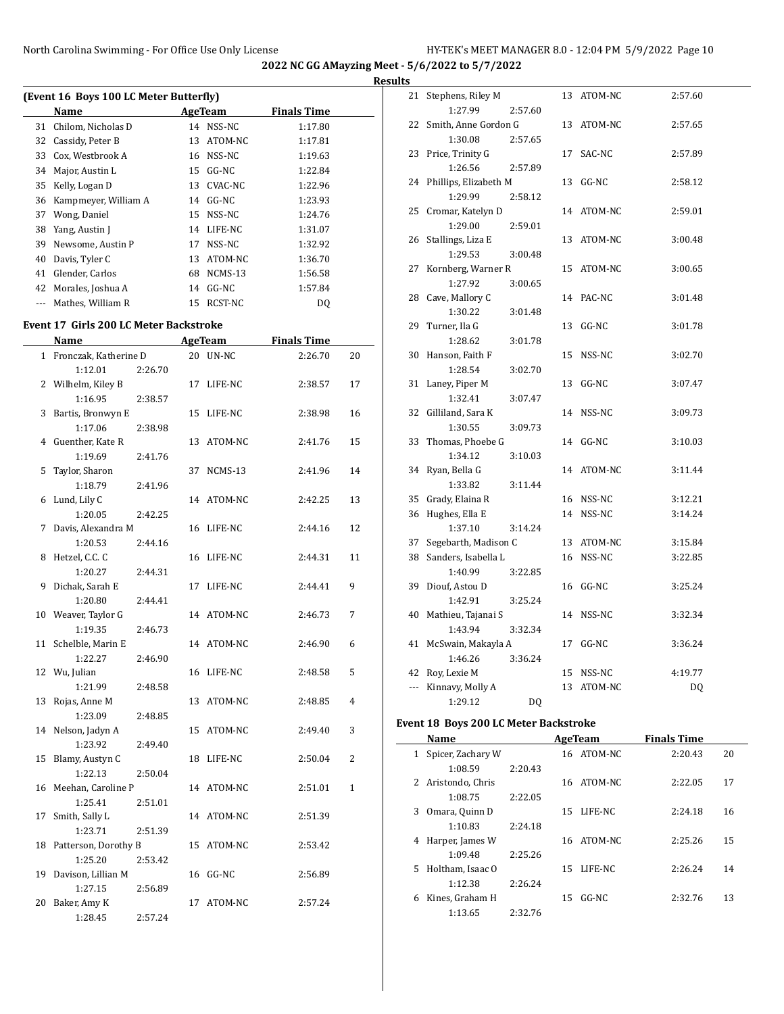$\overline{a}$ 

**2022 NC GG AMayzing Meet - 5/6/2022 to 5/7/2022**

|    |                                        |    |                |                    | <b>Results</b> |
|----|----------------------------------------|----|----------------|--------------------|----------------|
|    | (Event 16 Boys 100 LC Meter Butterfly) |    |                |                    | $2^{\circ}$    |
|    | Name                                   |    | <b>AgeTeam</b> | <b>Finals Time</b> |                |
| 31 | Chilom, Nicholas D                     | 14 | NSS-NC         | 1:17.80            | 2:             |
| 32 | Cassidy, Peter B                       | 13 | ATOM-NC        | 1:17.81            |                |
| 33 | Cox, Westbrook A                       | 16 | NSS-NC         | 1:19.63            | 2:             |
| 34 | Major, Austin L                        | 15 | $GG-NC$        | 1:22.84            |                |
| 35 | Kelly, Logan D                         | 13 | CVAC-NC        | 1:22.96            | 2 <sup>1</sup> |
| 36 | Kampmeyer, William A                   |    | 14 GG-NC       | 1:23.93            |                |
| 37 | Wong, Daniel                           | 15 | NSS-NC         | 1:24.76            | 2!             |
| 38 | Yang, Austin J                         | 14 | LIFE-NC        | 1:31.07            |                |
| 39 | Newsome, Austin P                      | 17 | NSS-NC         | 1:32.92            | $\overline{2}$ |
| 40 | Davis, Tyler C                         | 13 | ATOM-NC        | 1:36.70            |                |
| 41 | Glender, Carlos                        | 68 | NCMS-13        | 1:56.58            | $2^{\prime}$   |
| 42 | Morales, Joshua A                      | 14 | GG-NC          | 1:57.84            |                |
|    | Mathes, William R                      | 15 | RCST-NC        | DQ                 | 21             |

#### **Event 17 Girls 200 LC Meter Backstroke**

|              | <b>Name</b>           |    | <b>AgeTeam</b> | <b>Finals Time</b> |                |
|--------------|-----------------------|----|----------------|--------------------|----------------|
| $\mathbf{1}$ | Fronczak, Katherine D |    | 20 UN-NC       | 2:26.70            | 20             |
|              | 1:12.01<br>2:26.70    |    |                |                    |                |
|              | 2 Wilhelm, Kiley B    |    | 17 LIFE-NC     | 2:38.57            | 17             |
|              | 1:16.95<br>2:38.57    |    |                |                    |                |
| 3            | Bartis, Bronwyn E     |    | 15 LIFE-NC     | 2:38.98            | 16             |
|              | 1:17.06<br>2:38.98    |    |                |                    |                |
|              | 4 Guenther, Kate R    |    | 13 ATOM-NC     | 2:41.76            | 15             |
|              | 1:19.69<br>2:41.76    |    |                |                    |                |
| 5            | Taylor, Sharon        |    | 37 NCMS-13     | 2:41.96            | 14             |
|              | 1:18.79<br>2:41.96    |    |                |                    |                |
| 6            | Lund, Lily C          |    | 14 ATOM-NC     | 2:42.25            | 13             |
|              | 1:20.05<br>2:42.25    |    |                |                    |                |
| 7            | Davis, Alexandra M    |    | 16 LIFE-NC     | 2:44.16            | 12             |
|              | 1:20.53<br>2:44.16    |    |                |                    |                |
| 8            | Hetzel, C.C. C        |    | 16 LIFE-NC     | 2:44.31            | 11             |
|              | 1:20.27<br>2:44.31    |    |                |                    |                |
| 9            | Dichak, Sarah E       | 17 | LIFE-NC        | 2:44.41            | 9              |
|              | 1:20.80<br>2:44.41    |    |                |                    |                |
|              | 10 Weaver, Taylor G   |    | 14 ATOM-NC     | 2:46.73            | 7              |
|              | 1:19.35<br>2:46.73    |    |                |                    |                |
| 11           | Schelble, Marin E     |    | 14 ATOM-NC     | 2:46.90            | 6              |
|              | 1:22.27<br>2:46.90    |    |                |                    |                |
|              | 12 Wu, Julian         |    | 16 LIFE-NC     | 2:48.58            | 5              |
|              | 1:21.99<br>2:48.58    |    |                |                    |                |
| 13           | Rojas, Anne M         |    | 13 ATOM-NC     | 2:48.85            | $\overline{4}$ |
|              | 1:23.09<br>2:48.85    |    |                |                    |                |
|              | 14 Nelson, Jadyn A    |    | 15 ATOM-NC     | 2:49.40            | 3              |
|              | 1:23.92<br>2:49.40    |    |                |                    |                |
| 15           | Blamy, Austyn C       |    | 18 LIFE-NC     | 2:50.04            | 2              |
|              | 1:22.13<br>2:50.04    |    |                |                    |                |
|              | 16 Meehan, Caroline P |    | 14 ATOM-NC     | 2:51.01            | $\mathbf{1}$   |
|              | 1:25.41<br>2:51.01    |    |                |                    |                |
| 17           | Smith, Sally L        |    | 14 ATOM-NC     | 2:51.39            |                |
|              | 1:23.71<br>2:51.39    |    |                |                    |                |
| 18           | Patterson, Dorothy B  |    | 15 ATOM-NC     | 2:53.42            |                |
|              | 1:25.20<br>2:53.42    |    |                |                    |                |
| 19           | Davison, Lillian M    |    | 16 GG-NC       | 2:56.89            |                |
|              | 1:27.15<br>2:56.89    |    |                |                    |                |
| 20           | Baker, Amy K          | 17 | ATOM-NC        | 2:57.24            |                |
|              | 1:28.45<br>2:57.24    |    |                |                    |                |

| 21  | Stephens, Riley M            |         |    | 13 ATOM-NC | 2:57.60 |
|-----|------------------------------|---------|----|------------|---------|
|     | 1:27.99                      | 2:57.60 |    |            |         |
| 22  | Smith, Anne Gordon G         |         |    | 13 ATOM-NC | 2:57.65 |
|     | 1:30.08                      | 2:57.65 |    |            |         |
| 23  | Price, Trinity G             |         | 17 | SAC-NC     | 2:57.89 |
|     | 1:26.56                      | 2:57.89 |    |            |         |
| 24  | Phillips, Elizabeth M        |         |    | 13 GG-NC   | 2:58.12 |
|     | 1:29.99                      | 2:58.12 |    |            |         |
|     | 25 Cromar, Katelyn D         |         |    | 14 ATOM-NC | 2:59.01 |
|     | 1:29.00                      | 2:59.01 |    |            |         |
| 26  | Stallings, Liza E            |         |    | 13 ATOM-NC | 3:00.48 |
|     | 1:29.53                      | 3:00.48 |    |            |         |
| 27  | Kornberg, Warner R           |         | 15 | ATOM-NC    | 3:00.65 |
|     | 1:27.92                      | 3:00.65 |    |            |         |
| 28  | Cave, Mallory C              |         |    | 14 PAC-NC  | 3:01.48 |
|     | 1:30.22                      | 3:01.48 |    |            |         |
|     | 29 Turner, Ila G             |         | 13 | GG-NC      | 3:01.78 |
|     | 1:28.62                      | 3:01.78 |    |            |         |
| 30  | Hanson, Faith F              |         | 15 | NSS-NC     | 3:02.70 |
|     | 1:28.54                      | 3:02.70 |    |            |         |
| 31  | Laney, Piper M<br>1:32.41    |         | 13 | GG-NC      | 3:07.47 |
|     |                              | 3:07.47 |    | 14 NSS-NC  |         |
| 32  | Gilliland, Sara K<br>1:30.55 | 3:09.73 |    |            | 3:09.73 |
| 33  | Thomas, Phoebe G             |         |    | 14 GG-NC   | 3:10.03 |
|     | 1:34.12                      | 3:10.03 |    |            |         |
| 34  | Ryan, Bella G                |         | 14 | ATOM-NC    | 3:11.44 |
|     | 1:33.82                      | 3:11.44 |    |            |         |
| 35  | Grady, Elaina R              |         |    | 16 NSS-NC  | 3:12.21 |
| 36  | Hughes, Ella E               |         |    | 14 NSS-NC  | 3:14.24 |
|     | 1:37.10                      | 3:14.24 |    |            |         |
| 37  | Segebarth, Madison C         |         |    | 13 ATOM-NC | 3:15.84 |
| 38  | Sanders, Isabella L          |         |    | 16 NSS-NC  | 3:22.85 |
|     | 1:40.99                      | 3:22.85 |    |            |         |
| 39  | Diouf, Astou D               |         | 16 | GG-NC      | 3:25.24 |
|     | 1:42.91                      | 3:25.24 |    |            |         |
| 40  | Mathieu, Tajanai S           |         |    | 14 NSS-NC  | 3:32.34 |
|     | 1:43.94                      | 3:32.34 |    |            |         |
| 41  | McSwain, Makayla A           |         |    | 17 GG-NC   | 3:36.24 |
|     | 1:46.26                      | 3:36.24 |    |            |         |
| 42  | Roy, Lexie M                 |         |    | 15 NSS-NC  | 4:19.77 |
| --- | Kinnavy, Molly A             |         | 13 | ATOM-NC    | DQ      |
|     | 1:29.12                      | DQ      |    |            |         |

## **Event 18 Boys 200 LC Meter Backstroke**

 $\overline{\phantom{a}}$ 

|    | Name              |         |    | AgeTeam    | <b>Finals Time</b> |    |  |
|----|-------------------|---------|----|------------|--------------------|----|--|
| 1  | Spicer, Zachary W |         |    | 16 ATOM-NC | 2:20.43            | 20 |  |
|    | 1:08.59           | 2:20.43 |    |            |                    |    |  |
| 2  | Aristondo, Chris  |         |    | 16 ATOM-NC | 2:22.05            | 17 |  |
|    | 1:08.75           | 2:22.05 |    |            |                    |    |  |
| 3  | Omara, Quinn D    |         | 15 | LIFE-NC    | 2:24.18            | 16 |  |
|    | 1:10.83           | 2:24.18 |    |            |                    |    |  |
| 4  | Harper, James W   |         | 16 | ATOM-NC    | 2:25.26            | 15 |  |
|    | 1:09.48           | 2:25.26 |    |            |                    |    |  |
| 5. | Holtham, Isaac O  |         | 15 | LIFE-NC    | 2:26.24            | 14 |  |
|    | 1:12.38           | 2:26.24 |    |            |                    |    |  |
| 6  | Kines, Graham H   |         | 15 | GG-NC      | 2:32.76            | 13 |  |
|    | 1:13.65           | 2:32.76 |    |            |                    |    |  |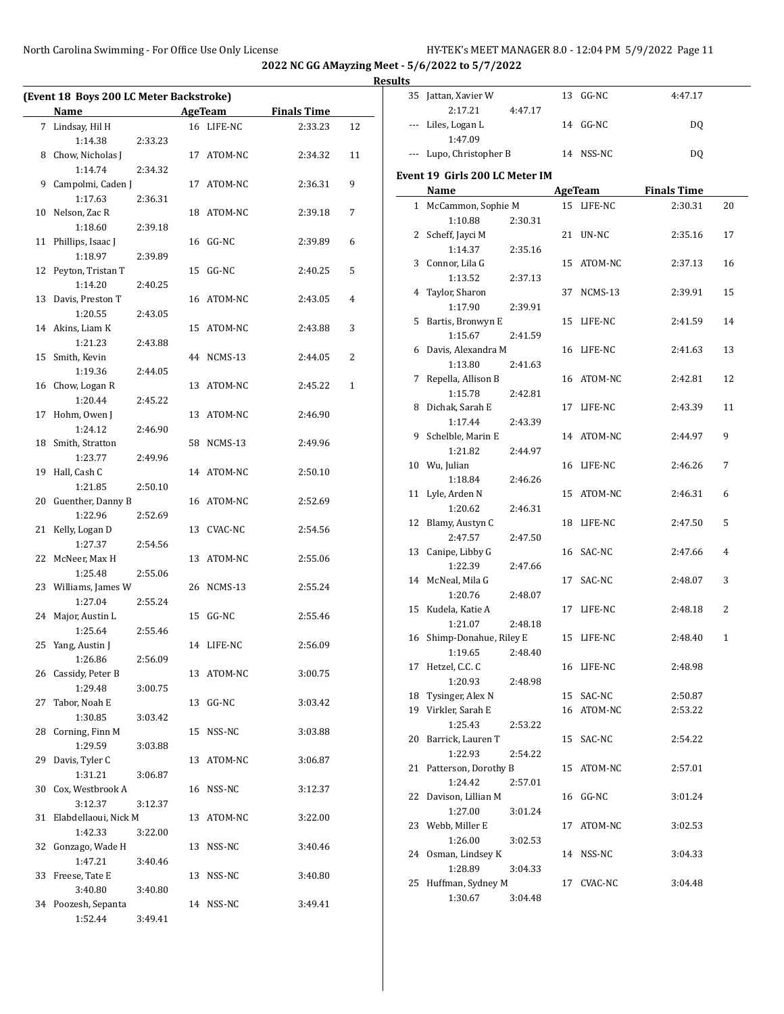# **Results**

 $\frac{1}{\sqrt{1-\frac{1}{2}}}$ 

|    | (Event 18 Boys 200 LC Meter Backstroke) |         |    |            |                    |              |
|----|-----------------------------------------|---------|----|------------|--------------------|--------------|
|    | Name                                    |         |    | AgeTeam    | <b>Finals Time</b> |              |
|    | 7 Lindsay, Hil H                        |         |    | 16 LIFE-NC | 2:33.23            | 12           |
|    | 1:14.38                                 | 2:33.23 |    |            |                    |              |
| 8  | Chow, Nicholas J                        |         |    | 17 ATOM-NC | 2:34.32            | 11           |
|    | 1:14.74                                 | 2:34.32 |    |            |                    |              |
| 9  | Campolmi, Caden J                       |         |    | 17 ATOM-NC | 2:36.31            | 9            |
|    | 1:17.63                                 | 2:36.31 |    |            |                    |              |
| 10 | Nelson, Zac R                           |         |    | 18 ATOM-NC | 2:39.18            | 7            |
|    | 1:18.60                                 | 2:39.18 |    |            |                    |              |
| 11 | Phillips, Isaac J                       |         |    | 16 GG-NC   | 2:39.89            | 6            |
|    | 1:18.97                                 | 2:39.89 |    |            |                    |              |
| 12 | Peyton, Tristan T                       |         | 15 | $GG-NC$    | 2:40.25            | 5            |
|    | 1:14.20                                 | 2:40.25 |    |            |                    |              |
|    |                                         |         |    |            |                    |              |
|    | 13 Davis, Preston T                     |         |    | 16 ATOM-NC | 2:43.05            | 4            |
|    | 1:20.55                                 | 2:43.05 |    |            |                    |              |
|    | 14 Akins, Liam K                        |         |    | 15 ATOM-NC | 2:43.88            | 3            |
|    | 1:21.23                                 | 2:43.88 |    |            |                    |              |
| 15 | Smith, Kevin                            |         |    | 44 NCMS-13 | 2:44.05            | 2            |
|    | 1:19.36                                 | 2:44.05 |    |            |                    |              |
| 16 | Chow, Logan R                           |         |    | 13 ATOM-NC | 2:45.22            | $\mathbf{1}$ |
|    | 1:20.44                                 | 2:45.22 |    |            |                    |              |
| 17 | Hohm, Owen J                            |         |    | 13 ATOM-NC | 2:46.90            |              |
|    | 1:24.12                                 | 2:46.90 |    |            |                    |              |
| 18 | Smith, Stratton                         |         |    | 58 NCMS-13 | 2:49.96            |              |
|    | 1:23.77                                 | 2:49.96 |    |            |                    |              |
| 19 | Hall, Cash C                            |         |    | 14 ATOM-NC | 2:50.10            |              |
|    | 1:21.85                                 | 2:50.10 |    |            |                    |              |
| 20 | Guenther, Danny B                       |         |    | 16 ATOM-NC | 2:52.69            |              |
|    | 1:22.96                                 | 2:52.69 |    |            |                    |              |
| 21 | Kelly, Logan D                          |         |    | 13 CVAC-NC | 2:54.56            |              |
|    | 1:27.37                                 | 2:54.56 |    |            |                    |              |
| 22 | McNeer, Max H                           |         | 13 | ATOM-NC    | 2:55.06            |              |
|    | 1:25.48                                 | 2:55.06 |    |            |                    |              |
| 23 | Williams, James W                       |         |    | 26 NCMS-13 | 2:55.24            |              |
|    | 1:27.04                                 | 2:55.24 |    |            |                    |              |
| 24 | Major, Austin L                         |         | 15 | GG-NC      | 2:55.46            |              |
|    | 1:25.64                                 | 2:55.46 |    |            |                    |              |
| 25 | Yang, Austin J                          |         |    | 14 LIFE-NC | 2:56.09            |              |
|    | 1:26.86                                 | 2:56.09 |    |            |                    |              |
|    | 26 Cassidy, Peter B                     |         |    | 13 ATOM-NC | 3:00.75            |              |
|    | 1:29.48                                 | 3:00.75 |    |            |                    |              |
| 27 | Tabor, Noah E                           |         | 13 | GG-NC      | 3:03.42            |              |
|    | 1:30.85                                 | 3:03.42 |    |            |                    |              |
|    |                                         |         |    |            |                    |              |
| 28 | Corning, Finn M                         |         | 15 | NSS-NC     | 3:03.88            |              |
|    | 1:29.59                                 | 3:03.88 |    |            |                    |              |
| 29 | Davis, Tyler C                          |         |    | 13 ATOM-NC | 3:06.87            |              |
|    | 1:31.21                                 | 3:06.87 |    |            |                    |              |
| 30 | Cox, Westbrook A                        |         |    | 16 NSS-NC  | 3:12.37            |              |
|    | 3:12.37                                 | 3:12.37 |    |            |                    |              |
| 31 | Elabdellaoui, Nick M                    |         |    | 13 ATOM-NC | 3:22.00            |              |
|    | 1:42.33                                 | 3:22.00 |    |            |                    |              |
| 32 | Gonzago, Wade H                         |         | 13 | NSS-NC     | 3:40.46            |              |
|    | 1:47.21                                 | 3:40.46 |    |            |                    |              |
| 33 | Freese, Tate E                          |         | 13 | NSS-NC     | 3:40.80            |              |
|    | 3:40.80                                 | 3:40.80 |    |            |                    |              |
|    | 34 Poozesh, Sepanta                     |         |    | 14 NSS-NC  | 3:49.41            |              |
|    | 1:52.44                                 | 3:49.41 |    |            |                    |              |

| 1 L.J |                                 |         |    |            |                    |                |
|-------|---------------------------------|---------|----|------------|--------------------|----------------|
| 35    | Jattan, Xavier W                |         | 13 | GG-NC      | 4:47.17            |                |
|       | 2:17.21                         | 4:47.17 |    |            |                    |                |
| ---   | Liles, Logan L<br>1:47.09       |         | 14 | $GG-NC$    | DQ                 |                |
| ---   | Lupo, Christopher B             |         |    | 14 NSS-NC  | DQ                 |                |
|       |                                 |         |    |            |                    |                |
|       | Event 19 Girls 200 LC Meter IM  |         |    |            |                    |                |
|       | Name                            |         |    | AgeTeam    | <b>Finals Time</b> |                |
|       | 1 McCammon, Sophie M<br>1:10.88 | 2:30.31 |    | 15 LIFE-NC | 2:30.31            | 20             |
| 2     | Scheff, Jayci M                 |         | 21 | UN-NC      | 2:35.16            | 17             |
|       | 1:14.37                         | 2:35.16 |    |            |                    |                |
| 3     | Connor, Lila G                  |         | 15 | ATOM-NC    | 2:37.13            | 16             |
|       | 1:13.52                         | 2:37.13 |    |            |                    |                |
| 4     | Taylor, Sharon                  |         | 37 | NCMS-13    | 2:39.91            | 15             |
|       | 1:17.90                         | 2:39.91 |    |            |                    |                |
| 5     | Bartis, Bronwyn E               |         | 15 | LIFE-NC    | 2:41.59            | 14             |
|       | 1:15.67                         | 2:41.59 |    |            |                    |                |
| 6     | Davis, Alexandra M              |         |    | 16 LIFE-NC | 2:41.63            | 13             |
|       | 1:13.80                         | 2:41.63 |    |            |                    |                |
| 7     | Repella, Allison B              |         |    | 16 ATOM-NC | 2:42.81            | 12             |
|       | 1:15.78                         | 2:42.81 |    |            |                    |                |
| 8     | Dichak, Sarah E                 |         | 17 | LIFE-NC    | 2:43.39            | 11             |
| 9     | 1:17.44<br>Schelble, Marin E    | 2:43.39 | 14 | ATOM-NC    | 2:44.97            | 9              |
|       | 1:21.82                         | 2:44.97 |    |            |                    |                |
|       | 10 Wu, Julian                   |         | 16 | LIFE-NC    | 2:46.26            | 7              |
|       | 1:18.84                         | 2:46.26 |    |            |                    |                |
| 11    | Lyle, Arden N                   |         | 15 | ATOM-NC    | 2:46.31            | 6              |
|       | 1:20.62                         | 2:46.31 |    |            |                    |                |
| 12    | Blamy, Austyn C                 |         | 18 | LIFE-NC    | 2:47.50            | 5              |
|       | 2:47.57                         | 2:47.50 |    |            |                    |                |
| 13    | Canipe, Libby G                 |         | 16 | SAC-NC     | 2:47.66            | $\overline{4}$ |
|       | 1:22.39                         | 2:47.66 |    |            |                    |                |
| 14    | McNeal, Mila G                  |         | 17 | SAC-NC     | 2:48.07            | 3              |
|       | 1:20.76                         | 2:48.07 |    |            |                    |                |
| 15    | Kudela, Katie A<br>1:21.07      |         | 17 | LIFE-NC    | 2:48.18            | 2              |
| 16    | Shimp-Donahue, Riley E          | 2:48.18 | 15 | LIFE-NC    | 2:48.40            | $\mathbf{1}$   |
|       | 1:19.65                         | 2:48.40 |    |            |                    |                |
| 17    | Hetzel, C.C. C                  |         |    | 16 LIFE-NC | 2:48.98            |                |
|       | 1:20.93                         | 2:48.98 |    |            |                    |                |
| 18    | Tysinger, Alex N                |         |    | 15 SAC-NC  | 2:50.87            |                |
| 19    | Virkler, Sarah E                |         |    | 16 ATOM-NC | 2:53.22            |                |
|       | 1:25.43                         | 2:53.22 |    |            |                    |                |
| 20    | Barrick, Lauren T               |         | 15 | SAC-NC     | 2:54.22            |                |
|       | 1:22.93                         | 2:54.22 |    |            |                    |                |
| 21    | Patterson, Dorothy B            |         |    | 15 ATOM-NC | 2:57.01            |                |
|       | 1:24.42                         | 2:57.01 |    |            |                    |                |
| 22    | Davison, Lillian M<br>1:27.00   | 3:01.24 |    | 16 GG-NC   | 3:01.24            |                |
| 23    | Webb, Miller E                  |         | 17 | ATOM-NC    | 3:02.53            |                |
|       | 1:26.00                         | 3:02.53 |    |            |                    |                |
| 24    | Osman, Lindsey K                |         |    | 14 NSS-NC  | 3:04.33            |                |
|       | 1:28.89                         | 3:04.33 |    |            |                    |                |
| 25    | Huffman, Sydney M               |         | 17 | CVAC-NC    | 3:04.48            |                |
|       | 1:30.67                         | 3:04.48 |    |            |                    |                |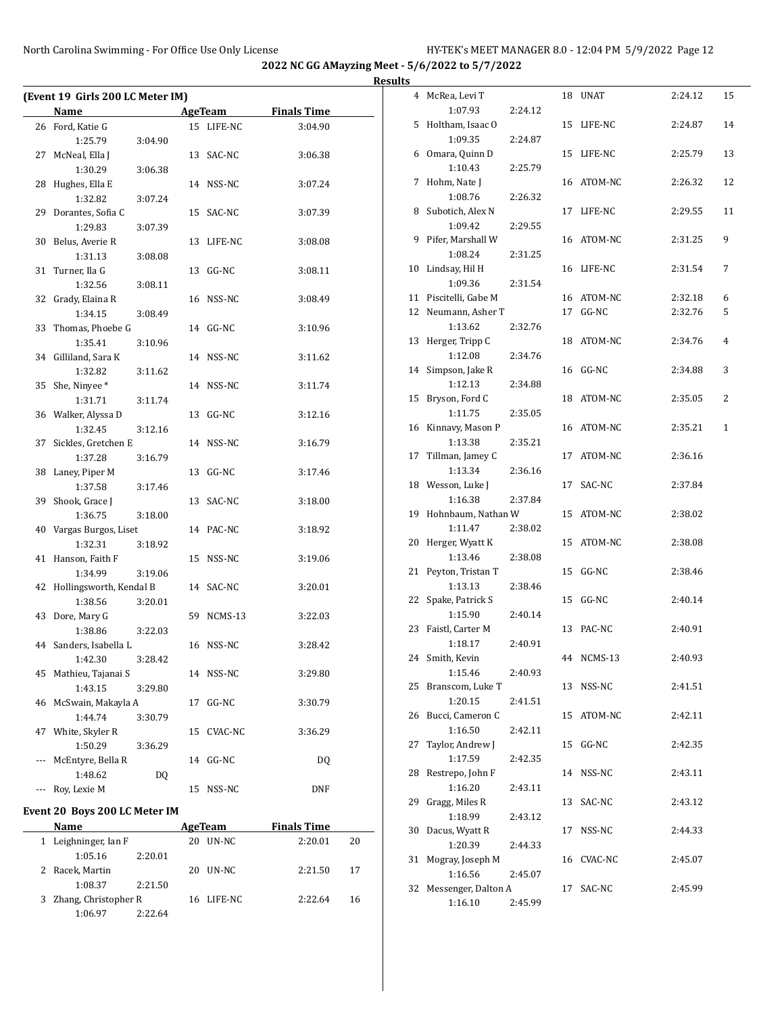|     | (Event 19 Girls 200 LC Meter IM)<br>Name |    | <b>AgeTeam</b> | <b>Finals Time</b> |
|-----|------------------------------------------|----|----------------|--------------------|
|     |                                          |    |                |                    |
|     | 26 Ford, Katie G                         |    | 15 LIFE-NC     | 3:04.90            |
|     | 1:25.79<br>3:04.90                       |    |                |                    |
|     | 27 McNeal, Ella J                        |    | 13 SAC-NC      | 3:06.38            |
|     | 1:30.29<br>3:06.38                       |    |                |                    |
| 28  | Hughes, Ella E                           |    | 14 NSS-NC      | 3:07.24            |
|     | 1:32.82<br>3:07.24                       |    |                |                    |
| 29  | Dorantes, Sofia C                        |    | 15 SAC-NC      | 3:07.39            |
| 30  | 1:29.83<br>3:07.39                       |    | 13 LIFE-NC     |                    |
|     | Belus, Averie R<br>1:31.13<br>3:08.08    |    |                | 3:08.08            |
| 31  | Turner, Ila G                            |    | 13 GG-NC       | 3:08.11            |
|     | 1:32.56<br>3:08.11                       |    |                |                    |
| 32  | Grady, Elaina R                          |    | 16 NSS-NC      | 3:08.49            |
|     | 1:34.15<br>3:08.49                       |    |                |                    |
| 33  | Thomas, Phoebe G                         |    | 14 GG-NC       |                    |
|     | 1:35.41<br>3:10.96                       |    |                | 3:10.96            |
|     | 34 Gilliland, Sara K                     |    | 14 NSS-NC      | 3:11.62            |
|     | 1:32.82<br>3:11.62                       |    |                |                    |
|     |                                          |    | 14 NSS-NC      |                    |
|     | 35 She, Ninyee*<br>1:31.71<br>3:11.74    |    |                | 3:11.74            |
|     | 36 Walker, Alyssa D                      |    | 13 GG-NC       | 3:12.16            |
|     | 1:32.45<br>3:12.16                       |    |                |                    |
| 37  | Sickles, Gretchen E                      |    | 14 NSS-NC      | 3:16.79            |
|     | 1:37.28<br>3:16.79                       |    |                |                    |
| 38  | Laney, Piper M                           |    | 13 GG-NC       | 3:17.46            |
|     | 1:37.58<br>3:17.46                       |    |                |                    |
| 39  | Shook, Grace J                           |    | 13 SAC-NC      | 3:18.00            |
|     | 1:36.75<br>3:18.00                       |    |                |                    |
|     | 40 Vargas Burgos, Liset                  |    | 14 PAC-NC      | 3:18.92            |
|     | 1:32.31<br>3:18.92                       |    |                |                    |
| 41  | Hanson, Faith F                          |    | 15 NSS-NC      | 3:19.06            |
|     | 1:34.99<br>3:19.06                       |    |                |                    |
| 42  | Hollingsworth, Kendal B                  |    | 14 SAC-NC      | 3:20.01            |
|     | 1:38.56<br>3:20.01                       |    |                |                    |
| 43  | Dore, Mary G                             |    | 59 NCMS-13     | 3:22.03            |
|     | 1:38.86<br>3:22.03                       |    |                |                    |
|     | 44 Sanders, Isabella L                   |    | 16 NSS-NC      | 3:28.42            |
|     | 1:42.30<br>3:28.42                       |    |                |                    |
| 45  | Mathieu, Tajanai S                       |    | 14 NSS-NC      | 3:29.80            |
|     | 1:43.15<br>3:29.80                       |    |                |                    |
| 46  | McSwain, Makayla A                       | 17 | GG-NC          | 3:30.79            |
|     | 1:44.74<br>3:30.79                       |    |                |                    |
| 47  | White, Skyler R                          | 15 | CVAC-NC        | 3:36.29            |
|     | 1:50.29<br>3:36.29                       |    |                |                    |
| --- | McEntyre, Bella R                        | 14 | GG-NC          | DQ                 |
|     | 1:48.62<br>DQ                            |    |                |                    |
| --- | Roy, Lexie M                             | 15 | NSS-NC         | DNF                |
|     |                                          |    |                |                    |

# **Event 20 Boys 200 LC Meter IM**

| <b>Name</b>            |         |    | AgeTeam    | <b>Finals Time</b> |    |  |
|------------------------|---------|----|------------|--------------------|----|--|
| 1 Leighninger, Ian F   |         | 20 | UN-NC      | 2:20.01            | 20 |  |
| 1:05.16                | 2:20.01 |    |            |                    |    |  |
| 2 Racek, Martin        |         |    | 20 UN-NC   | 2:21.50            | 17 |  |
| 1:08.37                | 2:21.50 |    |            |                    |    |  |
| 3 Zhang, Christopher R |         |    | 16 LIFE-NC | 2:22.64            | 16 |  |
| 1:06.97                | 2:22.64 |    |            |                    |    |  |

| <b>Results</b> |                                           |                    |            |         |              |
|----------------|-------------------------------------------|--------------------|------------|---------|--------------|
|                | 4 McRea, Levi T<br>1:07.93                | 2:24.12            | 18 UNAT    | 2:24.12 | 15           |
|                | 5 Holtham, Isaac O                        |                    | 15 LIFE-NC | 2:24.87 | 14           |
|                | 1:09.35<br>6 Omara, Quinn D               | 2:24.87            | 15 LIFE-NC | 2:25.79 | 13           |
|                | 1:10.43                                   | 2:25.79            |            |         |              |
|                | 7 Hohm, Nate J<br>1:08.76                 | 2:26.32            | 16 ATOM-NC | 2:26.32 | 12           |
|                | 8 Subotich, Alex N<br>1:09.42             | 2:29.55            | 17 LIFE-NC | 2:29.55 | 11           |
|                | 9 Pifer, Marshall W<br>1:08.24            | 2:31.25            | 16 ATOM-NC | 2:31.25 | 9            |
|                | 10 Lindsay, Hil H<br>1:09.36              | 2:31.54            | 16 LIFE-NC | 2:31.54 | 7            |
|                | 11 Piscitelli, Gabe M                     |                    | 16 ATOM-NC | 2:32.18 | 6            |
|                | 12 Neumann, Asher T                       |                    | 17 GG-NC   | 2:32.76 | 5            |
|                |                                           |                    |            |         |              |
|                | 1:13.62<br>13 Herger, Tripp C             | 2:32.76            | 18 ATOM-NC | 2:34.76 | 4            |
|                | 1:12.08<br>14 Simpson, Jake R             | 2:34.76            | 16 GG-NC   | 2:34.88 | 3            |
|                | 1:12.13                                   | 2:34.88            |            |         |              |
|                | 15 Bryson, Ford C<br>1:11.75              | 2:35.05            | 18 ATOM-NC | 2:35.05 | 2            |
|                | 16 Kinnavy, Mason P<br>1:13.38            | 2:35.21            | 16 ATOM-NC | 2:35.21 | $\mathbf{1}$ |
|                | 17 Tillman, Jamey C<br>1:13.34            | 2:36.16            | 17 ATOM-NC | 2:36.16 |              |
|                | 18 Wesson, Luke J<br>1:16.38              | 2:37.84            | 17 SAC-NC  | 2:37.84 |              |
|                | 19 Hohnbaum, Nathan W<br>1:11.47          | 2:38.02            | 15 ATOM-NC | 2:38.02 |              |
|                | 20 Herger, Wyatt K<br>1:13.46             | 2:38.08            | 15 ATOM-NC | 2:38.08 |              |
|                | 21 Peyton, Tristan T                      |                    | 15 GG-NC   | 2:38.46 |              |
| 22             | 1:13.13<br>Spake, Patrick S               | 2:38.46            | 15 GG-NC   | 2:40.14 |              |
| 23             | 1:15.90<br>Faistl, Carter M               | 2:40.14            | 13 PAC-NC  | 2:40.91 |              |
|                | 1:18.17<br>24 Smith, Kevin                | 2:40.91            | 44 NCMS-13 | 2:40.93 |              |
|                | 1:15.46<br>25 Branscom, Luke T            | 2:40.93            | 13 NSS-NC  | 2:41.51 |              |
|                | 1:20.15                                   | 2:41.51            |            |         |              |
|                | 26 Bucci, Cameron C<br>1:16.50            | 2:42.11            | 15 ATOM-NC | 2:42.11 |              |
| 27             | Taylor, Andrew J<br>1:17.59               | 2:42.35            | 15 GG-NC   | 2:42.35 |              |
|                | 28 Restrepo, John F<br>1:16.20            | 2:43.11            | 14 NSS-NC  | 2:43.11 |              |
|                | 29 Gragg, Miles R<br>1:18.99              | 2:43.12            | 13 SAC-NC  | 2:43.12 |              |
|                | 30 Dacus, Wyatt R<br>1:20.39              |                    | 17 NSS-NC  | 2:44.33 |              |
| 31             | Mogray, Joseph M                          | 2:44.33            | 16 CVAC-NC | 2:45.07 |              |
| 32             | 1:16.56<br>Messenger, Dalton A<br>1:16.10 | 2:45.07<br>2:45.99 | 17 SAC-NC  | 2:45.99 |              |
|                |                                           |                    |            |         |              |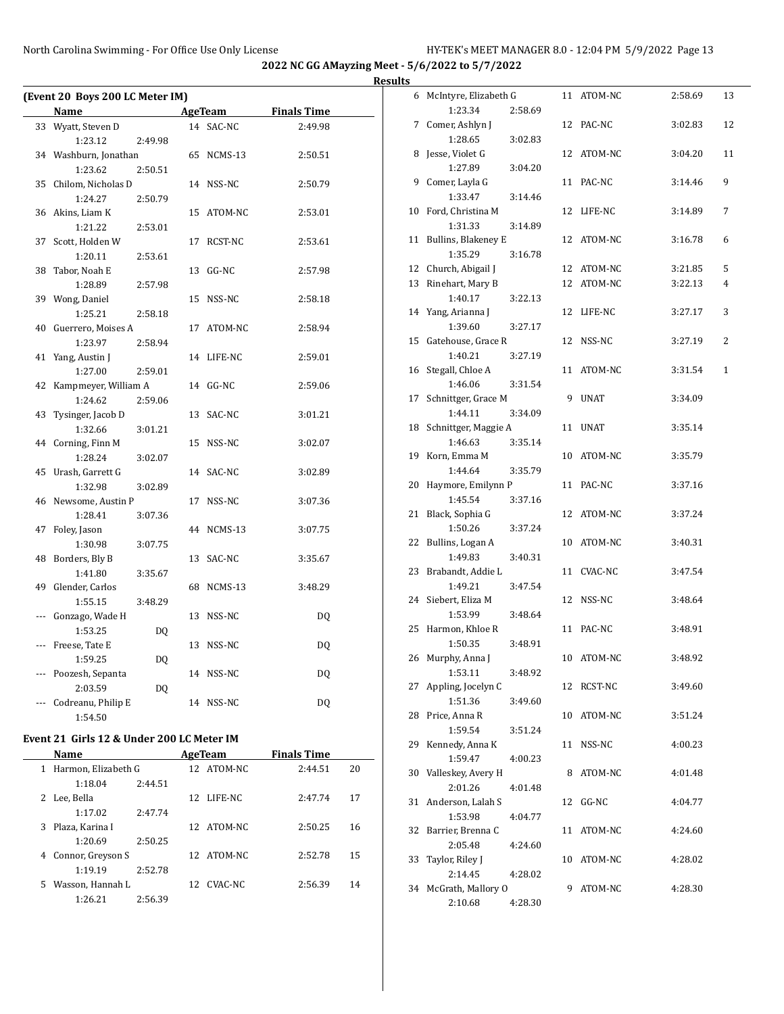$\overline{a}$ 

**2022 NC GG AMayzing Meet - 5/6/2022 to 5/7/2022**

**Results**

| (Event 20 Boys 200 LC Meter IM) |                               |         |    |                |                    |  |  |  |
|---------------------------------|-------------------------------|---------|----|----------------|--------------------|--|--|--|
|                                 | Name                          |         |    | <b>AgeTeam</b> | <b>Finals Time</b> |  |  |  |
| 33                              | Wyatt, Steven D               |         | 14 | SAC-NC         | 2:49.98            |  |  |  |
|                                 | 1:23.12                       | 2:49.98 |    |                |                    |  |  |  |
|                                 | 34 Washburn, Jonathan         |         | 65 | NCMS-13        | 2:50.51            |  |  |  |
|                                 | 1:23.62                       | 2:50.51 |    |                |                    |  |  |  |
| 35                              | Chilom, Nicholas D            |         |    | 14 NSS-NC      | 2:50.79            |  |  |  |
|                                 | 1:24.27                       | 2:50.79 |    |                |                    |  |  |  |
| 36                              | Akins, Liam K                 |         | 15 | ATOM-NC        | 2:53.01            |  |  |  |
|                                 | 1:21.22                       | 2:53.01 |    |                |                    |  |  |  |
| 37                              | Scott, Holden W               |         | 17 | RCST-NC        | 2:53.61            |  |  |  |
|                                 | 1:20.11                       | 2:53.61 |    |                |                    |  |  |  |
| 38                              | Tabor, Noah E                 |         | 13 | $GG-NC$        | 2:57.98            |  |  |  |
|                                 | 1:28.89                       | 2:57.98 |    |                |                    |  |  |  |
| 39                              | Wong, Daniel                  |         | 15 | NSS-NC         | 2:58.18            |  |  |  |
|                                 | 1:25.21                       | 2:58.18 |    |                |                    |  |  |  |
| 40                              | Guerrero, Moises A            |         | 17 | ATOM-NC        | 2:58.94            |  |  |  |
|                                 | 1:23.97                       | 2:58.94 |    |                |                    |  |  |  |
| 41                              | Yang, Austin J                |         | 14 | LIFE-NC        | 2:59.01            |  |  |  |
|                                 | 1:27.00                       | 2:59.01 |    |                |                    |  |  |  |
| 42                              | Kampmeyer, William A          |         |    | 14 GG-NC       | 2:59.06            |  |  |  |
|                                 | 1:24.62                       | 2:59.06 |    |                |                    |  |  |  |
| 43                              | Tysinger, Jacob D             |         | 13 | SAC-NC         | 3:01.21            |  |  |  |
|                                 | 1:32.66                       | 3:01.21 |    |                |                    |  |  |  |
| 44                              | Corning, Finn M               |         | 15 | NSS-NC         | 3:02.07            |  |  |  |
|                                 | 1:28.24                       | 3:02.07 |    |                |                    |  |  |  |
| 45                              | Urash, Garrett G              |         |    | 14 SAC-NC      | 3:02.89            |  |  |  |
|                                 | 1:32.98                       | 3:02.89 |    |                |                    |  |  |  |
| 46                              | Newsome, Austin P             |         | 17 | NSS-NC         | 3:07.36            |  |  |  |
|                                 | 1:28.41                       | 3:07.36 |    |                |                    |  |  |  |
| 47                              | Foley, Jason                  |         | 44 | NCMS-13        | 3:07.75            |  |  |  |
|                                 | 1:30.98                       | 3:07.75 |    |                |                    |  |  |  |
| 48                              | Borders, Bly B                |         | 13 | SAC-NC         | 3:35.67            |  |  |  |
|                                 | 1:41.80                       | 3:35.67 |    |                |                    |  |  |  |
| 49                              | Glender, Carlos               |         |    | 68 NCMS-13     | 3:48.29            |  |  |  |
|                                 | 1:55.15                       | 3:48.29 |    |                |                    |  |  |  |
| $\overline{a}$                  | Gonzago, Wade H               |         | 13 | NSS-NC         | DQ                 |  |  |  |
|                                 | 1:53.25                       | DQ      |    |                |                    |  |  |  |
| ---                             | Freese, Tate E                |         | 13 | NSS-NC         | DQ                 |  |  |  |
|                                 | 1:59.25                       | DQ      |    |                |                    |  |  |  |
| ---                             | Poozesh, Sepanta<br>2:03.59   |         | 14 | NSS-NC         | DQ                 |  |  |  |
| ---                             |                               | DQ      |    | 14 NSS-NC      |                    |  |  |  |
|                                 | Codreanu, Philip E<br>1:54.50 |         |    |                | DQ                 |  |  |  |
|                                 |                               |         |    |                |                    |  |  |  |

## **Event 21 Girls 12 & Under 200 LC Meter IM**

|    | <b>Name</b>         |         |     | AgeTeam    | <b>Finals Time</b> |    |
|----|---------------------|---------|-----|------------|--------------------|----|
| 1  | Harmon, Elizabeth G |         |     | 12 ATOM-NC | 2:44.51            | 20 |
|    | 1:18.04             | 2:44.51 |     |            |                    |    |
| 2  | Lee, Bella          |         | 12. | LIFE-NC    | 2.47.74            | 17 |
|    | 1:17.02             | 2:47.74 |     |            |                    |    |
| 3  | Plaza. Karina I     |         |     | 12 ATOM-NC | 2:50.25            | 16 |
|    | 1:20.69             | 2:50.25 |     |            |                    |    |
| 4  | Connor, Greyson S   |         |     | 12 ATOM-NC | 2:52.78            | 15 |
|    | 1:19.19             | 2:52.78 |     |            |                    |    |
| 5. | Wasson, Hannah L    |         | 12. | CVAC-NC    | 2:56.39            | 14 |
|    | 1:26.21             | 2:56.39 |     |            |                    |    |

| 6  | McIntyre, Elizabeth G |         |    | 11 ATOM-NC  | 2:58.69 | 13           |
|----|-----------------------|---------|----|-------------|---------|--------------|
|    | 1:23.34               | 2:58.69 |    |             |         |              |
| 7  | Comer, Ashlyn J       |         |    | 12 PAC-NC   | 3:02.83 | 12           |
|    | 1:28.65               | 3:02.83 |    |             |         |              |
| 8  | Jesse, Violet G       |         |    | 12 ATOM-NC  | 3:04.20 | 11           |
|    | 1:27.89               | 3:04.20 |    |             |         |              |
| 9  | Comer, Layla G        |         |    | 11 PAC-NC   | 3:14.46 | 9            |
|    | 1:33.47               | 3:14.46 |    |             |         |              |
| 10 | Ford, Christina M     |         |    | 12 LIFE-NC  | 3:14.89 | 7            |
|    | 1:31.33               | 3:14.89 |    |             |         |              |
| 11 | Bullins, Blakeney E   |         |    | 12 ATOM-NC  | 3:16.78 | 6            |
|    | 1:35.29               | 3:16.78 |    |             |         |              |
| 12 | Church, Abigail J     |         |    | 12 ATOM-NC  | 3:21.85 | 5            |
| 13 | Rinehart, Mary B      |         |    | 12 ATOM-NC  | 3:22.13 | 4            |
|    | 1:40.17               | 3:22.13 |    |             |         |              |
| 14 | Yang, Arianna J       |         |    | 12 LIFE-NC  | 3:27.17 | 3            |
|    | 1:39.60               | 3:27.17 |    |             |         |              |
| 15 | Gatehouse, Grace R    |         |    | 12 NSS-NC   | 3:27.19 | 2            |
|    | 1:40.21               | 3:27.19 |    |             |         |              |
| 16 | Stegall, Chloe A      |         |    | 11 ATOM-NC  | 3:31.54 | $\mathbf{1}$ |
|    | 1:46.06               | 3:31.54 |    |             |         |              |
| 17 | Schnittger, Grace M   |         | 9  | <b>UNAT</b> | 3:34.09 |              |
|    | 1:44.11               | 3:34.09 |    |             |         |              |
| 18 | Schnittger, Maggie A  |         | 11 | <b>UNAT</b> | 3:35.14 |              |
|    | 1:46.63               | 3:35.14 |    |             |         |              |
| 19 | Korn, Emma M          |         | 10 | ATOM-NC     | 3:35.79 |              |
|    | 1:44.64               | 3:35.79 |    |             |         |              |
| 20 | Haymore, Emilynn P    |         | 11 | PAC-NC      | 3:37.16 |              |
|    | 1:45.54               | 3:37.16 |    |             |         |              |
| 21 | Black, Sophia G       |         |    | 12 ATOM-NC  | 3:37.24 |              |
|    | 1:50.26               | 3:37.24 |    |             |         |              |
| 22 | Bullins, Logan A      |         |    | 10 ATOM-NC  | 3:40.31 |              |
|    | 1:49.83               | 3:40.31 |    |             |         |              |
| 23 | Brabandt, Addie L     |         |    | 11 CVAC-NC  | 3:47.54 |              |
|    | 1:49.21               | 3:47.54 |    |             |         |              |
| 24 | Siebert, Eliza M      |         |    | 12 NSS-NC   | 3:48.64 |              |
|    | 1:53.99               | 3:48.64 |    |             |         |              |
| 25 | Harmon, Khloe R       |         |    | 11 PAC-NC   | 3:48.91 |              |
|    | 1:50.35               | 3:48.91 |    |             |         |              |
| 26 | Murphy, Anna J        |         | 10 | ATOM-NC     | 3:48.92 |              |
|    | 1:53.11               | 3:48.92 |    |             |         |              |
| 27 | Appling, Jocelyn C    |         |    | 12 RCST-NC  | 3:49.60 |              |
|    | 1:51.36               | 3:49.60 |    |             |         |              |
| 28 | Price, Anna R         |         |    | 10 ATOM-NC  | 3:51.24 |              |
|    | 1:59.54               | 3:51.24 |    |             |         |              |
| 29 | Kennedy, Anna K       |         | 11 | NSS-NC      | 4:00.23 |              |
|    | 1:59.47               | 4:00.23 |    |             |         |              |
| 30 | Valleskey, Avery H    |         | 8  | ATOM-NC     | 4:01.48 |              |
|    | 2:01.26               | 4:01.48 |    |             |         |              |
| 31 | Anderson, Lalah S     |         | 12 | GG-NC       | 4:04.77 |              |
|    | 1:53.98               | 4:04.77 |    |             |         |              |
| 32 | Barrier, Brenna C     |         |    | 11 ATOM-NC  | 4:24.60 |              |
|    | 2:05.48               | 4:24.60 |    |             |         |              |
| 33 | Taylor, Riley J       |         |    | 10 ATOM-NC  | 4:28.02 |              |
|    | 2:14.45               | 4:28.02 |    |             |         |              |
| 34 | McGrath, Mallory O    |         | 9. | ATOM-NC     | 4:28.30 |              |
|    | 2:10.68               | 4:28.30 |    |             |         |              |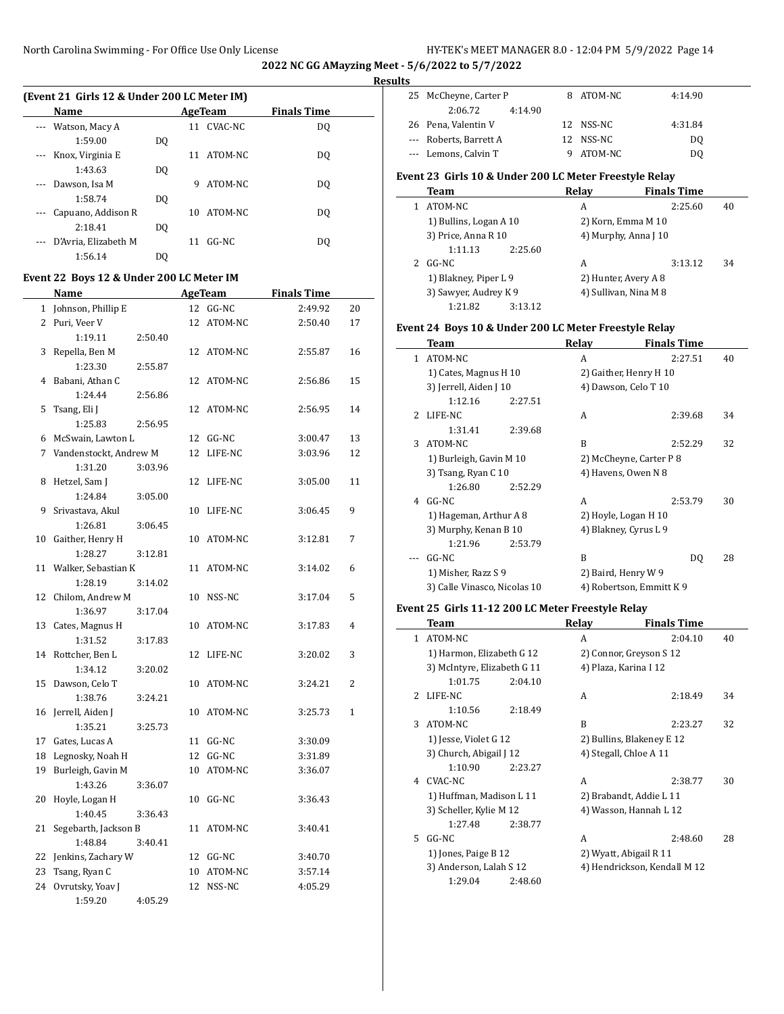| (Event 21 Girls 12 & Under 200 LC Meter IM) |                      |     |     |            |                    |  |  |  |
|---------------------------------------------|----------------------|-----|-----|------------|--------------------|--|--|--|
|                                             | <b>Name</b>          |     |     | AgeTeam    | <b>Finals Time</b> |  |  |  |
| $\cdots$                                    | Watson, Macy A       |     |     | 11 CVAC-NC | DO.                |  |  |  |
|                                             | 1:59.00              | DO. |     |            |                    |  |  |  |
|                                             | --- Knox, Virginia E |     | 11  | ATOM-NC    | DO.                |  |  |  |
|                                             | 1:43.63              | DO. |     |            |                    |  |  |  |
| $\cdots$                                    | Dawson, Isa M        |     | 9   | ATOM-NC    | DO.                |  |  |  |
|                                             | 1:58.74              | DO. |     |            |                    |  |  |  |
|                                             | Capuano, Addison R   |     | 10. | ATOM-NC    | DO.                |  |  |  |
|                                             | 2:18.41              | DO. |     |            |                    |  |  |  |
|                                             | D'Avria. Elizabeth M |     | 11  | GG-NC      | DO.                |  |  |  |
|                                             | 1:56.14              | DO  |     |            |                    |  |  |  |

# **Event 22 Boys 12 & Under 200 LC Meter IM**

|                | Name                      |         |                 | <b>AgeTeam</b> | <b>Finals Time</b> |              |
|----------------|---------------------------|---------|-----------------|----------------|--------------------|--------------|
| $\mathbf{1}$   | Johnson, Phillip E        |         | 12              | $GG-NC$        | 2:49.92            | 20           |
| $\overline{2}$ | Puri, Veer V              |         | 12              | ATOM-NC        | 2:50.40            | 17           |
|                | 1:19.11                   | 2:50.40 |                 |                |                    |              |
| 3              | Repella, Ben M            |         | 12              | ATOM-NC        | 2:55.87            | 16           |
|                | 1:23.30                   | 2:55.87 |                 |                |                    |              |
| 4              | Babani, Athan C           |         | 12              | ATOM-NC        | 2:56.86            | 15           |
|                | 1:24.44                   | 2:56.86 |                 |                |                    |              |
| 5              | Tsang, Eli J              |         | 12              | ATOM-NC        | 2:56.95            | 14           |
|                | 1:25.83                   | 2:56.95 |                 |                |                    |              |
|                | 6 McSwain, Lawton L       |         | 12              | $GG-NC$        | 3:00.47            | 13           |
| 7              | Vandenstockt, Andrew M    |         | 12              | LIFE-NC        | 3:03.96            | 12           |
|                | 1:31.20                   | 3:03.96 |                 |                |                    |              |
| 8              | Hetzel, Sam J             |         | 12              | LIFE-NC        | 3:05.00            | 11           |
|                | 1:24.84                   | 3:05.00 |                 |                |                    |              |
| 9              | Srivastava, Akul          |         | 10              | LIFE-NC        | 3:06.45            | 9            |
|                | 1:26.81                   | 3:06.45 |                 |                |                    |              |
|                | 10 Gaither, Henry H       |         | 10              | ATOM-NC        | 3:12.81            | 7            |
|                | 1:28.27                   | 3:12.81 |                 |                |                    |              |
| 11             | Walker, Sebastian K       |         | 11              | ATOM-NC        | 3:14.02            | 6            |
|                | 1:28.19                   | 3:14.02 |                 |                |                    |              |
| 12             | Chilom, Andrew M          |         | 10              | NSS-NC         | 3:17.04            | 5            |
|                | 1:36.97                   | 3:17.04 |                 |                |                    |              |
| 13             | Cates, Magnus H           |         | 10              | ATOM-NC        | 3:17.83            | 4            |
|                | 1:31.52                   | 3:17.83 |                 |                |                    |              |
| 14             | Rottcher, Ben L           |         | 12              | LIFE-NC        | 3:20.02            | 3            |
|                | 1:34.12                   | 3:20.02 |                 |                |                    | 2            |
| 15             | Dawson, Celo T<br>1:38.76 | 3:24.21 | 10              | ATOM-NC        | 3:24.21            |              |
|                | 16 Jerrell, Aiden J       |         | 10              | ATOM-NC        | 3:25.73            | $\mathbf{1}$ |
|                | 1:35.21                   | 3:25.73 |                 |                |                    |              |
|                | 17 Gates, Lucas A         |         |                 | 11 GG-NC       | 3:30.09            |              |
|                | 18 Legnosky, Noah H       |         | 12              | $GG-NC$        | 3:31.89            |              |
| 19             | Burleigh, Gavin M         |         | 10              | ATOM-NC        | 3:36.07            |              |
|                | 1:43.26                   | 3:36.07 |                 |                |                    |              |
| 20             | Hoyle, Logan H            |         | 10              | GG-NC          | 3:36.43            |              |
|                | 1:40.45                   | 3:36.43 |                 |                |                    |              |
| 21             | Segebarth, Jackson B      |         | 11              | ATOM-NC        | 3:40.41            |              |
|                | 1:48.84                   | 3:40.41 |                 |                |                    |              |
|                | 22 Jenkins, Zachary W     |         |                 | 12 GG-NC       | 3:40.70            |              |
| 23             | Tsang, Ryan C             |         | 10 <sup>°</sup> | ATOM-NC        | 3:57.14            |              |
| 24             | Ovrutsky, Yoav J          |         | 12              | NSS-NC         | 4:05.29            |              |
|                | 1:59.20                   | 4:05.29 |                 |                |                    |              |

| 25 McCheyne, Carter P                                  | 8       | ATOM-NC            | 4:14.90            |    |
|--------------------------------------------------------|---------|--------------------|--------------------|----|
| 2:06.72                                                | 4:14.90 |                    |                    |    |
| 26 Pena, Valentin V                                    |         | 12 NSS-NC          | 4:31.84            |    |
| --- Roberts, Barrett A                                 |         | 12 NSS-NC          | DO.                |    |
| --- Lemons, Calvin T                                   | 9       | ATOM-NC            | DO.                |    |
| Event 23 Girls 10 & Under 200 LC Meter Freestyle Relay |         |                    |                    |    |
| Team                                                   |         | Relay              | <b>Finals Time</b> |    |
| ATOM-NC                                                |         | A                  | 2:25.60            | 40 |
| 1) Bullins, Logan A 10                                 |         | 2) Korn, Emma M 10 |                    |    |
|                                                        |         |                    |                    |    |

| 3) Price, Anna R 10   |         | 4) Murphy, Anna J 10  |         |    |  |  |
|-----------------------|---------|-----------------------|---------|----|--|--|
| 1:11.13               | 2:25.60 |                       |         |    |  |  |
| 2 GG-NC               |         | А                     | 3:13.12 | 34 |  |  |
| 1) Blakney, Piper L 9 |         | 2) Hunter, Avery A 8  |         |    |  |  |
| 3) Sawyer, Audrey K 9 |         | 4) Sullivan, Nina M 8 |         |    |  |  |
| 1:21.82               | 3:13.12 |                       |         |    |  |  |

#### **Event 24 Boys 10 & Under 200 LC Meter Freestyle Relay**

|    | Team                         | Relay                 | <b>Finals Time</b>       |    |
|----|------------------------------|-----------------------|--------------------------|----|
| 1. | ATOM-NC                      | A                     | 2:27.51                  | 40 |
|    | 1) Cates, Magnus H 10        |                       | 2) Gaither, Henry H 10   |    |
|    | 3) Jerrell, Aiden J 10       | 4) Dawson, Celo T 10  |                          |    |
|    | 1:12.16<br>2:27.51           |                       |                          |    |
| 2  | LIFE-NC                      | A                     | 2:39.68                  | 34 |
|    | 2:39.68<br>1:31.41           |                       |                          |    |
| 3  | ATOM-NC                      | B                     | 2:52.29                  | 32 |
|    | 1) Burleigh, Gavin M 10      |                       | 2) McCheyne, Carter P 8  |    |
|    | 3) Tsang, Ryan C 10          | 4) Havens, Owen N 8   |                          |    |
|    | 1:26.80<br>2:52.29           |                       |                          |    |
| 4  | GG-NC                        | A                     | 2:53.79                  | 30 |
|    | 1) Hageman, Arthur A 8       | 2) Hoyle, Logan H 10  |                          |    |
|    | 3) Murphy, Kenan B 10        | 4) Blakney, Cyrus L 9 |                          |    |
|    | 1:21.96<br>2:53.79           |                       |                          |    |
|    | GG-NC                        | B                     | DO.                      | 28 |
|    | 1) Misher, Razz S 9          | 2) Baird, Henry W 9   |                          |    |
|    | 3) Calle Vinasco, Nicolas 10 |                       | 4) Robertson, Emmitt K 9 |    |

## **Event 25 Girls 11-12 200 LC Meter Freestyle Relay**

|              | <b>Team</b>                 | Relay                  | <b>Finals Time</b>           |    |
|--------------|-----------------------------|------------------------|------------------------------|----|
| $\mathbf{1}$ | ATOM-NC                     | A                      | 2:04.10                      | 40 |
|              | 1) Harmon, Elizabeth G 12   |                        | 2) Connor, Greyson S 12      |    |
|              | 3) McIntyre, Elizabeth G 11 | 4) Plaza, Karina I 12  |                              |    |
|              | 1:01.75<br>2:04.10          |                        |                              |    |
|              | 2 LIFE-NC                   | A                      | 2:18.49                      | 34 |
|              | 1:10.56<br>2:18.49          |                        |                              |    |
| 3            | ATOM-NC                     | B                      | 2:23.27                      | 32 |
|              | 1) Jesse, Violet G 12       |                        | 2) Bullins, Blakeney E 12    |    |
|              | 3) Church, Abigail J 12     | 4) Stegall, Chloe A 11 |                              |    |
|              | 1:10.90<br>2:23.27          |                        |                              |    |
|              | 4 CVAC-NC                   | A                      | 2:38.77                      | 30 |
|              | 1) Huffman, Madison L 11    |                        | 2) Brabandt, Addie L 11      |    |
|              | 3) Scheller, Kylie M 12     |                        | 4) Wasson, Hannah L 12       |    |
|              | 1:27.48<br>2:38.77          |                        |                              |    |
| 5.           | $GG-NC$                     | A                      | 2:48.60                      | 28 |
|              | 1) Jones, Paige B 12        |                        | 2) Wyatt, Abigail R 11       |    |
|              | 3) Anderson, Lalah S 12     |                        | 4) Hendrickson, Kendall M 12 |    |
|              | 1:29.04<br>2:48.60          |                        |                              |    |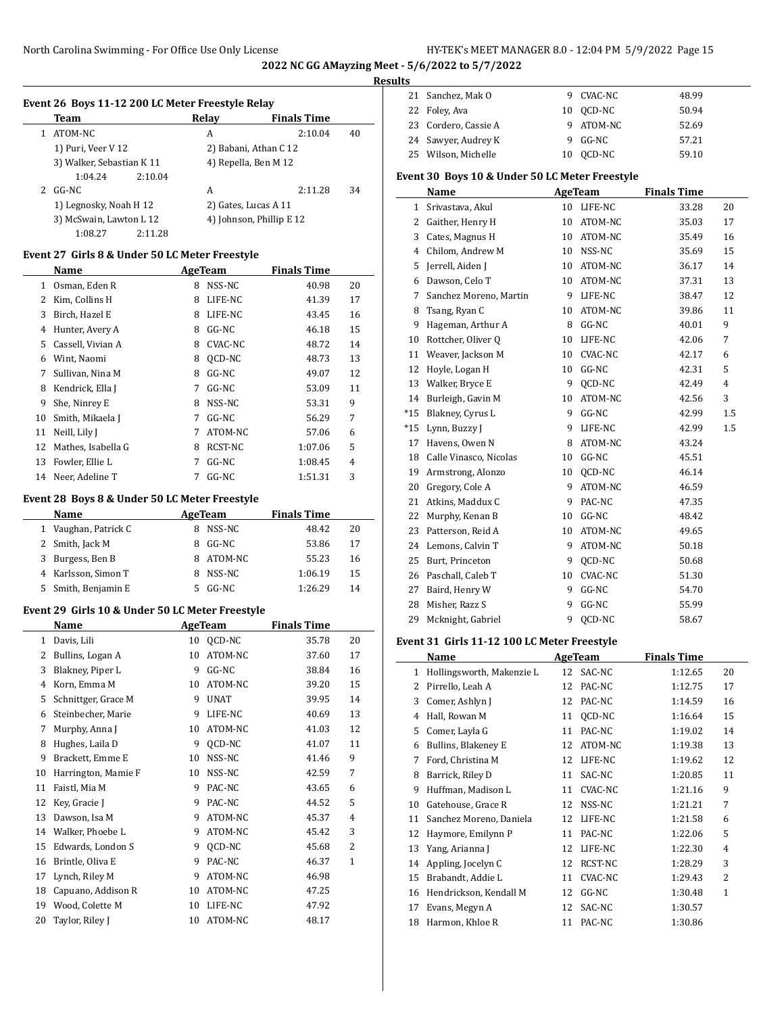#### **Results**

|   | Team                      |         | Relay | <b>Finals Time</b>       |    |
|---|---------------------------|---------|-------|--------------------------|----|
|   | ATOM-NC                   |         | A     | 2:10.04                  | 40 |
|   | 1) Puri, Veer V 12        |         |       | 2) Babani, Athan C 12    |    |
|   | 3) Walker, Sebastian K 11 |         |       | 4) Repella, Ben M 12     |    |
|   | 1:04.24                   | 2:10.04 |       |                          |    |
| 2 | GG-NC                     |         | A     | 2:11.28                  | 34 |
|   | 1) Legnosky, Noah H 12    |         |       | 2) Gates, Lucas A 11     |    |
|   | 3) McSwain, Lawton L 12   |         |       | 4) Johnson, Phillip E 12 |    |
|   | 1:08.27                   | 2:11.28 |       |                          |    |

## **Event 27 Girls 8 & Under 50 LC Meter Freestyle**

 $\overline{a}$ 

|    | Name               | AgeTeam |         | <b>Finals Time</b> |    |
|----|--------------------|---------|---------|--------------------|----|
| 1  | Osman, Eden R      | 8       | NSS-NC  | 40.98              | 20 |
| 2  | Kim, Collins H     | 8       | LIFE-NC | 41.39              | 17 |
| 3  | Birch, Hazel E     | 8       | LIFE-NC | 43.45              | 16 |
| 4  | Hunter, Avery A    | 8       | GG-NC   | 46.18              | 15 |
| 5  | Cassell, Vivian A  | 8       | CVAC-NC | 48.72              | 14 |
| 6  | Wint, Naomi        | 8       | OCD-NC  | 48.73              | 13 |
| 7  | Sullivan, Nina M   | 8       | GG-NC   | 49.07              | 12 |
| 8  | Kendrick, Ella J   | 7       | $GG-NC$ | 53.09              | 11 |
| 9  | She, Ninrey E      | 8       | NSS-NC  | 53.31              | 9  |
| 10 | Smith, Mikaela J   | 7       | GG-NC   | 56.29              | 7  |
| 11 | Neill, Lily J      | 7       | ATOM-NC | 57.06              | 6  |
| 12 | Mathes, Isabella G | 8       | RCST-NC | 1:07.06            | 5  |
| 13 | Fowler, Ellie L    | 7       | GG-NC   | 1:08.45            | 4  |
| 14 | Neer, Adeline T    | 7       | $GG-NC$ | 1:51.31            | 3  |

#### **Event 28 Boys 8 & Under 50 LC Meter Freestyle**

| Name                | AgeTeam |         | <b>Finals Time</b> |    |
|---------------------|---------|---------|--------------------|----|
| Vaughan, Patrick C  |         | NSS-NC  | 48.42              | 20 |
| 2 Smith, Jack M     |         | GG-NC   | 53.86              | 17 |
| 3 Burgess, Ben B    |         | ATOM-NC | 55.23              | 16 |
| 4 Karlsson, Simon T |         | NSS-NC  | 1:06.19            | 15 |
| 5 Smith, Benjamin E |         | GG-NC   | 1:26.29            | 14 |

## **Event 29 Girls 10 & Under 50 LC Meter Freestyle**

| Name |                     |    | AgeTeam     | <b>Finals Time</b> |                |
|------|---------------------|----|-------------|--------------------|----------------|
| 1    | Davis, Lili         | 10 | QCD-NC      | 35.78              | 20             |
| 2    | Bullins, Logan A    | 10 | ATOM-NC     | 37.60              | 17             |
| 3    | Blakney, Piper L    | 9  | $GG-NC$     | 38.84              | 16             |
| 4    | Korn, Emma M        | 10 | ATOM-NC     | 39.20              | 15             |
| 5    | Schnittger, Grace M | 9  | <b>UNAT</b> | 39.95              | 14             |
| 6    | Steinbecher, Marie  | 9  | LIFE-NC     | 40.69              | 13             |
| 7    | Murphy, Anna J      | 10 | ATOM-NC     | 41.03              | 12             |
| 8    | Hughes, Laila D     | 9  | OCD-NC      | 41.07              | 11             |
| 9    | Brackett, Emme E    | 10 | NSS-NC      | 41.46              | 9              |
| 10   | Harrington, Mamie F | 10 | NSS-NC      | 42.59              | 7              |
| 11   | Faistl, Mia M       | 9  | PAC-NC      | 43.65              | 6              |
| 12   | Key, Gracie J       | 9  | PAC-NC      | 44.52              | 5              |
| 13   | Dawson, Isa M       | 9  | ATOM-NC     | 45.37              | 4              |
| 14   | Walker, Phoebe L    | 9  | ATOM-NC     | 45.42              | 3              |
| 15   | Edwards, London S   | 9  | OCD-NC      | 45.68              | $\overline{2}$ |
| 16   | Brintle, Oliva E    | 9  | PAC-NC      | 46.37              | $\mathbf{1}$   |
| 17   | Lynch, Riley M      | 9  | ATOM-NC     | 46.98              |                |
| 18   | Capuano, Addison R  | 10 | ATOM-NC     | 47.25              |                |
| 19   | Wood, Colette M     | 10 | LIFE-NC     | 47.92              |                |
| 20   | Taylor, Riley J     | 10 | ATOM-NC     | 48.17              |                |

|  | 21 Sanchez, Mak O    | 9 CVAC-NC | 48.99 |
|--|----------------------|-----------|-------|
|  | 22 Foley, Ava        | 10 OCD-NC | 50.94 |
|  | 23 Cordero, Cassie A | 9 ATOM-NC | 52.69 |
|  | 24 Sawyer, Audrey K  | 9 GG-NC   | 57.21 |
|  | 25 Wilson, Michelle  | 10 OCD-NC | 59.10 |

## **Event 30 Boys 10 & Under 50 LC Meter Freestyle**

|                | <b>Name</b>            |    | <b>AgeTeam</b> | <b>Finals Time</b> |                |
|----------------|------------------------|----|----------------|--------------------|----------------|
| $\mathbf{1}$   | Srivastava, Akul       |    | 10 LIFE-NC     | 33.28              | 20             |
| 2              | Gaither, Henry H       | 10 | ATOM-NC        | 35.03              | 17             |
| 3              | Cates, Magnus H        | 10 | ATOM-NC        | 35.49              | 16             |
| $\overline{4}$ | Chilom, Andrew M       | 10 | NSS-NC         | 35.69              | 15             |
| 5              | Jerrell, Aiden J       | 10 | ATOM-NC        | 36.17              | 14             |
| 6              | Dawson, Celo T         | 10 | ATOM-NC        | 37.31              | 13             |
| 7              | Sanchez Moreno, Martin | 9  | LIFE-NC        | 38.47              | 12             |
| 8              | Tsang, Ryan C          | 10 | ATOM-NC        | 39.86              | 11             |
| 9              | Hageman, Arthur A      | 8  | $GG-NC$        | 40.01              | 9              |
| 10             | Rottcher, Oliver Q     | 10 | LIFE-NC        | 42.06              | 7              |
| 11             | Weaver, Jackson M      | 10 | <b>CVAC-NC</b> | 42.17              | 6              |
| 12             | Hoyle, Logan H         | 10 | $GG-NC$        | 42.31              | 5              |
| 13             | Walker, Bryce E        | 9  | OCD-NC         | 42.49              | $\overline{4}$ |
| 14             | Burleigh, Gavin M      | 10 | ATOM-NC        | 42.56              | 3              |
| $*15$          | Blakney, Cyrus L       | 9  | $GG-NC$        | 42.99              | 1.5            |
| $*15$          | Lynn, Buzzy J          | 9  | LIFE-NC        | 42.99              | 1.5            |
| 17             | Havens, Owen N         | 8  | ATOM-NC        | 43.24              |                |
| 18             | Calle Vinasco, Nicolas | 10 | GG-NC          | 45.51              |                |
| 19             | Armstrong, Alonzo      | 10 | OCD-NC         | 46.14              |                |
| 20             | Gregory, Cole A        | 9  | ATOM-NC        | 46.59              |                |
| 21             | Atkins, Maddux C       | 9  | PAC-NC         | 47.35              |                |
| 22             | Murphy, Kenan B        | 10 | $GG-NC$        | 48.42              |                |
| 23             | Patterson, Reid A      | 10 | ATOM-NC        | 49.65              |                |
| 24             | Lemons, Calvin T       | 9  | ATOM-NC        | 50.18              |                |
| 25             | Burt, Princeton        | 9  | OCD-NC         | 50.68              |                |
| 26             | Paschall, Caleb T      | 10 | CVAC-NC        | 51.30              |                |
| 27             | Baird, Henry W         | 9  | GG-NC          | 54.70              |                |
| 28             | Misher, Razz S         | 9  | $GG-NC$        | 55.99              |                |
| 29             | Mcknight, Gabriel      | 9  | OCD-NC         | 58.67              |                |

#### **Event 31 Girls 11-12 100 LC Meter Freestyle**

 $\overline{\phantom{a}}$ 

|    | Name                      |    | <b>AgeTeam</b> | <b>Finals Time</b> |              |
|----|---------------------------|----|----------------|--------------------|--------------|
| 1  | Hollingsworth, Makenzie L | 12 | SAC-NC         | 1:12.65            | 20           |
| 2  | Pirrello, Leah A          | 12 | PAC-NC         | 1:12.75            | 17           |
| 3  | Comer, Ashlyn J           | 12 | PAC-NC         | 1:14.59            | 16           |
| 4  | Hall, Rowan M             | 11 | OCD-NC         | 1:16.64            | 15           |
| 5  | Comer, Layla G            | 11 | PAC-NC         | 1:19.02            | 14           |
| 6  | Bullins, Blakeney E       | 12 | ATOM-NC        | 1:19.38            | 13           |
| 7  | Ford, Christina M         | 12 | LIFE-NC        | 1:19.62            | 12           |
| 8  | Barrick, Riley D          | 11 | SAC-NC         | 1:20.85            | 11           |
| 9  | Huffman, Madison L        | 11 | CVAC-NC        | 1:21.16            | 9            |
| 10 | Gatehouse, Grace R        | 12 | NSS-NC         | 1:21.21            | 7            |
| 11 | Sanchez Moreno, Daniela   | 12 | LIFE-NC        | 1:21.58            | 6            |
| 12 | Haymore, Emilynn P        | 11 | PAC-NC         | 1:22.06            | 5            |
| 13 | Yang, Arianna J           | 12 | LIFE-NC        | 1:22.30            | 4            |
| 14 | Appling, Jocelyn C        | 12 | RCST-NC        | 1:28.29            | 3            |
| 15 | Brabandt, Addie L         | 11 | <b>CVAC-NC</b> | 1:29.43            | 2            |
| 16 | Hendrickson, Kendall M    | 12 | $GG-NC$        | 1:30.48            | $\mathbf{1}$ |
| 17 | Evans, Megyn A            | 12 | SAC-NC         | 1:30.57            |              |
| 18 | Harmon, Khloe R           | 11 | PAC-NC         | 1:30.86            |              |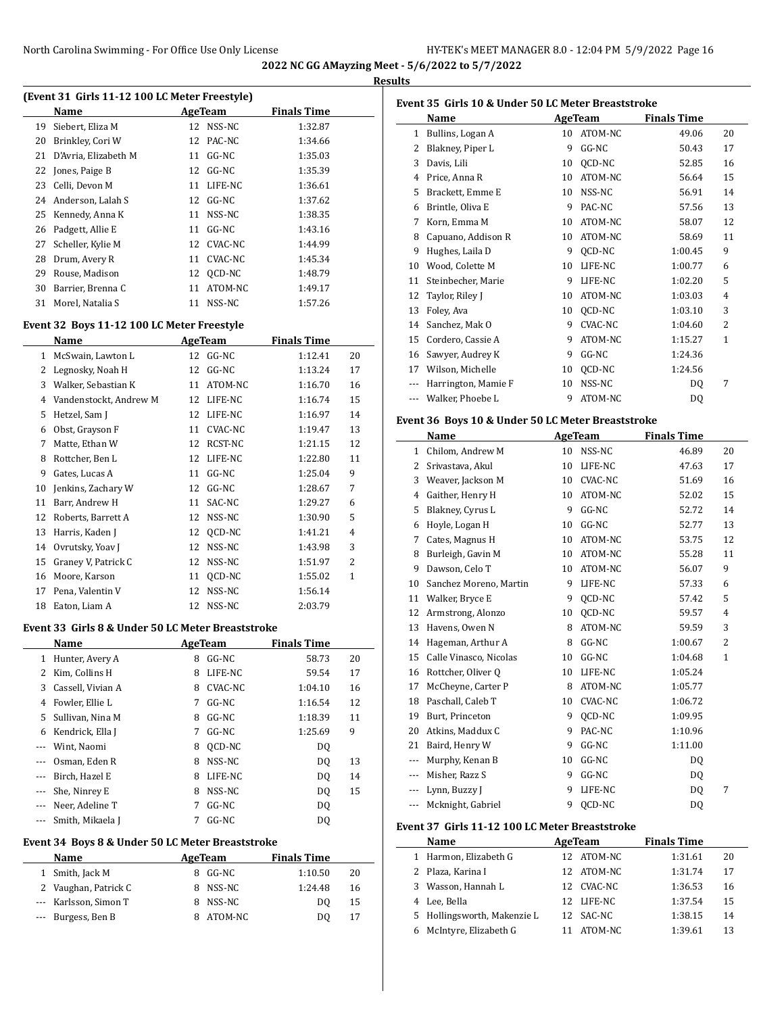**2022 NC GG AMayzing Meet - 5/6/2022 to 5/7/2022 Results**

 $\overline{a}$ 

| (Event 31 Girls 11-12 100 LC Meter Freestyle) |    |         |                     |  |  |  |  |
|-----------------------------------------------|----|---------|---------------------|--|--|--|--|
| Name                                          |    |         | Finals Time         |  |  |  |  |
| Siebert, Eliza M                              | 12 | NSS-NC  | 1:32.87             |  |  |  |  |
| Brinkley, Cori W                              | 12 | PAC-NC  | 1:34.66             |  |  |  |  |
| D'Avria, Elizabeth M                          | 11 | GG-NC   | 1:35.03             |  |  |  |  |
| 22 Jones, Paige B                             | 12 | $GG-NC$ | 1:35.39             |  |  |  |  |
| Celli, Devon M                                | 11 | LIFE-NC | 1:36.61             |  |  |  |  |
| Anderson, Lalah S                             |    |         | 1:37.62             |  |  |  |  |
| Kennedy, Anna K                               | 11 | NSS-NC  | 1:38.35             |  |  |  |  |
| Padgett, Allie E                              | 11 | GG-NC   | 1:43.16             |  |  |  |  |
| Scheller, Kylie M                             | 12 | CVAC-NC | 1:44.99             |  |  |  |  |
| Drum, Avery R                                 | 11 | CVAC-NC | 1:45.34             |  |  |  |  |
| Rouse, Madison                                | 12 | OCD-NC  | 1:48.79             |  |  |  |  |
| Barrier, Brenna C                             | 11 | ATOM-NC | 1:49.17             |  |  |  |  |
| Morel, Natalia S                              | 11 | NSS-NC  | 1:57.26             |  |  |  |  |
|                                               |    |         | AgeTeam<br>12 GG-NC |  |  |  |  |

## **Event 32 Boys 11-12 100 LC Meter Freestyle**

|    | <b>AgeTeam</b><br>Name |    | <b>Finals Time</b> |         |    |  |
|----|------------------------|----|--------------------|---------|----|--|
| 1  | McSwain, Lawton L      | 12 | $GG-NC$            | 1:12.41 | 20 |  |
| 2  | Legnosky, Noah H       | 12 | $GG-NC$            | 1:13.24 | 17 |  |
| 3  | Walker, Sebastian K    | 11 | ATOM-NC            | 1:16.70 | 16 |  |
| 4  | Vandenstockt, Andrew M | 12 | LIFE-NC            | 1:16.74 | 15 |  |
| 5  | Hetzel, Sam J          | 12 | LIFE-NC            | 1:16.97 | 14 |  |
| 6  | Obst, Grayson F        | 11 | CVAC-NC            | 1:19.47 | 13 |  |
| 7  | Matte, Ethan W         | 12 | RCST-NC            | 1:21.15 | 12 |  |
| 8  | Rottcher, Ben L        | 12 | LIFE-NC            | 1:22.80 | 11 |  |
| 9  | Gates, Lucas A         | 11 | $GG-NC$            | 1:25.04 | 9  |  |
| 10 | Jenkins, Zachary W     | 12 | $GG-NC$            | 1:28.67 | 7  |  |
| 11 | Barr, Andrew H         | 11 | SAC-NC             | 1:29.27 | 6  |  |
| 12 | Roberts, Barrett A     | 12 | NSS-NC             | 1:30.90 | 5  |  |
| 13 | Harris, Kaden J        | 12 | QCD-NC             | 1:41.21 | 4  |  |
| 14 | Ovrutsky, Yoav J       | 12 | NSS-NC             | 1:43.98 | 3  |  |
| 15 | Graney V, Patrick C    | 12 | NSS-NC             | 1:51.97 | 2  |  |
| 16 | Moore, Karson          | 11 | QCD-NC             | 1:55.02 | 1  |  |
| 17 | Pena, Valentin V       | 12 | NSS-NC             | 1:56.14 |    |  |
| 18 | Eaton, Liam A          | 12 | NSS-NC             | 2:03.79 |    |  |

#### **Event 33 Girls 8 & Under 50 LC Meter Breaststroke**

| Name                   | <b>AgeTeam</b> |         | <b>Finals Time</b> |    |
|------------------------|----------------|---------|--------------------|----|
| Hunter, Avery A        | 8              | $GG-NC$ | 58.73              | 20 |
| Kim, Collins H         | 8              | LIFE-NC | 59.54              | 17 |
| Cassell, Vivian A      | 8              | CVAC-NC | 1:04.10            | 16 |
| Fowler, Ellie L        | 7              | $GG-NC$ | 1:16.54            | 12 |
| Sullivan, Nina M<br>5. | 8              | GG-NC   | 1:18.39            | 11 |
| Kendrick, Ella J       | 7              | GG-NC   | 1:25.69            | 9  |
| Wint, Naomi            | 8              | OCD-NC  | DO.                |    |
| Osman, Eden R          | 8              | NSS-NC  | DQ                 | 13 |
| Birch, Hazel E         | 8              | LIFE-NC | DQ                 | 14 |
| She, Ninrey E          | 8              | NSS-NC  | DQ                 | 15 |
| Neer, Adeline T        | 7              | $GG-NC$ | DQ                 |    |
| Smith, Mikaela J       | 7              | $GG-NC$ | DQ                 |    |
|                        |                |         |                    |    |

## **Event 34 Boys 8 & Under 50 LC Meter Breaststroke**

 $\overline{a}$ 

| Name                  | AgeTeam |          | <b>Finals Time</b> |    |
|-----------------------|---------|----------|--------------------|----|
| 1 Smith, Jack M       |         | 8 GG-NC  | 1:10.50            | 20 |
| 2 Vaughan, Patrick C  |         | 8 NSS-NC | 1:24.48            | 16 |
| --- Karlsson, Simon T |         | 8 NSS-NC | DΟ                 | 15 |
| --- Burgess, Ben B    |         | ATOM-NC  | DO                 | 17 |

| Event 35 Girls 10 & Under 50 LC Meter Breaststroke |                                                   |    |                |                    |                |  |  |  |
|----------------------------------------------------|---------------------------------------------------|----|----------------|--------------------|----------------|--|--|--|
|                                                    | Name                                              |    | AgeTeam        | <b>Finals Time</b> |                |  |  |  |
| 1                                                  | Bullins, Logan A                                  | 10 | ATOM-NC        | 49.06              | 20             |  |  |  |
| 2                                                  | Blakney, Piper L                                  | 9  | GG-NC          | 50.43              | 17             |  |  |  |
| 3                                                  | Davis, Lili                                       | 10 | QCD-NC         | 52.85              | 16             |  |  |  |
| 4                                                  | Price, Anna R                                     | 10 | ATOM-NC        | 56.64              | 15             |  |  |  |
| 5                                                  | Brackett, Emme E                                  | 10 | NSS-NC         | 56.91              | 14             |  |  |  |
| 6                                                  | Brintle, Oliva E                                  | 9  | PAC-NC         | 57.56              | 13             |  |  |  |
| 7                                                  | Korn, Emma M                                      | 10 | ATOM-NC        | 58.07              | 12             |  |  |  |
| 8                                                  | Capuano, Addison R                                | 10 | ATOM-NC        | 58.69              | 11             |  |  |  |
| 9                                                  | Hughes, Laila D                                   | 9  | QCD-NC         | 1:00.45            | 9              |  |  |  |
| 10                                                 | Wood, Colette M                                   | 10 | LIFE-NC        | 1:00.77            | 6              |  |  |  |
| 11                                                 | Steinbecher, Marie                                | 9  | LIFE-NC        | 1:02.20            | 5              |  |  |  |
| 12                                                 | Taylor, Riley J                                   | 10 | ATOM-NC        | 1:03.03            | 4              |  |  |  |
| 13                                                 | Foley, Ava                                        | 10 | QCD-NC         | 1:03.10            | 3              |  |  |  |
| 14                                                 | Sanchez, Mak O                                    | 9  | <b>CVAC-NC</b> | 1:04.60            | 2              |  |  |  |
| 15                                                 | Cordero, Cassie A                                 | 9  | ATOM-NC        | 1:15.27            | 1              |  |  |  |
| 16                                                 | Sawyer, Audrey K                                  | 9  | GG-NC          | 1:24.36            |                |  |  |  |
| 17                                                 | Wilson, Michelle                                  | 10 | QCD-NC         | 1:24.56            |                |  |  |  |
| ---                                                | Harrington, Mamie F                               | 10 | NSS-NC         | DQ                 | 7              |  |  |  |
| $\overline{a}$                                     | Walker, Phoebe L                                  | 9  | ATOM-NC        | DQ                 |                |  |  |  |
|                                                    | Event 36 Boys 10 & Under 50 LC Meter Breaststroke |    |                |                    |                |  |  |  |
|                                                    | Name                                              |    | <b>AgeTeam</b> | <b>Finals Time</b> |                |  |  |  |
| $\mathbf{1}$                                       | Chilom, Andrew M                                  | 10 | NSS-NC         | 46.89              | 20             |  |  |  |
| 2                                                  | Srivastava, Akul                                  | 10 | LIFE-NC        | 47.63              | 17             |  |  |  |
| 3                                                  | Weaver, Jackson M                                 |    | 10 CVAC-NC     | 51.69              | 16             |  |  |  |
| $\overline{4}$                                     | Gaither, Henry H                                  | 10 | ATOM-NC        | 52.02              | 15             |  |  |  |
| 5                                                  | Blakney, Cyrus L                                  | 9  | GG-NC          | 52.72              | 14             |  |  |  |
| 6                                                  | Hoyle, Logan H                                    | 10 | $GG-NC$        | 52.77              | 13             |  |  |  |
| 7                                                  | Cates, Magnus H                                   | 10 | ATOM-NC        | 53.75              | 12             |  |  |  |
| 8                                                  | Burleigh, Gavin M                                 | 10 | ATOM-NC        | 55.28              | 11             |  |  |  |
| 9                                                  | Dawson, Celo T                                    | 10 | ATOM-NC        | 56.07              | 9              |  |  |  |
| 10                                                 | Sanchez Moreno, Martin                            | 9  | LIFE-NC        | 57.33              | 6              |  |  |  |
| 11                                                 | Walker, Bryce E                                   | 9  | QCD-NC         | 57.42              | 5              |  |  |  |
| 12                                                 | Armstrong, Alonzo                                 | 10 | OCD-NC         | 59.57              | $\overline{4}$ |  |  |  |
|                                                    |                                                   |    |                |                    |                |  |  |  |

#### **Event 37 Girls 11-12 100 LC Meter Breaststroke Name Age Team Finals Time**

|   | .                           |            | .       |    |
|---|-----------------------------|------------|---------|----|
| 1 | Harmon, Elizabeth G         | 12 ATOM-NC | 1:31.61 | 20 |
|   | 2 Plaza, Karina I           | 12 ATOM-NC | 1:31.74 | 17 |
|   | 3 Wasson, Hannah L          | 12 CVAC-NC | 1:36.53 | 16 |
|   | 4 Lee, Bella                | 12 LIFE-NC | 1:37.54 | 15 |
|   | 5 Hollingsworth, Makenzie L | 12 SAC-NC  | 1:38.15 | 14 |
|   | 6 McIntyre, Elizabeth G     | ATOM-NC    | 1:39.61 | 13 |

13 Havens, Owen N 8 ATOM-NC 59.59 3 14 Hageman, Arthur A 8 GG-NC 1:00.67 2 15 Calle Vinasco, Nicolas 10 GG-NC 1:04.68 1 16 Rottcher, Oliver Q 10 LIFE-NC 1:05.24 17 McCheyne, Carter P 8 ATOM-NC 1:05.77 18 Paschall, Caleb T 10 CVAC-NC 1:06.72 Burt, Princeton 9 QCD-NC 1:09.95 20 Atkins, Maddux C 9 PAC-NC 1:10.96 21 Baird, Henry W 9 GG-NC 1:11.00 --- Murphy, Kenan B 10 GG-NC DQ --- Misher, Razz S 9 GG-NC DQ --- Lynn, Buzzy J 9 LIFE-NC DQ 7 --- Mcknight, Gabriel 9 QCD-NC DQ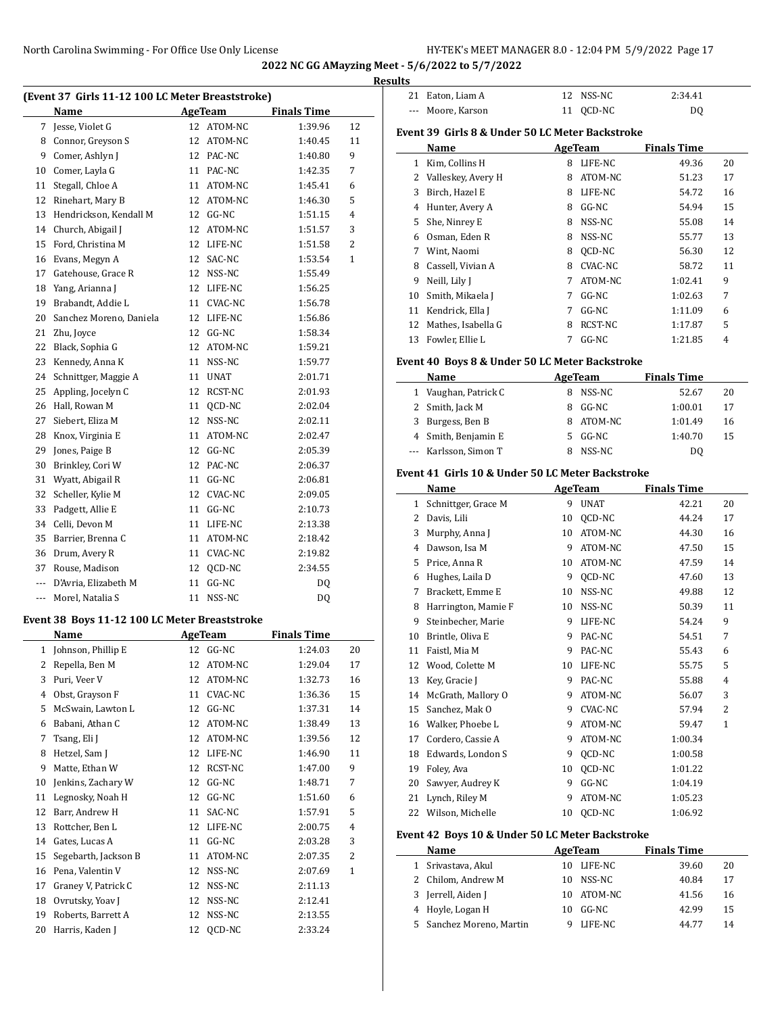|                | (Event 37 Girls 11-12 100 LC Meter Breaststroke) |    |            |                    |                | <b>Results</b> |
|----------------|--------------------------------------------------|----|------------|--------------------|----------------|----------------|
|                | Name                                             |    | AgeTeam    | <b>Finals Time</b> |                |                |
|                | 7 Jesse, Violet G                                |    | 12 ATOM-NC | 1:39.96            | 12             |                |
|                | 8 Connor, Greyson S                              | 12 | ATOM-NC    | 1:40.45            | 11             | Eve            |
|                | 9 Comer, Ashlyn J                                |    | 12 PAC-NC  | 1:40.80            | 9              |                |
|                | 10 Comer, Layla G                                |    | 11 PAC-NC  | 1:42.35            | 7              |                |
| 11             | Stegall, Chloe A                                 |    | 11 ATOM-NC | 1:45.41            | 6              |                |
| 12             | Rinehart, Mary B                                 |    | 12 ATOM-NC | 1:46.30            | 5              |                |
| 13             | Hendrickson, Kendall M                           |    | 12 GG-NC   | 1:51.15            | $\overline{4}$ |                |
| 14             | Church, Abigail J                                |    | 12 ATOM-NC | 1:51.57            | 3              |                |
| 15             | Ford, Christina M                                |    | 12 LIFE-NC | 1:51.58            | $\overline{2}$ |                |
| 16             | Evans, Megyn A                                   |    | 12 SAC-NC  | 1:53.54            | $\mathbf{1}$   |                |
| 17             | Gatehouse, Grace R                               | 12 | NSS-NC     | 1:55.49            |                |                |
| 18             | Yang, Arianna J                                  |    | 12 LIFE-NC | 1:56.25            |                |                |
| 19             | Brabandt, Addie L                                |    | 11 CVAC-NC | 1:56.78            |                |                |
| 20             | Sanchez Moreno, Daniela                          |    | 12 LIFE-NC | 1:56.86            |                |                |
| 21             | Zhu, Joyce                                       |    | 12 GG-NC   | 1:58.34            |                |                |
| 22             | Black, Sophia G                                  |    | 12 ATOM-NC | 1:59.21            |                |                |
| 23             | Kennedy, Anna K                                  | 11 | NSS-NC     | 1:59.77            |                | Eve            |
| 24             | Schnittger, Maggie A                             |    | 11 UNAT    | 2:01.71            |                |                |
| 25             | Appling, Jocelyn C                               | 12 | RCST-NC    | 2:01.93            |                |                |
| 26             | Hall, Rowan M                                    |    | 11 QCD-NC  | 2:02.04            |                |                |
| 27             | Siebert, Eliza M                                 | 12 | NSS-NC     | 2:02.11            |                |                |
| 28             | Knox, Virginia E                                 |    | 11 ATOM-NC | 2:02.47            |                |                |
| 29             | Jones, Paige B                                   |    | 12 GG-NC   | 2:05.39            |                |                |
| 30             | Brinkley, Cori W                                 |    | 12 PAC-NC  | 2:06.37            |                |                |
| 31             | Wyatt, Abigail R                                 |    | 11 GG-NC   | 2:06.81            |                | Eve            |
| 32             | Scheller, Kylie M                                |    | 12 CVAC-NC | 2:09.05            |                |                |
| 33             | Padgett, Allie E                                 |    | 11 GG-NC   | 2:10.73            |                |                |
| 34             | Celli, Devon M                                   |    | 11 LIFE-NC | 2:13.38            |                |                |
| 35             | Barrier, Brenna C                                |    | 11 ATOM-NC | 2:18.42            |                |                |
| 36             | Drum, Avery R                                    |    | 11 CVAC-NC | 2:19.82            |                |                |
| 37             | Rouse, Madison                                   | 12 | QCD-NC     | 2:34.55            |                |                |
| ---            | D'Avria, Elizabeth M                             | 11 | GG-NC      | DQ                 |                |                |
| ---            | Morel, Natalia S                                 | 11 | NSS-NC     | DQ                 |                |                |
|                | Event 38 Boys 11-12 100 LC Meter Breaststroke    |    |            |                    |                |                |
|                | Name                                             |    | AgeTeam    | <b>Finals Time</b> |                |                |
|                | 1 Johnson, Phillip E                             |    | 12 GG-NC   | 1:24.03            | 20             |                |
| $\overline{2}$ | Repella, Ben M                                   | 12 | ATOM-NC    | 1:29.04            | 17             |                |
|                | 3 Puri, Veer V                                   |    | 12 ATOM-NC | 1:32.73            | 16             |                |
|                | 4 Obst, Grayson F                                |    | 11 CVAC-NC | 1:36.36            | 15             |                |
| 5              | McSwain, Lawton L                                |    | 12 GG-NC   | 1:37.31            | 14             |                |
| 6              | Babani, Athan C                                  |    | 12 ATOM-NC | 1:38.49            | 13             |                |

7 Tsang, Eli J 12 ATOM-NC 1:39.56 12 8 Hetzel, Sam J 12 LIFE-NC 1:46.90 11 Matte, Ethan W 12 RCST-NC 1:47.00 9 Jenkins, Zachary W 12 GG-NC 1:48.71 7 11 Legnosky, Noah H 12 GG-NC 1:51.60 6 12 Barr, Andrew H 11 SAC-NC 1:57.91 5 Rottcher, Ben L 12 LIFE-NC 2:00.75 4 14 Gates, Lucas A 11 GG-NC 2:03.28 3 Segebarth, Jackson B 11 ATOM-NC 2:07.35 2 16 Pena, Valentin V 12 NSS-NC 2:07.69 1 Graney V, Patrick C 12 NSS-NC 2:11.13 18 Ovrutsky, Yoav J 12 NSS-NC 2:12.41 Roberts, Barrett A 12 NSS-NC 2:13.55 20 Harris, Kaden J 12 QCD-NC 2:33.24

| 21 | Eaton, Liam A                                    | 12 | NSS-NC  | 2:34.41            |    |  |
|----|--------------------------------------------------|----|---------|--------------------|----|--|
|    | Moore, Karson                                    | 11 | OCD-NC  | DQ                 |    |  |
|    | Event 39  Girls 8 & Under 50 LC Meter Backstroke |    |         |                    |    |  |
|    | Name                                             |    | AgeTeam | <b>Finals Time</b> |    |  |
| 1  | Kim, Collins H                                   | 8  | LIFE-NC | 49.36              | 20 |  |
| 2  | Valleskey, Avery H                               | 8  | ATOM-NC | 51.23              | 17 |  |
| 3  | Birch, Hazel E                                   | 8  | LIFE-NC | 54.72              | 16 |  |
| 4  | Hunter, Avery A                                  | 8  | $GG-NC$ | 54.94              | 15 |  |
| 5  | She, Ninrey E                                    | 8  | NSS-NC  | 55.08              | 14 |  |
| 6  | Osman, Eden R                                    | 8  | NSS-NC  | 55.77              | 13 |  |
| 7  | Wint, Naomi                                      | 8  | OCD-NC  | 56.30              | 12 |  |
| 8  | Cassell, Vivian A                                | 8  | CVAC-NC | 58.72              | 11 |  |
| 9  | Neill, Lily J                                    | 7  | ATOM-NC | 1:02.41            | 9  |  |
| 10 | Smith, Mikaela J                                 | 7  | $GG-NC$ | 1:02.63            | 7  |  |
| 11 | Kendrick, Ella J                                 | 7  | $GG-NC$ | 1:11.09            | 6  |  |
| 12 | Mathes, Isabella G                               | 8  | RCST-NC | 1:17.87            | 5  |  |

#### **Event 40 Boys 8 & Under 50 LC Meter Backstroke**

|   | Name                  | AgeTeam |         | <b>Finals Time</b> |    |
|---|-----------------------|---------|---------|--------------------|----|
| 1 | Vaughan, Patrick C    |         | NSS-NC  | 52.67              | 20 |
|   | 2 Smith, Jack M       |         | GG-NC   | 1:00.01            | 17 |
| 3 | Burgess, Ben B        | 8       | ATOM-NC | 1:01.49            | 16 |
|   | 4 Smith, Benjamin E   | 5.      | GG-NC   | 1:40.70            | 15 |
|   | --- Karlsson, Simon T |         | NSS-NC  | DΟ                 |    |

13 Fowler, Ellie L 7 GG-NC 1:21.85 4

#### **Event 41 Girls 10 & Under 50 LC Meter Backstroke**

|              | Name                |    | AgeTeam     | <b>Finals Time</b> |              |
|--------------|---------------------|----|-------------|--------------------|--------------|
| $\mathbf{1}$ | Schnittger, Grace M | 9  | <b>UNAT</b> | 42.21              | 20           |
| 2            | Davis, Lili         | 10 | QCD-NC      | 44.24              | 17           |
| 3            | Murphy, Anna J      | 10 | ATOM-NC     | 44.30              | 16           |
| 4            | Dawson, Isa M       | 9  | ATOM-NC     | 47.50              | 15           |
| 5            | Price, Anna R       | 10 | ATOM-NC     | 47.59              | 14           |
| 6            | Hughes, Laila D     | 9  | QCD-NC      | 47.60              | 13           |
| 7            | Brackett, Emme E    | 10 | NSS-NC      | 49.88              | 12           |
| 8            | Harrington, Mamie F | 10 | NSS-NC      | 50.39              | 11           |
| 9            | Steinbecher, Marie  | 9  | LIFE-NC     | 54.24              | 9            |
| 10           | Brintle, Oliva E    | 9  | PAC-NC      | 54.51              | 7            |
| 11           | Faistl, Mia M       | 9  | PAC-NC      | 55.43              | 6            |
| 12           | Wood, Colette M     | 10 | LIFE-NC     | 55.75              | 5            |
| 13           | Key, Gracie J       | 9  | PAC-NC      | 55.88              | 4            |
| 14           | McGrath, Mallory O  | 9  | ATOM-NC     | 56.07              | 3            |
| 15           | Sanchez, Mak O      | 9  | CVAC-NC     | 57.94              | 2            |
| 16           | Walker, Phoebe L    | 9  | ATOM-NC     | 59.47              | $\mathbf{1}$ |
| 17           | Cordero, Cassie A   | 9  | ATOM-NC     | 1:00.34            |              |
| 18           | Edwards, London S   | 9  | QCD-NC      | 1:00.58            |              |
| 19           | Foley, Ava          | 10 | OCD-NC      | 1:01.22            |              |
| 20           | Sawyer, Audrey K    | 9  | $GG-NC$     | 1:04.19            |              |
| 21           | Lynch, Riley M      | 9  | ATOM-NC     | 1:05.23            |              |
| 22           | Wilson, Michelle    | 10 | OCD-NC      | 1:06.92            |              |

#### **Event 42 Boys 10 & Under 50 LC Meter Backstroke**

| Name                     |    | AgeTeam    | <b>Finals Time</b> |    |
|--------------------------|----|------------|--------------------|----|
| 1 Srivastava, Akul       |    | 10 LIFE-NC | 39.60              | 20 |
| 2 Chilom, Andrew M       |    | 10 NSS-NC  | 40.84              | 17 |
| 3 Jerrell, Aiden J       |    | 10 ATOM-NC | 41.56              | 16 |
| 4 Hoyle, Logan H         | 10 | GG-NC      | 42.99              | 15 |
| 5 Sanchez Moreno, Martin |    | LIFE-NC    | 44.77              | 14 |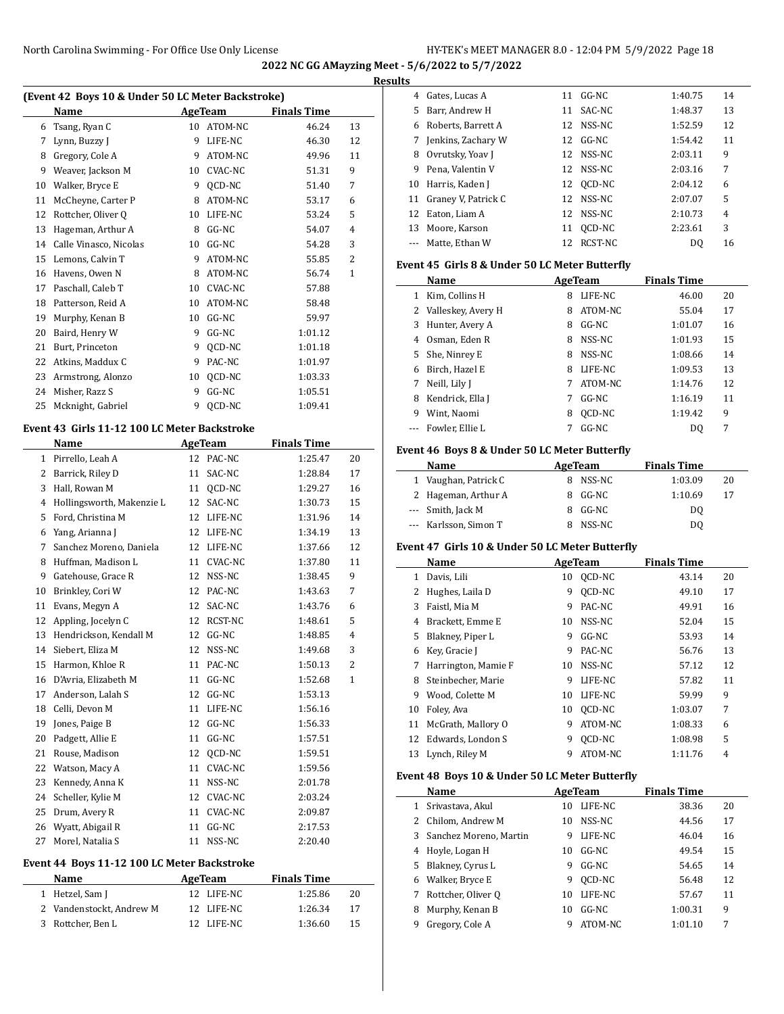| (Event 42 Boys 10 & Under 50 LC Meter Backstroke) |                        |    |         |                    |    |  |  |  |
|---------------------------------------------------|------------------------|----|---------|--------------------|----|--|--|--|
|                                                   | Name                   |    | AgeTeam | <b>Finals Time</b> |    |  |  |  |
| 6                                                 | Tsang, Ryan C          | 10 | ATOM-NC | 46.24              | 13 |  |  |  |
| 7                                                 | Lynn, Buzzy J          | 9  | LIFE-NC | 46.30              | 12 |  |  |  |
| 8                                                 | Gregory, Cole A        | 9  | ATOM-NC | 49.96              | 11 |  |  |  |
| 9                                                 | Weaver, Jackson M      | 10 | CVAC-NC | 51.31              | 9  |  |  |  |
| 10                                                | Walker, Bryce E        | 9  | QCD-NC  | 51.40              | 7  |  |  |  |
| 11                                                | McCheyne, Carter P     | 8  | ATOM-NC | 53.17              | 6  |  |  |  |
| 12                                                | Rottcher, Oliver Q     | 10 | LIFE-NC | 53.24              | 5  |  |  |  |
| 13                                                | Hageman, Arthur A      | 8  | GG-NC   | 54.07              | 4  |  |  |  |
| 14                                                | Calle Vinasco, Nicolas | 10 | GG-NC   | 54.28              | 3  |  |  |  |
| 15                                                | Lemons, Calvin T       | 9  | ATOM-NC | 55.85              | 2  |  |  |  |
| 16                                                | Havens, Owen N         | 8  | ATOM-NC | 56.74              | 1  |  |  |  |
| 17                                                | Paschall, Caleb T      | 10 | CVAC-NC | 57.88              |    |  |  |  |
| 18                                                | Patterson, Reid A      | 10 | ATOM-NC | 58.48              |    |  |  |  |
| 19                                                | Murphy, Kenan B        | 10 | $GG-NC$ | 59.97              |    |  |  |  |
| 20                                                | Baird, Henry W         | 9  | GG-NC   | 1:01.12            |    |  |  |  |
| 21                                                | Burt, Princeton        | 9  | OCD-NC  | 1:01.18            |    |  |  |  |
| 22                                                | Atkins, Maddux C       | 9  | PAC-NC  | 1:01.97            |    |  |  |  |
| 23                                                | Armstrong, Alonzo      | 10 | QCD-NC  | 1:03.33            |    |  |  |  |
| 24                                                | Misher, Razz S         | 9  | GG-NC   | 1:05.51            |    |  |  |  |
| 25                                                | Mcknight, Gabriel      | 9  | OCD-NC  | 1:09.41            |    |  |  |  |

## **Event 43 Girls 11-12 100 LC Meter Backstroke**

 $\overline{\phantom{a}}$ 

|              | <b>Name</b>               | <b>AgeTeam</b> |                | <b>Finals Time</b> |              |  |
|--------------|---------------------------|----------------|----------------|--------------------|--------------|--|
| $\mathbf{1}$ | Pirrello, Leah A          | 12             | PAC-NC         | 1:25.47            | 20           |  |
| 2            | Barrick, Riley D          | 11             | SAC-NC         | 1:28.84            | 17           |  |
| 3            | Hall, Rowan M             | 11             | QCD-NC         | 1:29.27            | 16           |  |
| 4            | Hollingsworth, Makenzie L | 12             | SAC-NC         | 1:30.73            | 15           |  |
| 5            | Ford, Christina M         | 12             | LIFE-NC        | 1:31.96            | 14           |  |
| 6            | Yang, Arianna J           | 12             | LIFE-NC        | 1:34.19            | 13           |  |
| 7            | Sanchez Moreno, Daniela   | 12             | LIFE-NC        | 1:37.66            | 12           |  |
| 8            | Huffman, Madison L        | 11             | CVAC-NC        | 1:37.80            | 11           |  |
| 9            | Gatehouse, Grace R        | 12             | NSS-NC         | 1:38.45            | 9            |  |
| 10           | Brinkley, Cori W          | 12             | PAC-NC         | 1:43.63            | 7            |  |
| 11           | Evans, Megyn A            | 12             | SAC-NC         | 1:43.76            | 6            |  |
| 12           | Appling, Jocelyn C        | 12             | RCST-NC        | 1:48.61            | 5            |  |
| 13           | Hendrickson, Kendall M    | 12             | $GG-NC$        | 1:48.85            | 4            |  |
| 14           | Siebert, Eliza M          | 12             | NSS-NC         | 1:49.68            | 3            |  |
| 15           | Harmon, Khloe R           | 11             | PAC-NC         | 1:50.13            | 2            |  |
| 16           | D'Avria, Elizabeth M      | 11             | $GG-NC$        | 1:52.68            | $\mathbf{1}$ |  |
| 17           | Anderson, Lalah S         | 12             | $GG-NC$        | 1:53.13            |              |  |
| 18           | Celli, Devon M            | 11             | LIFE-NC        | 1:56.16            |              |  |
| 19           | Jones, Paige B            | 12             | $GG-NC$        | 1:56.33            |              |  |
| 20           | Padgett, Allie E          | 11             | GG-NC          | 1:57.51            |              |  |
| 21           | Rouse, Madison            | 12             | OCD-NC         | 1:59.51            |              |  |
| 22           | Watson, Macy A            | 11             | <b>CVAC-NC</b> | 1:59.56            |              |  |
| 23           | Kennedy, Anna K           | 11             | NSS-NC         | 2:01.78            |              |  |
| 24           | Scheller, Kylie M         | 12             | CVAC-NC        | 2:03.24            |              |  |
| 25           | Drum, Avery R             | 11             | <b>CVAC-NC</b> | 2:09.87            |              |  |
| 26           | Wyatt, Abigail R          | 11             | GG-NC          | 2:17.53            |              |  |
| 27           | Morel, Natalia S          | 11             | NSS-NC         | 2:20.40            |              |  |

## **Event 44 Boys 11-12 100 LC Meter Backstroke**

| <b>Name</b>              | AgeTeam    | <b>Finals Time</b> |    |
|--------------------------|------------|--------------------|----|
| 1 Hetzel, Sam J          | 12 LIFE-NC | 1:25.86            | 20 |
| 2 Vandenstockt, Andrew M | 12 LIFE-NC | 1:26.34            | 17 |
| 3 Rottcher, Ben L        | 12 LIFE-NC | 1:36.60            | 15 |

| <b>Results</b> |                        |    |           |                |                |  |  |
|----------------|------------------------|----|-----------|----------------|----------------|--|--|
|                | 4 Gates, Lucas A       | 11 | $GG-NC$   | 1:40.75        | 14             |  |  |
| 5.             | Barr, Andrew H         |    | 11 SAC-NC | 1:48.37        | 13             |  |  |
|                | 6 Roberts, Barrett A   |    | 12 NSS-NC | 1:52.59        | 12             |  |  |
| 7              | Jenkins, Zachary W     |    | 12 GG-NC  | 1:54.42        | 11             |  |  |
| 8              | Ovrutsky, Yoav J       |    | 12 NSS-NC | 2:03.11        | 9              |  |  |
| 9              | Pena. Valentin V       |    | 12 NSS-NC | 2:03.16        | 7              |  |  |
|                | 10 Harris, Kaden J     |    | 12 OCD-NC | 2:04.12        | 6              |  |  |
|                | 11 Graney V, Patrick C |    | 12 NSS-NC | 2:07.07        | 5              |  |  |
| 12             | Eaton, Liam A          |    | 12 NSS-NC | 2:10.73        | $\overline{4}$ |  |  |
|                | 13 Moore, Karson       | 11 | OCD-NC    | 2:23.61        | 3              |  |  |
|                | Matte, Ethan W         |    | RCST-NC   | D <sub>0</sub> | 16             |  |  |

## **Event 45 Girls 8 & Under 50 LC Meter Butterfly**

|    | Name                 |   | AgeTeam | <b>Finals Time</b> |    |  |
|----|----------------------|---|---------|--------------------|----|--|
| 1  | Kim, Collins H       | 8 | LIFE-NC | 46.00              | 20 |  |
|    | 2 Valleskey, Avery H | 8 | ATOM-NC | 55.04              | 17 |  |
| 3  | Hunter, Avery A      | 8 | GG-NC   | 1:01.07            | 16 |  |
| 4  | Osman. Eden R        | 8 | NSS-NC  | 1:01.93            | 15 |  |
| 5. | She, Ninrey E        | 8 | NSS-NC  | 1:08.66            | 14 |  |
| 6  | Birch, Hazel E       | 8 | LIFE-NC | 1:09.53            | 13 |  |
|    | Neill, Lily J        | 7 | ATOM-NC | 1:14.76            | 12 |  |
| 8  | Kendrick, Ella J     | 7 | $GG-NC$ | 1:16.19            | 11 |  |
| 9  | Wint, Naomi          | 8 | OCD-NC  | 1:19.42            | 9  |  |
|    | Fowler. Ellie L      |   | $GG-NC$ | D <sub>0</sub>     | 7  |  |

## **Event 46 Boys 8 & Under 50 LC Meter Butterfly**

| Name |                       | AgeTeam |          | <b>Finals Time</b> |    |
|------|-----------------------|---------|----------|--------------------|----|
|      | 1 Vaughan, Patrick C  |         | 8 NSS-NC | 1:03.09            | 20 |
|      | 2 Hageman, Arthur A   |         | 8 GG-NC  | 1:10.69            | 17 |
|      | --- Smith, Jack M     |         | 8 GG-NC  | DO.                |    |
|      | --- Karlsson, Simon T |         | NSS-NC   | DO                 |    |

#### **Event 47 Girls 10 & Under 50 LC Meter Butterfly**

|    | Name                 |    | AgeTeam       | <b>Finals Time</b> |                |
|----|----------------------|----|---------------|--------------------|----------------|
| 1  | Davis, Lili          | 10 | OCD-NC        | 43.14              | 20             |
| 2  | Hughes, Laila D      | 9  | <b>OCD-NC</b> | 49.10              | 17             |
| 3  | Faistl, Mia M        | 9  | PAC-NC        | 49.91              | 16             |
| 4  | Brackett, Emme E     | 10 | NSS-NC        | 52.04              | 15             |
| 5  | Blakney, Piper L     | 9  | $GG-NC$       | 53.93              | 14             |
| 6  | Key, Gracie J        | 9  | PAC-NC        | 56.76              | 13             |
| 7  | Harrington, Mamie F  | 10 | NSS-NC        | 57.12              | 12             |
| 8  | Steinbecher, Marie   | 9  | LIFE-NC       | 57.82              | 11             |
| 9  | Wood, Colette M      | 10 | LIFE-NC       | 59.99              | 9              |
| 10 | Foley, Ava           | 10 | OCD-NC        | 1:03.07            | 7              |
| 11 | McGrath, Mallory O   | 9  | ATOM-NC       | 1:08.33            | 6              |
|    | 12 Edwards, London S | 9  | OCD-NC        | 1:08.98            | 5              |
| 13 | Lynch, Riley M       | 9  | ATOM-NC       | 1:11.76            | $\overline{4}$ |

#### **Event 48 Boys 10 & Under 50 LC Meter Butterfly**

 $\overline{\phantom{a}}$ 

|    | Name                   |    | AgeTeam | <b>Finals Time</b> |    |  |
|----|------------------------|----|---------|--------------------|----|--|
|    | Srivastava, Akul       | 10 | LIFE-NC | 38.36              | 20 |  |
|    | Chilom, Andrew M       | 10 | NSS-NC  | 44.56              | 17 |  |
| 3  | Sanchez Moreno, Martin | 9  | LIFE-NC | 46.04              | 16 |  |
| 4  | Hoyle, Logan H         | 10 | GG-NC   | 49.54              | 15 |  |
| 5. | Blakney, Cyrus L       | 9  | $GG-NC$ | 54.65              | 14 |  |
| 6  | Walker, Bryce E        | 9  | OCD-NC  | 56.48              | 12 |  |
|    | Rottcher, Oliver O     | 10 | LIFE-NC | 57.67              | 11 |  |
| 8  | Murphy, Kenan B        | 10 | GG-NC   | 1:00.31            | 9  |  |
| 9  | Gregory, Cole A        | 9  | ATOM-NC | 1:01.10            | 7  |  |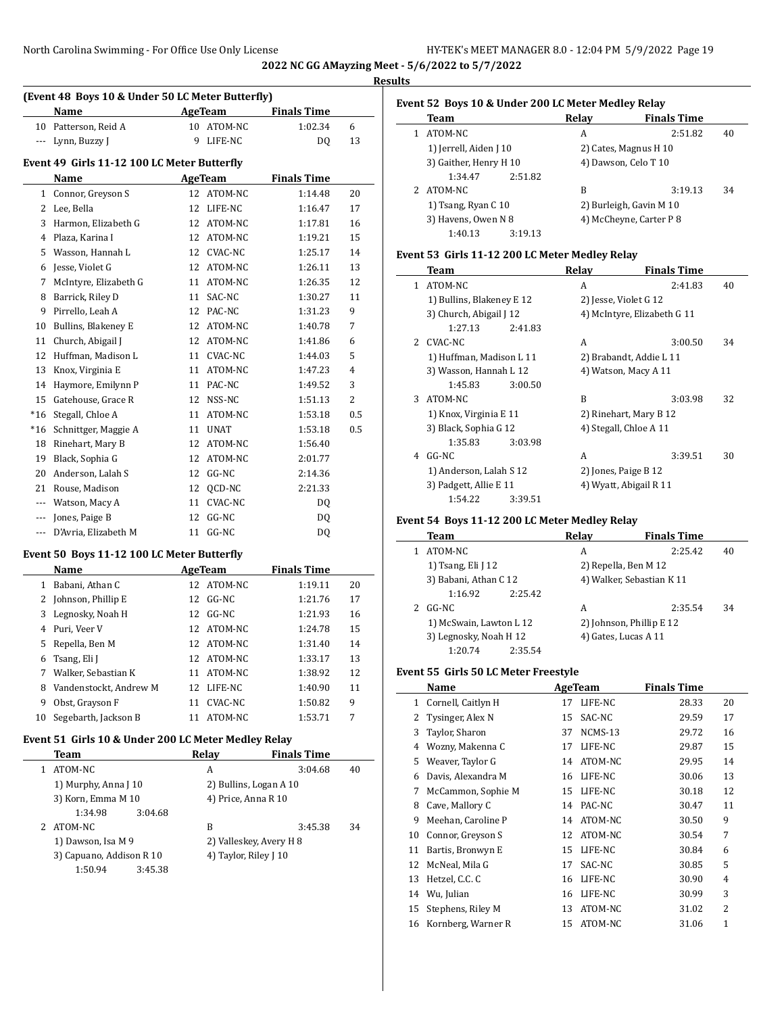|          |                                                  |    |                |                    |                | <b>Results</b> |
|----------|--------------------------------------------------|----|----------------|--------------------|----------------|----------------|
|          | (Event 48 Boys 10 & Under 50 LC Meter Butterfly) |    |                |                    |                | Eve            |
|          | Name                                             |    | AgeTeam        | <b>Finals Time</b> |                |                |
| 10       | Patterson, Reid A                                | 10 | ATOM-NC        | 1:02.34            | 6              |                |
| $---$    | Lynn, Buzzy J                                    | 9  | LIFE-NC        | DQ                 | 13             |                |
|          | Event 49 Girls 11-12 100 LC Meter Butterfly      |    |                |                    |                |                |
|          | Name                                             |    | <b>AgeTeam</b> | <b>Finals Time</b> |                |                |
| 1        | Connor, Greyson S                                | 12 | ATOM-NC        | 1:14.48            | 20             |                |
| 2        | Lee, Bella                                       | 12 | LIFE-NC        | 1:16.47            | 17             |                |
| 3        | Harmon, Elizabeth G                              | 12 | ATOM-NC        | 1:17.81            | 16             |                |
| 4        | Plaza, Karina I                                  | 12 | ATOM-NC        | 1:19.21            | 15             |                |
| 5        | Wasson, Hannah L                                 | 12 | CVAC-NC        | 1:25.17            | 14             | Eve            |
| 6        | Jesse, Violet G                                  | 12 | ATOM-NC        | 1:26.11            | 13             |                |
| 7        | McIntyre, Elizabeth G                            | 11 | ATOM-NC        | 1:26.35            | 12             |                |
| 8        | Barrick, Riley D                                 | 11 | SAC-NC         | 1:30.27            | 11             |                |
| 9        | Pirrello, Leah A                                 | 12 | PAC-NC         | 1:31.23            | 9              |                |
| 10       | Bullins, Blakeney E                              | 12 | ATOM-NC        | 1:40.78            | 7              |                |
| 11       | Church, Abigail J                                | 12 | ATOM-NC        | 1:41.86            | 6              |                |
| 12       | Huffman, Madison L                               | 11 | <b>CVAC-NC</b> | 1:44.03            | 5              |                |
| 13       | Knox, Virginia E                                 | 11 | ATOM-NC        | 1:47.23            | $\overline{4}$ |                |
| 14       | Haymore, Emilynn P                               | 11 | PAC-NC         | 1:49.52            | 3              |                |
| 15       | Gatehouse, Grace R                               | 12 | NSS-NC         | 1:51.13            | $\overline{2}$ |                |
| $*16$    | Stegall, Chloe A                                 | 11 | ATOM-NC        | 1:53.18            | 0.5            |                |
| $*16$    | Schnittger, Maggie A                             | 11 | <b>UNAT</b>    | 1:53.18            | 0.5            |                |
| 18       | Rinehart, Mary B                                 | 12 | ATOM-NC        | 1:56.40            |                |                |
| 19       | Black, Sophia G                                  | 12 | ATOM-NC        | 2:01.77            |                |                |
| 20       | Anderson, Lalah S                                | 12 | GG-NC          | 2:14.36            |                |                |
| 21       | Rouse, Madison                                   | 12 | OCD-NC         | 2:21.33            |                |                |
| ---      | Watson, Macy A                                   | 11 | <b>CVAC-NC</b> | DQ                 |                |                |
| $\cdots$ | Jones, Paige B                                   | 12 | GG-NC          | DQ                 |                | Eve            |
| ---      | D'Avria. Elizabeth M                             | 11 | $GG-NC$        | DQ                 |                |                |

## **Event 50 Boys 11-12 100 LC Meter Butterfly**

|    | Name                   | AgeTeam       | <b>Finals Time</b> |    |
|----|------------------------|---------------|--------------------|----|
| 1  | Babani, Athan C        | 12 ATOM-NC    | 1:19.11            | 20 |
|    | Johnson, Phillip E     | 12 GG-NC      | 1:21.76            | 17 |
| 3  | Legnosky, Noah H       | $GG-NC$<br>12 | 1:21.93            | 16 |
| 4  | Puri, Veer V           | 12 ATOM-NC    | 1:24.78            | 15 |
| 5  | Repella, Ben M         | 12 ATOM-NC    | 1:31.40            | 14 |
| 6  | Tsang, Eli J           | ATOM-NC<br>12 | 1:33.17            | 13 |
| 7  | Walker, Sebastian K    | 11 ATOM-NC    | 1:38.92            | 12 |
| 8  | Vandenstockt, Andrew M | 12 LIFE-NC    | 1:40.90            | 11 |
| 9  | Obst, Grayson F        | CVAC-NC<br>11 | 1:50.82            | 9  |
| 10 | Segebarth, Jackson B   | ATOM-NC<br>11 | 1:53.71            | 7  |

## **Event 51 Girls 10 & Under 200 LC Meter Medley Relay**

| Team                     | Relay                 | <b>Finals Time</b>      |    |
|--------------------------|-----------------------|-------------------------|----|
| ATOM-NC                  | А                     | 3:04.68                 | 40 |
| 1) Murphy, Anna J 10     |                       | 2) Bullins, Logan A 10  |    |
| 3) Korn, Emma M 10       | 4) Price, Anna R 10   |                         |    |
| 1:34.98<br>3:04.68       |                       |                         |    |
| ATOM-NC                  | В                     | 3:45.38                 | 34 |
| 1) Dawson, Isa M 9       |                       | 2) Valleskey, Avery H 8 |    |
| 3) Capuano, Addison R 10 | 4) Taylor, Riley J 10 |                         |    |
| 1:50.94<br>3:45.38       |                       |                         |    |

| Event 52 Boys 10 & Under 200 LC Meter Medley Relay |                        |         |       |                         |    |  |  |  |  |
|----------------------------------------------------|------------------------|---------|-------|-------------------------|----|--|--|--|--|
|                                                    | Team                   |         | Relav | <b>Finals Time</b>      |    |  |  |  |  |
|                                                    | ATOM-NC                |         | A     | 2:51.82                 | 40 |  |  |  |  |
|                                                    | 1) Jerrell, Aiden J 10 |         |       | 2) Cates, Magnus H 10   |    |  |  |  |  |
|                                                    | 3) Gaither, Henry H 10 |         |       | 4) Dawson, Celo T 10    |    |  |  |  |  |
|                                                    | 1:34.47                | 2:51.82 |       |                         |    |  |  |  |  |
| 2.                                                 | ATOM-NC                |         | B     | 3:19.13                 | 34 |  |  |  |  |
|                                                    | 1) Tsang, Ryan C 10    |         |       | 2) Burleigh, Gavin M 10 |    |  |  |  |  |
|                                                    | 3) Havens, Owen N 8    |         |       | 4) McCheyne, Carter P 8 |    |  |  |  |  |
|                                                    | 1:40.13                | 3:19.13 |       |                         |    |  |  |  |  |
|                                                    |                        |         |       |                         |    |  |  |  |  |

## **Event 53 Girls 11-12 200 LC Meter Medley Relay**

|               | Team                      |         | Relay | <b>Finals Time</b>          |    |
|---------------|---------------------------|---------|-------|-----------------------------|----|
| 1.            | ATOM-NC                   |         | A     | 2:41.83                     | 40 |
|               | 1) Bullins, Blakeney E 12 |         |       | 2) Jesse, Violet G 12       |    |
|               | 3) Church, Abigail J 12   |         |       | 4) McIntyre, Elizabeth G 11 |    |
|               | 1:27.13                   | 2:41.83 |       |                             |    |
| $\mathcal{L}$ | CVAC-NC                   |         | A     | 3:00.50                     | 34 |
|               | 1) Huffman, Madison L 11  |         |       | 2) Brabandt, Addie L 11     |    |
|               | 3) Wasson, Hannah L 12    |         |       | 4) Watson, Macy A 11        |    |
|               | 1:45.83                   | 3:00.50 |       |                             |    |
| 3             | ATOM-NC                   |         | B     | 3:03.98                     | 32 |
|               | 1) Knox, Virginia E 11    |         |       | 2) Rinehart, Mary B 12      |    |
|               | 3) Black, Sophia G 12     |         |       | 4) Stegall, Chloe A 11      |    |
|               | 1:35.83                   | 3:03.98 |       |                             |    |
| 4             | $GG-NC$                   |         | A     | 3:39.51                     | 30 |
|               | 1) Anderson, Lalah S 12   |         |       | 2) Jones, Paige B 12        |    |
|               | 3) Padgett, Allie E 11    |         |       | 4) Wyatt, Abigail R 11      |    |
|               | 1:54.22                   | 3:39.51 |       |                             |    |

## **Event 54 Boys 11-12 200 LC Meter Medley Relay**

| Team                    | Relav                | <b>Finals Time</b>        |    |
|-------------------------|----------------------|---------------------------|----|
| ATOM-NC                 | А                    | 2:25.42                   | 40 |
| 1) Tsang, Eli J 12      |                      | 2) Repella, Ben M 12      |    |
| 3) Babani, Athan C 12   |                      | 4) Walker, Sebastian K 11 |    |
| 2:25.42<br>1:16.92      |                      |                           |    |
| GG-NC                   | А                    | 2:35.54                   | 34 |
| 1) McSwain, Lawton L 12 |                      | 2) Johnson, Phillip E 12  |    |
| 3) Legnosky, Noah H 12  | 4) Gates, Lucas A 11 |                           |    |
| 2:35.54<br>1:20.74      |                      |                           |    |

#### **Event 55 Girls 50 LC Meter Freestyle**

|    | Name               |    | AgeTeam | <b>Finals Time</b> |                |
|----|--------------------|----|---------|--------------------|----------------|
| 1  | Cornell, Caitlyn H | 17 | LIFE-NC | 28.33              | 20             |
| 2  | Tysinger, Alex N   | 15 | SAC-NC  | 29.59              | 17             |
| 3  | Taylor, Sharon     | 37 | NCMS-13 | 29.72              | 16             |
| 4  | Wozny, Makenna C   | 17 | LIFE-NC | 29.87              | 15             |
| 5  | Weaver, Taylor G   | 14 | ATOM-NC | 29.95              | 14             |
| 6  | Davis, Alexandra M | 16 | LIFE-NC | 30.06              | 13             |
| 7  | McCammon, Sophie M | 15 | LIFE-NC | 30.18              | 12             |
| 8  | Cave, Mallory C    | 14 | PAC-NC  | 30.47              | 11             |
| 9  | Meehan, Caroline P | 14 | ATOM-NC | 30.50              | 9              |
| 10 | Connor, Greyson S  | 12 | ATOM-NC | 30.54              | 7              |
| 11 | Bartis, Bronwyn E  | 15 | LIFE-NC | 30.84              | 6              |
| 12 | McNeal, Mila G     | 17 | SAC-NC  | 30.85              | 5              |
| 13 | Hetzel, C.C. C     | 16 | LIFE-NC | 30.90              | $\overline{4}$ |
| 14 | Wu, Julian         | 16 | LIFE-NC | 30.99              | 3              |
| 15 | Stephens, Riley M  | 13 | ATOM-NC | 31.02              | 2              |
| 16 | Kornberg, Warner R | 15 | ATOM-NC | 31.06              | $\mathbf{1}$   |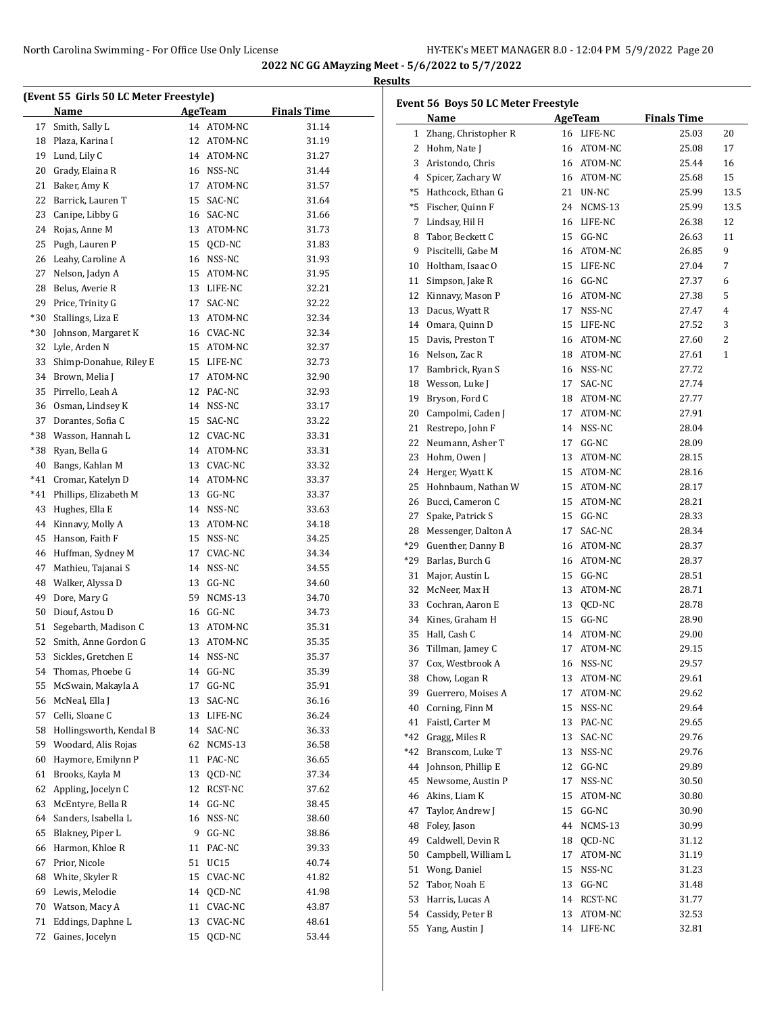|          | (Event 55 Girls 50 LC Meter Freestyle) |    |            |                    | Eve |
|----------|----------------------------------------|----|------------|--------------------|-----|
|          | Name                                   |    | AgeTeam    | <b>Finals Time</b> |     |
| 17       | Smith, Sally L                         |    | 14 ATOM-NC | 31.14              |     |
|          | 18 Plaza, Karina I                     |    | 12 ATOM-NC | 31.19              |     |
| 19       | Lund, Lily C                           |    | 14 ATOM-NC | 31.27              |     |
| 20       | Grady, Elaina R                        |    | 16 NSS-NC  | 31.44              |     |
| 21       | Baker, Amy K                           |    | 17 ATOM-NC | 31.57              |     |
| 22       | Barrick, Lauren T                      |    | 15 SAC-NC  | 31.64              |     |
| 23       | Canipe, Libby G                        |    | 16 SAC-NC  | 31.66              |     |
| 24       | Rojas, Anne M                          |    | 13 ATOM-NC | 31.73              |     |
| 25       | Pugh, Lauren P                         |    | 15 QCD-NC  | 31.83              |     |
|          | 26 Leahy, Caroline A                   |    | 16 NSS-NC  | 31.93              |     |
| 27       | Nelson, Jadyn A                        |    | 15 ATOM-NC | 31.95              |     |
| 28       | Belus, Averie R                        |    | 13 LIFE-NC | 32.21              |     |
| 29       | Price, Trinity G                       |    | 17 SAC-NC  | 32.22              |     |
| $*30$    | Stallings, Liza E                      |    | 13 ATOM-NC | 32.34              |     |
| $*30$    | Johnson, Margaret K                    |    | 16 CVAC-NC | 32.34              |     |
| 32       | Lyle, Arden N                          |    | 15 ATOM-NC | 32.37              |     |
| 33       | Shimp-Donahue, Riley E                 |    | 15 LIFE-NC | 32.73              |     |
| 34       | Brown, Melia J                         |    | 17 ATOM-NC | 32.90              |     |
| 35       | Pirrello, Leah A                       |    | 12 PAC-NC  | 32.93              |     |
| 36       | Osman, Lindsey K                       |    | 14 NSS-NC  | 33.17              |     |
| 37       | Dorantes, Sofia C                      |    | 15 SAC-NC  | 33.22              |     |
|          | *38 Wasson, Hannah L                   |    | 12 CVAC-NC | 33.31              |     |
|          | *38 Ryan, Bella G                      |    | 14 ATOM-NC | 33.31              |     |
|          | 40 Bangs, Kahlan M                     |    | 13 CVAC-NC | 33.32              |     |
| $*41$    | Cromar, Katelyn D                      |    | 14 ATOM-NC | 33.37              |     |
| $*41$    | Phillips, Elizabeth M                  |    | 13 GG-NC   | 33.37              |     |
| 43       | Hughes, Ella E                         |    | 14 NSS-NC  | 33.63              |     |
| 44       | Kinnavy, Molly A                       |    | 13 ATOM-NC | 34.18              |     |
| 45       | Hanson, Faith F                        |    | 15 NSS-NC  | 34.25              |     |
| 46       | Huffman, Sydney M                      |    | 17 CVAC-NC | 34.34              |     |
| 47       | Mathieu, Tajanai S                     |    | 14 NSS-NC  | 34.55              |     |
|          | 48 Walker, Alyssa D                    |    | 13 GG-NC   | 34.60              |     |
| 49       | Dore, Mary G                           |    | 59 NCMS-13 | 34.70              |     |
| 50       | Diouf, Astou D                         |    | 16 GG-NC   | 34.73              |     |
| 51       | Segebarth, Madison C                   |    | 13 ATOM-NC | 35.31              |     |
| 52       | Smith, Anne Gordon G                   | 13 | ATOM-NC    | 35.35              |     |
| 53       | Sickles, Gretchen E                    |    | 14 NSS-NC  | 35.37              |     |
| 54       | Thomas, Phoebe G                       | 14 | GG-NC      | 35.39              |     |
| 55       | McSwain, Makayla A                     | 17 | GG-NC      | 35.91              |     |
| 56       | McNeal, Ella J                         | 13 | SAC-NC     | 36.16              |     |
| 57       | Celli, Sloane C                        |    | 13 LIFE-NC | 36.24              |     |
| 58       | Hollingsworth, Kendal B                | 14 | SAC-NC     | 36.33              |     |
| 59       | Woodard, Alis Rojas                    | 62 | NCMS-13    | 36.58              |     |
| 60       | Haymore, Emilynn P                     | 11 | PAC-NC     | 36.65              |     |
| 61       | Brooks, Kayla M                        | 13 | QCD-NC     | 37.34              |     |
| 62       | Appling, Jocelyn C                     |    | 12 RCST-NC | 37.62              |     |
| 63       | McEntyre, Bella R                      |    | 14 GG-NC   | 38.45              |     |
| 64       | Sanders, Isabella L                    | 16 | NSS-NC     | 38.60              |     |
| 65       | Blakney, Piper L                       | 9  | $GG-NC$    | 38.86              |     |
| 66       | Harmon, Khloe R                        | 11 | PAC-NC     | 39.33              |     |
| 67       | Prior, Nicole                          | 51 | UC15       | 40.74              |     |
|          |                                        |    |            |                    |     |
| 68       | White, Skyler R                        | 15 | CVAC-NC    | 41.82              |     |
| 69       | Lewis, Melodie                         | 14 | QCD-NC     | 41.98              |     |
|          | Watson, Macy A                         | 11 | CVAC-NC    | 43.87              |     |
| 70<br>71 | Eddings, Daphne L                      | 13 | CVAC-NC    | 48.61              |     |

| Event 56 Boys 50 LC Meter Freestyle |                      |    |                |                    |      |  |
|-------------------------------------|----------------------|----|----------------|--------------------|------|--|
|                                     | Name                 |    | <b>AgeTeam</b> | <b>Finals Time</b> |      |  |
| 1                                   | Zhang, Christopher R |    | 16 LIFE-NC     | 25.03              | 20   |  |
| 2                                   | Hohm, Nate J         |    | 16 ATOM-NC     | 25.08              | 17   |  |
| 3                                   | Aristondo, Chris     |    | 16 ATOM-NC     | 25.44              | 16   |  |
| 4                                   | Spicer, Zachary W    |    | 16 ATOM-NC     | 25.68              | 15   |  |
| *5                                  | Hathcock, Ethan G    |    | 21 UN-NC       | 25.99              | 13.5 |  |
| *5                                  | Fischer, Quinn F     |    | 24 NCMS-13     | 25.99              | 13.5 |  |
| 7                                   | Lindsay, Hil H       |    | 16 LIFE-NC     | 26.38              | 12   |  |
| 8                                   | Tabor, Beckett C     |    | 15 GG-NC       | 26.63              | 11   |  |
| 9                                   | Piscitelli, Gabe M   |    | 16 ATOM-NC     | 26.85              | 9    |  |
| 10                                  | Holtham, Isaac O     |    | 15 LIFE-NC     | 27.04              | 7    |  |
| 11                                  | Simpson, Jake R      |    | 16 GG-NC       | 27.37              | 6    |  |
| 12                                  | Kinnavy, Mason P     |    | 16 ATOM-NC     | 27.38              | 5    |  |
| 13                                  | Dacus, Wyatt R       |    | 17 NSS-NC      | 27.47              | 4    |  |
| 14                                  | Omara, Quinn D       |    | 15 LIFE-NC     | 27.52              | 3    |  |
| 15                                  | Davis, Preston T     |    | 16 ATOM-NC     | 27.60              | 2    |  |
| 16                                  | Nelson, Zac R        |    | 18 ATOM-NC     | 27.61              | 1    |  |
| 17                                  | Bambrick, Ryan S     |    | 16 NSS-NC      | 27.72              |      |  |
| 18                                  | Wesson, Luke J       |    | 17 SAC-NC      | 27.74              |      |  |
| 19                                  | Bryson, Ford C       |    | 18 ATOM-NC     | 27.77              |      |  |
| 20                                  | Campolmi, Caden J    | 17 | ATOM-NC        | 27.91              |      |  |
| 21                                  | Restrepo, John F     |    | 14 NSS-NC      | 28.04              |      |  |
| 22                                  | Neumann, Asher T     |    | 17 GG-NC       | 28.09              |      |  |
| 23                                  | Hohm, Owen J         |    | 13 ATOM-NC     | 28.15              |      |  |
| 24                                  | Herger, Wyatt K      |    | 15 ATOM-NC     | 28.16              |      |  |
| 25                                  | Hohnbaum, Nathan W   |    | 15 ATOM-NC     | 28.17              |      |  |
| 26                                  | Bucci, Cameron C     |    | 15 ATOM-NC     | 28.21              |      |  |
| 27                                  | Spake, Patrick S     |    | 15 GG-NC       | 28.33              |      |  |
| 28                                  | Messenger, Dalton A  | 17 | SAC-NC         | 28.34              |      |  |
| *29                                 | Guenther, Danny B    |    | 16 ATOM-NC     | 28.37              |      |  |
| *29                                 | Barlas, Burch G      |    | 16 ATOM-NC     | 28.37              |      |  |
| 31                                  | Major, Austin L      |    | 15 GG-NC       | 28.51              |      |  |
| 32                                  | McNeer, Max H        |    | 13 ATOM-NC     | 28.71              |      |  |
| 33                                  | Cochran, Aaron E     | 13 | OCD-NC         | 28.78              |      |  |
| 34                                  | Kines, Graham H      |    | 15 GG-NC       | 28.90              |      |  |
| 35                                  | Hall, Cash C         |    | 14 ATOM-NC     | 29.00              |      |  |
| 36                                  | Tillman, Jamey C     | 17 | ATOM-NC        | 29.15              |      |  |
| 37                                  | Cox, Westbrook A     | 16 | NSS-NC         | 29.57              |      |  |
| 38                                  | Chow, Logan R        | 13 | ATOM-NC        | 29.61              |      |  |
| 39                                  | Guerrero, Moises A   | 17 | ATOM-NC        | 29.62              |      |  |
| 40                                  | Corning, Finn M      | 15 | NSS-NC         | 29.64              |      |  |
| 41                                  | Faistl, Carter M     | 13 | PAC-NC         | 29.65              |      |  |
| *42                                 | Gragg, Miles R       | 13 | SAC-NC         | 29.76              |      |  |
| *42                                 | Branscom, Luke T     | 13 | NSS-NC         | 29.76              |      |  |
| 44                                  | Johnson, Phillip E   | 12 | $GG-NC$        | 29.89              |      |  |
| 45                                  | Newsome, Austin P    | 17 | NSS-NC         | 30.50              |      |  |
| 46                                  | Akins, Liam K        | 15 | ATOM-NC        | 30.80              |      |  |
| 47                                  | Taylor, Andrew J     | 15 | GG-NC          | 30.90              |      |  |
| 48                                  | Foley, Jason         | 44 | NCMS-13        | 30.99              |      |  |
| 49                                  | Caldwell, Devin R    | 18 | QCD-NC         | 31.12              |      |  |
| 50                                  | Campbell, William L  | 17 | ATOM-NC        | 31.19              |      |  |
| 51                                  | Wong, Daniel         | 15 | NSS-NC         | 31.23              |      |  |
| 52                                  | Tabor, Noah E        |    | 13 GG-NC       | 31.48              |      |  |
| 53                                  | Harris, Lucas A      | 14 | RCST-NC        | 31.77              |      |  |
| 54                                  | Cassidy, Peter B     | 13 | ATOM-NC        | 32.53              |      |  |
| 55                                  | Yang, Austin J       | 14 | LIFE-NC        | 32.81              |      |  |
|                                     |                      |    |                |                    |      |  |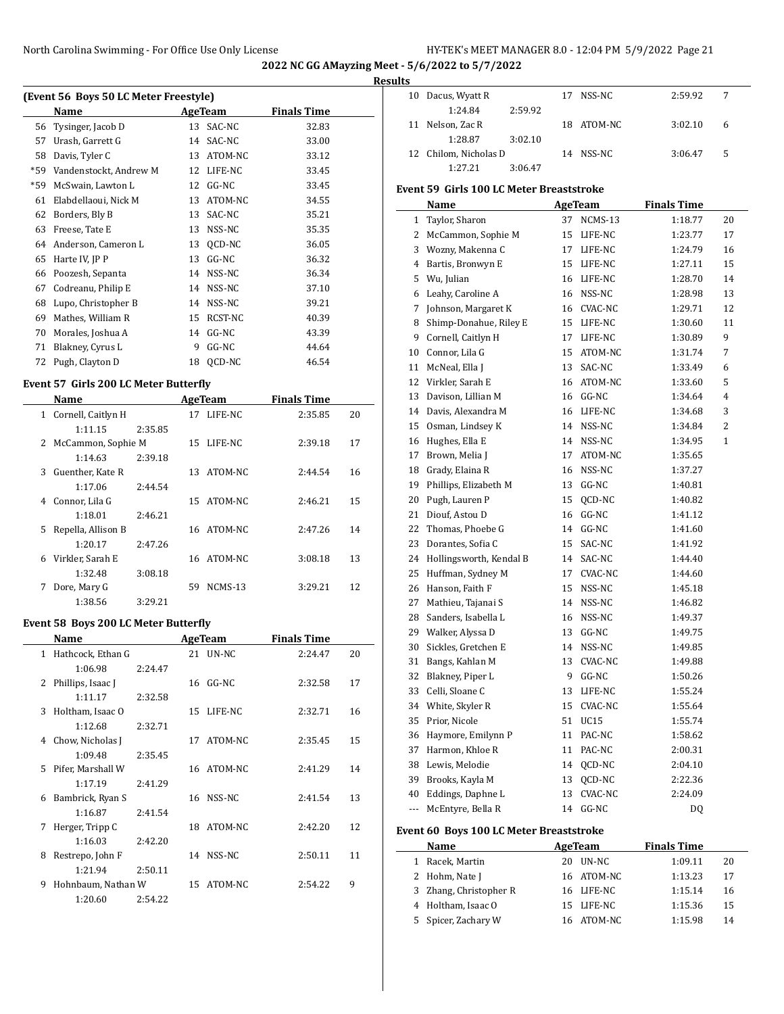**Results**

| (Event 56 Boys 50 LC Meter Freestyle) |                        |    |         |                    |  |  |  |  |
|---------------------------------------|------------------------|----|---------|--------------------|--|--|--|--|
|                                       | Name                   |    | AgeTeam | <b>Finals Time</b> |  |  |  |  |
| 56                                    | Tysinger, Jacob D      | 13 | SAC-NC  | 32.83              |  |  |  |  |
| 57                                    | Urash, Garrett G       | 14 | SAC-NC  | 33.00              |  |  |  |  |
| 58                                    | Davis, Tyler C         | 13 | ATOM-NC | 33.12              |  |  |  |  |
| $*59$                                 | Vandenstockt, Andrew M | 12 | LIFE-NC | 33.45              |  |  |  |  |
| *59                                   | McSwain, Lawton L      | 12 | $GG-NC$ | 33.45              |  |  |  |  |
| 61                                    | Elabdellaoui, Nick M   | 13 | ATOM-NC | 34.55              |  |  |  |  |
| 62                                    | Borders, Bly B         | 13 | SAC-NC  | 35.21              |  |  |  |  |
| 63                                    | Freese, Tate E         | 13 | NSS-NC  | 35.35              |  |  |  |  |
| 64                                    | Anderson, Cameron L    | 13 | OCD-NC  | 36.05              |  |  |  |  |
| 65                                    | Harte IV, JP P         | 13 | $GG-NC$ | 36.32              |  |  |  |  |
| 66                                    | Poozesh, Sepanta       | 14 | NSS-NC  | 36.34              |  |  |  |  |
| 67                                    | Codreanu, Philip E     | 14 | NSS-NC  | 37.10              |  |  |  |  |
| 68                                    | Lupo, Christopher B    | 14 | NSS-NC  | 39.21              |  |  |  |  |
| 69                                    | Mathes, William R      | 15 | RCST-NC | 40.39              |  |  |  |  |
| 70                                    | Morales, Joshua A      | 14 | $GG-NC$ | 43.39              |  |  |  |  |
| 71                                    | Blakney, Cyrus L       | 9  | $GG-NC$ | 44.64              |  |  |  |  |
| 72                                    | Pugh, Clayton D        | 18 | OCD-NC  | 46.54              |  |  |  |  |

## **Event 57 Girls 200 LC Meter Butterfly**

|   | Name                 |         |    | AgeTeam    | <b>Finals Time</b> |    |
|---|----------------------|---------|----|------------|--------------------|----|
| 1 | Cornell, Caitlyn H   |         |    | 17 LIFE-NC | 2:35.85            | 20 |
|   | 1:11.15              | 2:35.85 |    |            |                    |    |
|   | 2 McCammon, Sophie M |         |    | 15 LIFE-NC | 2:39.18            | 17 |
|   | 1:14.63              | 2:39.18 |    |            |                    |    |
| 3 | Guenther, Kate R     |         |    | 13 ATOM-NC | 2:44.54            | 16 |
|   | 1:17.06              | 2.44.54 |    |            |                    |    |
| 4 | Connor, Lila G       |         |    | 15 ATOM-NC | 2:46.21            | 15 |
|   | 1:18.01              | 2:46.21 |    |            |                    |    |
|   | 5 Repella, Allison B |         |    | 16 ATOM-NC | 2:47.26            | 14 |
|   | 1:20.17              | 2:47.26 |    |            |                    |    |
| 6 | Virkler, Sarah E     |         | 16 | ATOM-NC    | 3:08.18            | 13 |
|   | 1:32.48              | 3:08.18 |    |            |                    |    |
| 7 | Dore, Mary G         |         | 59 | NCMS-13    | 3:29.21            | 12 |
|   | 1:38.56              | 3:29.21 |    |            |                    |    |

## **Event 58 Boys 200 LC Meter Butterfly**

| Name         |                    |         | <b>AgeTeam</b> |                 | <b>Finals Time</b> |    |  |  |
|--------------|--------------------|---------|----------------|-----------------|--------------------|----|--|--|
| $\mathbf{1}$ | Hathcock, Ethan G  |         |                | 21 <b>UN-NC</b> | 2:24.47            | 20 |  |  |
|              | 1:06.98            | 2:24.47 |                |                 |                    |    |  |  |
| 2            | Phillips, Isaac J  |         | 16             | GG-NC           | 2:32.58            | 17 |  |  |
|              | 1:11.17            | 2:32.58 |                |                 |                    |    |  |  |
| 3            | Holtham, Isaac O   |         |                | 15 LIFE-NC      | 2:32.71            | 16 |  |  |
|              | 1:12.68            | 2:32.71 |                |                 |                    |    |  |  |
| 4            | Chow, Nicholas J   |         | 17             | ATOM-NC         | 2:35.45            | 15 |  |  |
|              | 1:09.48            | 2:35.45 |                |                 |                    |    |  |  |
| 5.           | Pifer, Marshall W  |         | 16             | ATOM-NC         | 2:41.29            | 14 |  |  |
|              | 1:17.19            | 2:41.29 |                |                 |                    |    |  |  |
| 6            | Bambrick, Ryan S   |         |                | 16 NSS-NC       | 2:41.54            | 13 |  |  |
|              | 1:16.87            | 2:41.54 |                |                 |                    |    |  |  |
| 7            | Herger, Tripp C    |         | 18             | ATOM-NC         | 2:42.20            | 12 |  |  |
|              | 1:16.03            | 2:42.20 |                |                 |                    |    |  |  |
| 8            | Restrepo, John F   |         | 14             | NSS-NC          | 2:50.11            | 11 |  |  |
|              | 1:21.94            | 2:50.11 |                |                 |                    |    |  |  |
| 9            | Hohnbaum, Nathan W |         | 15             | ATOM-NC         | 2:54.22            | 9  |  |  |
|              | 1:20.60            | 2:54.22 |                |                 |                    |    |  |  |

| 10  | Dacus, Wyatt R                           | 17 | NSS-NC     | 2:59.92            | 7  |
|-----|------------------------------------------|----|------------|--------------------|----|
|     | 1:24.84<br>2:59.92                       |    |            |                    |    |
| 11  | Nelson, Zac R                            | 18 | ATOM-NC    | 3:02.10            | 6  |
|     | 1:28.87<br>3:02.10                       |    |            |                    |    |
| 12  | Chilom, Nicholas D                       |    | 14 NSS-NC  | 3:06.47            | 5  |
|     | 1:27.21<br>3:06.47                       |    |            |                    |    |
|     | Event 59 Girls 100 LC Meter Breaststroke |    |            |                    |    |
|     | Name                                     |    | AgeTeam    | <b>Finals Time</b> |    |
|     | 1 Taylor, Sharon                         | 37 | NCMS-13    | 1:18.77            | 20 |
| 2   | McCammon, Sophie M                       | 15 | LIFE-NC    | 1:23.77            | 17 |
|     | 3 Wozny, Makenna C                       | 17 | LIFE-NC    | 1:24.79            | 16 |
|     | 4 Bartis, Bronwyn E                      | 15 | LIFE-NC    | 1:27.11            | 15 |
| 5   | Wu, Julian                               | 16 | LIFE-NC    | 1:28.70            | 14 |
|     | 6 Leahy, Caroline A                      | 16 | NSS-NC     | 1:28.98            | 13 |
|     | 7 Johnson, Margaret K                    |    | 16 CVAC-NC | 1:29.71            | 12 |
| 8   | Shimp-Donahue, Riley E                   |    | 15 LIFE-NC | 1:30.60            | 11 |
|     | 9 Cornell, Caitlyn H                     | 17 | LIFE-NC    | 1:30.89            | 9  |
|     | 10 Connor, Lila G                        | 15 | ATOM-NC    | 1:31.74            | 7  |
| 11  | McNeal, Ella J                           | 13 | SAC-NC     | 1:33.49            | 6  |
|     | 12 Virkler, Sarah E                      | 16 | ATOM-NC    | 1:33.60            | 5  |
|     | 13 Davison, Lillian M                    |    | 16 GG-NC   | 1:34.64            | 4  |
|     | 14 Davis, Alexandra M                    | 16 | LIFE-NC    | 1:34.68            | 3  |
| 15  | Osman, Lindsey K                         | 14 | NSS-NC     | 1:34.84            | 2  |
|     | 16 Hughes, Ella E                        |    | 14 NSS-NC  | 1:34.95            | 1  |
| 17  | Brown, Melia J                           | 17 | ATOM-NC    | 1:35.65            |    |
| 18  | Grady, Elaina R                          | 16 | NSS-NC     | 1:37.27            |    |
| 19  | Phillips, Elizabeth M                    | 13 | $GG-NC$    | 1:40.81            |    |
| 20  | Pugh, Lauren P                           | 15 | QCD-NC     | 1:40.82            |    |
| 21  | Diouf, Astou D                           | 16 | $GG-NC$    | 1:41.12            |    |
| 22  | Thomas, Phoebe G                         | 14 | $GG-NC$    | 1:41.60            |    |
| 23  | Dorantes, Sofia C                        | 15 | SAC-NC     | 1:41.92            |    |
|     | 24 Hollingsworth, Kendal B               |    | 14 SAC-NC  | 1:44.40            |    |
| 25  | Huffman, Sydney M                        | 17 | CVAC-NC    | 1:44.60            |    |
| 26  | Hanson, Faith F                          | 15 | NSS-NC     | 1:45.18            |    |
| 27  | Mathieu, Tajanai S                       | 14 | NSS-NC     | 1:46.82            |    |
| 28  | Sanders, Isabella L                      | 16 | NSS-NC     | 1:49.37            |    |
|     | 29 Walker, Alyssa D                      | 13 | $GG-NC$    | 1:49.75            |    |
| 30  | Sickles, Gretchen E                      | 14 | NSS-NC     | 1:49.85            |    |
| 31  | Bangs, Kahlan M                          | 13 | CVAC-NC    | 1:49.88            |    |
| 32  | Blakney, Piper L                         | 9  | GG-NC      | 1:50.26            |    |
| 33  | Celli, Sloane C                          | 13 | LIFE-NC    | 1:55.24            |    |
| 34  | White, Skyler R                          | 15 | CVAC-NC    | 1:55.64            |    |
| 35  | Prior, Nicole                            | 51 | UC15       | 1:55.74            |    |
| 36  | Haymore, Emilynn P                       | 11 | PAC-NC     | 1:58.62            |    |
| 37  | Harmon, Khloe R                          | 11 | PAC-NC     | 2:00.31            |    |
| 38  | Lewis, Melodie                           | 14 | QCD-NC     | 2:04.10            |    |
| 39  | Brooks, Kayla M                          | 13 | QCD-NC     | 2:22.36            |    |
| 40  | Eddings, Daphne L                        | 13 | CVAC-NC    | 2:24.09            |    |
| --- | McEntyre, Bella R                        | 14 | GG-NC      | DQ                 |    |
|     |                                          |    |            |                    |    |

## **Event 60 Boys 100 LC Meter Breaststroke**

 $\overline{\phantom{a}}$ 

| Name                   | AgeTeam     | <b>Finals Time</b> |    |
|------------------------|-------------|--------------------|----|
| Racek, Martin          | UN-NC<br>20 | 1:09.11            | 20 |
| 2 Hohm, Nate J         | 16 ATOM-NC  | 1:13.23            | 17 |
| 3 Zhang, Christopher R | 16 LIFE-NC  | 1:15.14            | 16 |
| 4 Holtham, Isaac O     | 15 LIFE-NC  | 1:15.36            | 15 |
| 5 Spicer, Zachary W    | ATOM-NC     | 1:15.98            | 14 |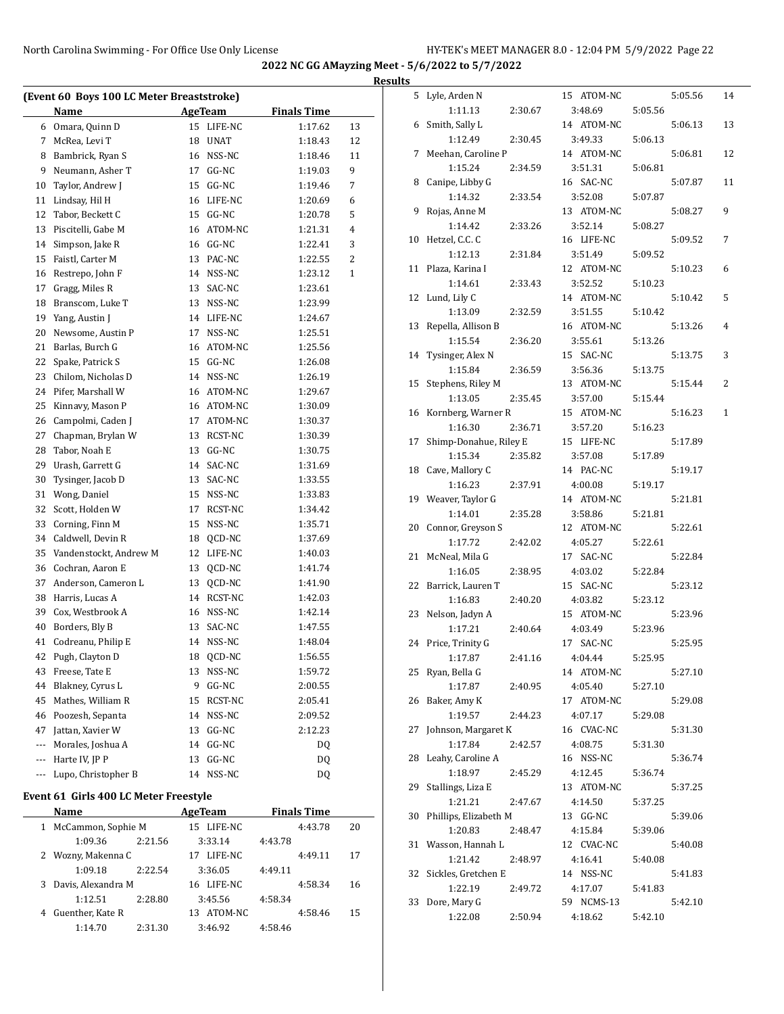|     |                                           |    |                |                    |                | <b>Results</b> |
|-----|-------------------------------------------|----|----------------|--------------------|----------------|----------------|
|     | (Event 60 Boys 100 LC Meter Breaststroke) |    |                |                    |                |                |
|     | Name                                      |    | <b>AgeTeam</b> | <b>Finals Time</b> |                |                |
|     | 6 Omara, Quinn D                          |    | 15 LIFE-NC     | 1:17.62            | 13             |                |
| 7   | McRea, Levi T                             |    | 18 UNAT        | 1:18.43            | 12             |                |
| 8   | Bambrick, Ryan S                          |    | 16 NSS-NC      | 1:18.46            | 11             |                |
| 9   | Neumann, Asher T                          |    | 17 GG-NC       | 1:19.03            | 9              |                |
| 10  | Taylor, Andrew J                          |    | 15 GG-NC       | 1:19.46            | 7              |                |
| 11  | Lindsay, Hil H                            |    | 16 LIFE-NC     | 1:20.69            | 6              |                |
| 12  | Tabor, Beckett C                          |    | 15 GG-NC       | 1:20.78            | 5              |                |
| 13  | Piscitelli, Gabe M                        |    | 16 ATOM-NC     | 1:21.31            | $\overline{4}$ |                |
| 14  | Simpson, Jake R                           |    | 16 GG-NC       | 1:22.41            | 3              | 1 <sup>1</sup> |
| 15  | Faistl, Carter M                          |    | 13 PAC-NC      | 1:22.55            | 2              |                |
| 16  | Restrepo, John F                          |    | 14 NSS-NC      | 1:23.12            | $\mathbf{1}$   | 1              |
| 17  | Gragg, Miles R                            |    | 13 SAC-NC      | 1:23.61            |                |                |
| 18  | Branscom, Luke T                          |    | 13 NSS-NC      | 1:23.99            |                | 1              |
| 19  | Yang, Austin J                            |    | 14 LIFE-NC     | 1:24.67            |                |                |
| 20  | Newsome, Austin P                         | 17 | NSS-NC         | 1:25.51            |                | 1:             |
| 21  | Barlas, Burch G                           |    | 16 ATOM-NC     | 1:25.56            |                |                |
| 22  | Spake, Patrick S                          |    | 15 GG-NC       | 1:26.08            |                | 1 <sub>1</sub> |
| 23  | Chilom, Nicholas D                        |    | 14 NSS-NC      | 1:26.19            |                |                |
| 24  | Pifer, Marshall W                         |    | 16 ATOM-NC     | 1:29.67            |                | 1!             |
| 25  | Kinnavy, Mason P                          |    | 16 ATOM-NC     | 1:30.09            |                |                |
| 26  | Campolmi, Caden J                         |    | 17 ATOM-NC     | 1:30.37            |                | 1 <sub>0</sub> |
| 27  | Chapman, Brylan W                         |    | 13 RCST-NC     | 1:30.39            |                |                |
| 28  | Tabor, Noah E                             |    | 13 GG-NC       | 1:30.75            |                | $1^{\prime}$   |
| 29  | Urash, Garrett G                          |    | 14 SAC-NC      | 1:31.69            |                |                |
| 30  | Tysinger, Jacob D                         |    | 13 SAC-NC      | 1:33.55            |                | $\mathbf{1}$   |
| 31  | Wong, Daniel                              |    | 15 NSS-NC      | 1:33.83            |                |                |
| 32  | Scott, Holden W                           | 17 | RCST-NC        | 1:34.42            |                | 1 <sup>1</sup> |
| 33  | Corning, Finn M                           |    | 15 NSS-NC      | 1:35.71            |                |                |
| 34  | Caldwell, Devin R                         | 18 | QCD-NC         | 1:37.69            |                | $\overline{2}$ |
| 35  | Vandenstockt, Andrew M                    |    | 12 LIFE-NC     | 1:40.03            |                | $\overline{2}$ |
| 36  | Cochran, Aaron E                          | 13 | QCD-NC         | 1:41.74            |                |                |
| 37  | Anderson, Cameron L                       | 13 | QCD-NC         | 1:41.90            |                | 2:             |
| 38  | Harris, Lucas A                           |    | 14 RCST-NC     | 1:42.03            |                |                |
| 39  | Cox, Westbrook A                          |    | 16 NSS-NC      | 1:42.14            |                | 2:             |
| 40  | Borders, Bly B                            | 13 | SAC-NC         | 1:47.55            |                |                |
| 41  | Codreanu, Philip E                        |    | 14 NSS-NC      | 1:48.04            |                | 2 <sub>4</sub> |
| 42  | Pugh, Clayton D                           | 18 | QCD-NC         | 1:56.55            |                |                |
| 43  | Freese, Tate E                            | 13 | NSS-NC         | 1:59.72            |                | 2!             |
| 44  | Blakney, Cyrus L                          | 9  | GG-NC          | 2:00.55            |                |                |
| 45  | Mathes, William R                         | 15 | RCST-NC        | 2:05.41            |                | $\overline{2}$ |
| 46  | Poozesh, Sepanta                          | 14 | NSS-NC         | 2:09.52            |                |                |
| 47  | Jattan, Xavier W                          | 13 | GG-NC          | 2:12.23            |                | $2^{\prime}$   |
| --- | Morales, Joshua A                         | 14 | GG-NC          | DQ                 |                |                |
| --- | Harte IV, JP P                            | 13 | GG-NC          | <b>DQ</b>          |                | 25             |
| --- | Lupo, Christopher B                       | 14 | NSS-NC         | <b>DQ</b>          |                |                |
|     |                                           |    |                |                    |                | $\overline{2}$ |

# **Event 61 Girls 400 LC Meter Freestyle**

 $\overline{a}$ 

|   | Name                 |         | AgeTeam       |         | <b>Finals Time</b> |    |  |
|---|----------------------|---------|---------------|---------|--------------------|----|--|
|   | 1 McCammon, Sophie M |         | 15 LIFE-NC    |         | 4:43.78            | 20 |  |
|   | 1:09.36              | 2:21.56 | 3:33.14       | 4:43.78 |                    |    |  |
|   | 2 Wozny, Makenna C   |         | LIFE-NC<br>17 |         | 4:49.11            | 17 |  |
|   | 1:09.18              | 2:22.54 | 3:36.05       | 4:49.11 |                    |    |  |
| 3 | Davis, Alexandra M   |         | 16 LIFE-NC    |         | 4:58.34            | 16 |  |
|   | 1:12.51              | 2:28.80 | 3:45.56       | 4:58.34 |                    |    |  |
| 4 | Guenther, Kate R     |         | ATOM-NC<br>13 |         | 4:58.46            | 15 |  |
|   | 1:14.70              | 2:31.30 | 3:46.92       | 4:58.46 |                    |    |  |

| 5  | Lyle, Arden N          |         |    | 15 ATOM-NC |         | 5:05.56 | 14 |
|----|------------------------|---------|----|------------|---------|---------|----|
|    | 1:11.13                | 2:30.67 |    | 3:48.69    | 5:05.56 |         |    |
| 6  | Smith, Sally L         |         |    | 14 ATOM-NC |         | 5:06.13 | 13 |
|    | 1:12.49                | 2:30.45 |    | 3:49.33    | 5:06.13 |         |    |
| 7  | Meehan, Caroline P     |         |    | 14 ATOM-NC |         | 5:06.81 | 12 |
|    | 1:15.24                | 2:34.59 |    | 3:51.31    | 5:06.81 |         |    |
| 8  | Canipe, Libby G        |         |    | 16 SAC-NC  |         | 5:07.87 | 11 |
|    | 1:14.32                | 2:33.54 |    | 3:52.08    | 5:07.87 |         |    |
| 9  |                        |         |    |            |         |         | 9  |
|    | Rojas, Anne M          |         |    | 13 ATOM-NC |         | 5:08.27 |    |
|    | 1:14.42                | 2:33.26 |    | 3:52.14    | 5:08.27 |         |    |
| 10 | Hetzel, C.C. C         |         |    | 16 LIFE-NC |         | 5:09.52 | 7  |
|    | 1:12.13                | 2:31.84 |    | 3:51.49    | 5:09.52 |         |    |
| 11 | Plaza, Karina I        |         |    | 12 ATOM-NC |         | 5:10.23 | 6  |
|    | 1:14.61                | 2:33.43 |    | 3:52.52    | 5:10.23 |         |    |
| 12 | Lund, Lily C           |         |    | 14 ATOM-NC |         | 5:10.42 | 5  |
|    | 1:13.09                | 2:32.59 |    | 3:51.55    | 5:10.42 |         |    |
| 13 | Repella, Allison B     |         |    | 16 ATOM-NC |         | 5:13.26 | 4  |
|    | 1:15.54                | 2:36.20 |    | 3:55.61    | 5:13.26 |         |    |
| 14 | Tysinger, Alex N       |         |    | 15 SAC-NC  |         | 5:13.75 | 3  |
|    | 1:15.84                | 2:36.59 |    | 3:56.36    | 5:13.75 |         |    |
| 15 | Stephens, Riley M      |         |    | 13 ATOM-NC |         | 5:15.44 | 2  |
|    | 1:13.05                | 2:35.45 |    | 3:57.00    | 5:15.44 |         |    |
|    |                        |         |    |            |         |         |    |
| 16 | Kornberg, Warner R     |         |    | 15 ATOM-NC |         | 5:16.23 | 1  |
|    | 1:16.30                | 2:36.71 |    | 3:57.20    | 5:16.23 |         |    |
| 17 | Shimp-Donahue, Riley E |         |    | 15 LIFE-NC |         | 5:17.89 |    |
|    | 1:15.34                | 2:35.82 |    | 3:57.08    | 5:17.89 |         |    |
| 18 | Cave, Mallory C        |         |    | 14 PAC-NC  |         | 5:19.17 |    |
|    | 1:16.23                | 2:37.91 |    | 4:00.08    | 5:19.17 |         |    |
| 19 | Weaver, Taylor G       |         |    | 14 ATOM-NC |         | 5:21.81 |    |
|    | 1:14.01                | 2:35.28 |    | 3:58.86    | 5:21.81 |         |    |
| 20 | Connor, Greyson S      |         |    | 12 ATOM-NC |         | 5:22.61 |    |
|    | 1:17.72                | 2:42.02 |    | 4:05.27    | 5:22.61 |         |    |
| 21 | McNeal, Mila G         |         | 17 | SAC-NC     |         | 5:22.84 |    |
|    | 1:16.05                | 2:38.95 |    | 4:03.02    | 5:22.84 |         |    |
| 22 | Barrick, Lauren T      |         |    | 15 SAC-NC  |         | 5:23.12 |    |
|    | 1:16.83                | 2:40.20 |    | 4:03.82    | 5:23.12 |         |    |
|    |                        |         |    |            |         |         |    |
| 23 | Nelson, Jadyn A        |         |    | 15 ATOM-NC |         | 5:23.96 |    |
|    | 1:17.21                | 2:40.64 |    | 4:03.49    | 5:23.96 |         |    |
| 24 | Price, Trinity G       |         | 17 | SAC-NC     |         | 5:25.95 |    |
|    | 1:17.87                | 2:41.16 |    | 4:04.44    | 5:25.95 |         |    |
| 25 | Ryan, Bella G          |         |    | 14 ATOM-NC |         | 5:27.10 |    |
|    | 1:17.87                | 2:40.95 |    | 4:05.40    | 5:27.10 |         |    |
| 26 | Baker, Amy K           |         |    | 17 ATOM-NC |         | 5:29.08 |    |
|    | 1:19.57                | 2:44.23 |    | 4:07.17    | 5:29.08 |         |    |
| 27 | Johnson, Margaret K    |         |    | 16 CVAC-NC |         | 5:31.30 |    |
|    | 1:17.84                | 2:42.57 |    | 4:08.75    | 5:31.30 |         |    |
| 28 | Leahy, Caroline A      |         |    | 16 NSS-NC  |         | 5:36.74 |    |
|    | 1:18.97                | 2:45.29 |    | 4:12.45    | 5:36.74 |         |    |
| 29 | Stallings, Liza E      |         |    | 13 ATOM-NC |         | 5:37.25 |    |
|    | 1:21.21                | 2:47.67 |    | 4:14.50    | 5:37.25 |         |    |
| 30 | Phillips, Elizabeth M  |         |    | 13 GG-NC   |         | 5:39.06 |    |
|    | 1:20.83                | 2:48.47 |    | 4:15.84    |         |         |    |
|    |                        |         |    |            | 5:39.06 |         |    |
| 31 | Wasson, Hannah L       |         |    | 12 CVAC-NC |         | 5:40.08 |    |
|    | 1:21.42                | 2:48.97 |    | 4:16.41    | 5:40.08 |         |    |
| 32 | Sickles, Gretchen E    |         |    | 14 NSS-NC  |         | 5:41.83 |    |
|    | 1:22.19                | 2:49.72 |    | 4:17.07    | 5:41.83 |         |    |
| 33 | Dore, Mary G           |         |    | 59 NCMS-13 |         | 5:42.10 |    |
|    | 1:22.08                | 2:50.94 |    | 4:18.62    | 5:42.10 |         |    |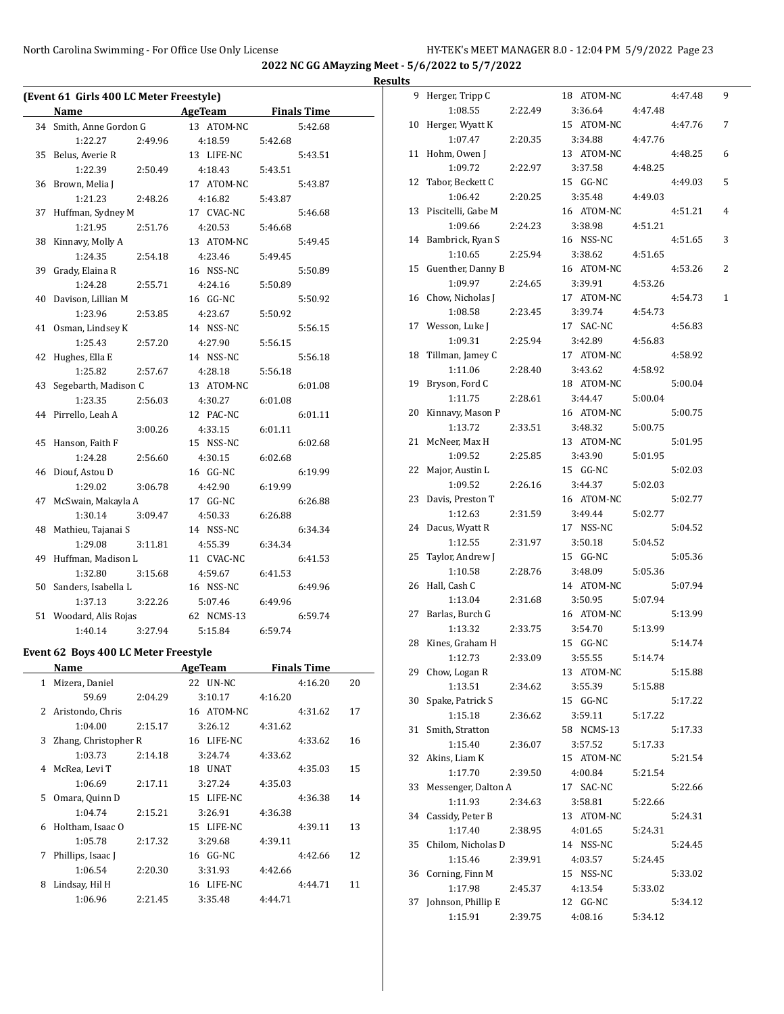## **Results**

|              | (Event 61 Girls 400 LC Meter Freestyle) |                                       |                    |    |
|--------------|-----------------------------------------|---------------------------------------|--------------------|----|
|              | Name                                    | <b>Example 21 AgeTeam</b> Finals Time |                    |    |
|              | 34 Smith, Anne Gordon G                 | 13 ATOM-NC                            | 5:42.68            |    |
|              | 1:22.27<br>2:49.96                      | 4:18.59                               | 5:42.68            |    |
|              | 35 Belus, Averie R                      | 13 LIFE-NC                            | 5:43.51            |    |
|              | 1:22.39<br>2:50.49                      | 4:18.43                               | 5:43.51            |    |
| 36           | Brown, Melia J                          | 17 ATOM-NC                            | 5:43.87            |    |
|              | 1:21.23<br>2:48.26                      | 4:16.82                               | 5:43.87            |    |
| 37           | Huffman, Sydney M                       | 17 CVAC-NC                            | 5:46.68            |    |
|              | 1:21.95<br>2:51.76                      | 4:20.53                               | 5:46.68            |    |
| 38           | Kinnavy, Molly A                        | 13 ATOM-NC                            | 5:49.45            |    |
|              | 1:24.35<br>2:54.18                      | 4:23.46                               | 5:49.45            |    |
| 39           | Grady, Elaina R                         | 16 NSS-NC                             | 5:50.89            |    |
|              | 1:24.28<br>2:55.71                      | 4:24.16                               | 5:50.89            |    |
| 40           | Davison, Lillian M                      | 16 GG-NC                              | 5:50.92            |    |
|              | 1:23.96<br>2:53.85                      | 4:23.67                               | 5:50.92            |    |
| 41           | Osman, Lindsey K                        | 14 NSS-NC                             | 5:56.15            |    |
|              | 1:25.43<br>2:57.20                      | 4:27.90                               | 5:56.15            |    |
| 42           | Hughes, Ella E                          | 14 NSS-NC                             | 5:56.18            |    |
|              | 1:25.82<br>2:57.67                      | 4:28.18                               | 5:56.18            |    |
|              | 43 Segebarth, Madison C                 | 13 ATOM-NC                            | 6:01.08            |    |
|              | 1:23.35<br>2:56.03                      | 4:30.27                               | 6:01.08            |    |
|              | 44 Pirrello, Leah A                     | 12 PAC-NC                             | 6:01.11            |    |
|              | 3:00.26                                 | 4:33.15                               | 6:01.11            |    |
| 45           | Hanson, Faith F                         | 15 NSS-NC                             | 6:02.68            |    |
|              | 1:24.28<br>2:56.60                      | 4:30.15                               | 6:02.68            |    |
|              | 46 Diouf, Astou D                       | 16 GG-NC                              | 6:19.99            |    |
|              | 1:29.02<br>3:06.78                      | 4:42.90                               | 6:19.99            |    |
| 47           | McSwain, Makayla A                      | 17 GG-NC                              | 6:26.88            |    |
|              | 1:30.14<br>3:09.47                      | 4:50.33                               | 6:26.88            |    |
| 48           | Mathieu, Tajanai S                      | 14 NSS-NC                             | 6:34.34            |    |
|              | 1:29.08<br>3:11.81                      | 4:55.39                               | 6:34.34            |    |
|              | 49 Huffman, Madison L                   | 11 CVAC-NC                            | 6:41.53            |    |
|              | 1:32.80<br>3:15.68                      | 4:59.67                               | 6:41.53            |    |
|              | 50 Sanders, Isabella L                  | 16 NSS-NC                             | 6:49.96            |    |
|              | 3:22.26<br>1:37.13                      | 5:07.46                               | 6:49.96            |    |
|              | 51 Woodard, Alis Rojas                  | 62 NCMS-13                            | 6:59.74            |    |
|              | 3:27.94<br>1:40.14                      | 5:15.84                               | 6:59.74            |    |
|              | Event 62 Boys 400 LC Meter Freestyle    |                                       |                    |    |
|              | Name                                    | <b>Example 2 AgeTeam</b>              | <b>Finals Time</b> |    |
| $\mathbf{1}$ | Mizera, Daniel                          | 22 UN-NC                              | 4:16.20            | 20 |
|              | 59.69<br>2:04.29                        | 3:10.17                               | 4:16.20            |    |
| 2            | Aristondo, Chris                        | 16 ATOM-NC                            | 4:31.62            | 17 |
|              | 1:04.00<br>2:15.17                      | 3:26.12                               | 4:31.62            |    |
| 3            | Zhang, Christopher R                    | 16 LIFE-NC                            | 4:33.62            | 16 |
|              | 1:03.73<br>2:14.18                      | 3:24.74                               | 4:33.62            |    |
| 4            | McRea, Levi T                           | 18 UNAT                               | 4:35.03            | 15 |
|              | 1:06.69<br>2:17.11                      | 3:27.24                               | 4:35.03            |    |
| 5            | Omara, Quinn D                          | 15 LIFE-NC                            | 4:36.38            | 14 |
|              | 1:04.74<br>2:15.21                      | 3:26.91                               | 4:36.38            |    |
| 6            | Holtham, Isaac O                        | 15 LIFE-NC                            | 4:39.11            | 13 |
|              | 1:05.78<br>2:17.32                      | 3:29.68                               | 4:39.11            |    |
| 7            | Phillips, Isaac J                       | 16 GG-NC                              | 4:42.66            | 12 |
|              | 1:06.54<br>2:20.30                      | 3:31.93                               | 4:42.66            |    |
| 8            | Lindsay, Hil H                          | 16 LIFE-NC                            | 4:44.71            | 11 |
|              | 1:06.96<br>2:21.45                      | 3:35.48                               | 4:44.71            |    |

| 9  | Herger, Tripp C     |         | 18 ATOM-NC |         | 4:47.48 | 9 |
|----|---------------------|---------|------------|---------|---------|---|
|    | 1:08.55             | 2:22.49 | 3:36.64    | 4:47.48 |         |   |
| 10 | Herger, Wyatt K     |         | 15 ATOM-NC |         | 4:47.76 | 7 |
|    | 1:07.47             | 2:20.35 | 3:34.88    | 4:47.76 |         |   |
| 11 | Hohm, Owen J        |         | 13 ATOM-NC |         | 4:48.25 | 6 |
|    | 1:09.72             | 2:22.97 | 3:37.58    | 4:48.25 |         |   |
| 12 | Tabor, Beckett C    |         | 15 GG-NC   |         | 4:49.03 | 5 |
|    | 1:06.42             | 2:20.25 | 3:35.48    | 4:49.03 |         |   |
| 13 | Piscitelli, Gabe M  |         | 16 ATOM-NC |         | 4:51.21 | 4 |
|    | 1:09.66             | 2:24.23 | 3:38.98    | 4:51.21 |         |   |
| 14 | Bambrick, Ryan S    |         | 16 NSS-NC  |         | 4:51.65 | 3 |
|    | 1:10.65             | 2:25.94 | 3:38.62    | 4:51.65 |         |   |
| 15 | Guenther, Danny B   |         | 16 ATOM-NC |         | 4:53.26 | 2 |
|    | 1:09.97             |         |            |         |         |   |
|    |                     | 2:24.65 | 3:39.91    | 4:53.26 |         |   |
| 16 | Chow, Nicholas J    |         | 17 ATOM-NC |         | 4:54.73 | 1 |
|    | 1:08.58             | 2:23.45 | 3:39.74    | 4:54.73 |         |   |
| 17 | Wesson, Luke J      |         | 17 SAC-NC  |         | 4:56.83 |   |
|    | 1:09.31             | 2:25.94 | 3:42.89    | 4:56.83 |         |   |
| 18 | Tillman, Jamey C    |         | 17 ATOM-NC |         | 4:58.92 |   |
|    | 1:11.06             | 2:28.40 | 3:43.62    | 4:58.92 |         |   |
| 19 | Bryson, Ford C      |         | 18 ATOM-NC |         | 5:00.04 |   |
|    | 1:11.75             | 2:28.61 | 3:44.47    | 5:00.04 |         |   |
| 20 | Kinnavy, Mason P    |         | 16 ATOM-NC |         | 5:00.75 |   |
|    | 1:13.72             | 2:33.51 | 3:48.32    | 5:00.75 |         |   |
| 21 | McNeer, Max H       |         | 13 ATOM-NC |         | 5:01.95 |   |
|    | 1:09.52             | 2:25.85 | 3:43.90    | 5:01.95 |         |   |
| 22 | Major, Austin L     |         | 15 GG-NC   |         | 5:02.03 |   |
|    | 1:09.52             | 2:26.16 | 3:44.37    | 5:02.03 |         |   |
| 23 | Davis, Preston T    |         | 16 ATOM-NC |         | 5:02.77 |   |
|    | 1:12.63             | 2:31.59 | 3:49.44    | 5:02.77 |         |   |
|    | Dacus, Wyatt R      |         | 17 NSS-NC  |         | 5:04.52 |   |
| 24 |                     |         |            |         |         |   |
|    | 1:12.55             | 2:31.97 | 3:50.18    | 5:04.52 |         |   |
| 25 | Taylor, Andrew J    |         | 15 GG-NC   |         | 5:05.36 |   |
|    | 1:10.58             | 2:28.76 | 3:48.09    | 5:05.36 |         |   |
| 26 | Hall, Cash C        |         | 14 ATOM-NC |         | 5:07.94 |   |
|    | 1:13.04             | 2:31.68 | 3:50.95    | 5:07.94 |         |   |
| 27 | Barlas, Burch G     |         | 16 ATOM-NC |         | 5:13.99 |   |
|    | 1:13.32             | 2:33.75 | 3:54.70    | 5:13.99 |         |   |
| 28 | Kines, Graham H     |         | 15 GG-NC   |         | 5:14.74 |   |
|    | 1:12.73             | 2:33.09 | 3:55.55    | 5:14.74 |         |   |
| 29 | Chow, Logan R       |         | 13 ATOM-NC |         | 5:15.88 |   |
|    | 1:13.51             | 2:34.62 | 3:55.39    | 5:15.88 |         |   |
| 30 | Spake, Patrick S    |         | 15 GG-NC   |         | 5:17.22 |   |
|    | 1:15.18             | 2:36.62 | 3:59.11    | 5:17.22 |         |   |
| 31 | Smith, Stratton     |         | 58 NCMS-13 |         | 5:17.33 |   |
|    | 1:15.40             | 2:36.07 | 3:57.52    | 5:17.33 |         |   |
| 32 | Akins, Liam K       |         | 15 ATOM-NC |         | 5:21.54 |   |
|    | 1:17.70             | 2:39.50 | 4:00.84    | 5:21.54 |         |   |
| 33 | Messenger, Dalton A |         | 17 SAC-NC  |         | 5:22.66 |   |
|    | 1:11.93             | 2:34.63 | 3:58.81    | 5:22.66 |         |   |
| 34 | Cassidy, Peter B    |         | 13 ATOM-NC |         | 5:24.31 |   |
|    | 1:17.40             | 2:38.95 | 4:01.65    | 5:24.31 |         |   |
|    |                     |         |            |         |         |   |
| 35 | Chilom, Nicholas D  |         | 14 NSS-NC  |         | 5:24.45 |   |
|    | 1:15.46             | 2:39.91 | 4:03.57    | 5:24.45 |         |   |
| 36 | Corning, Finn M     |         | 15 NSS-NC  |         | 5:33.02 |   |
|    | 1:17.98             | 2:45.37 | 4:13.54    | 5:33.02 |         |   |
| 37 | Johnson, Phillip E  |         | 12 GG-NC   |         | 5:34.12 |   |
|    | 1:15.91             | 2:39.75 | 4:08.16    | 5:34.12 |         |   |
|    |                     |         |            |         |         |   |